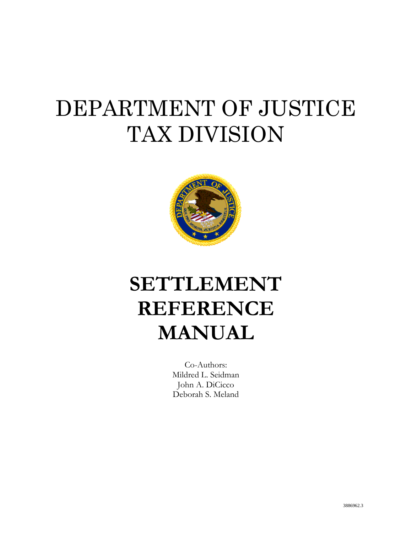# <span id="page-0-0"></span>DEPARTMENT OF JUSTICE TAX DIVISION



# **SETTLEMENT REFERENCE MANUAL**

Co-Authors: Mildred L. Seidman John A. DiCicco Deborah S. Meland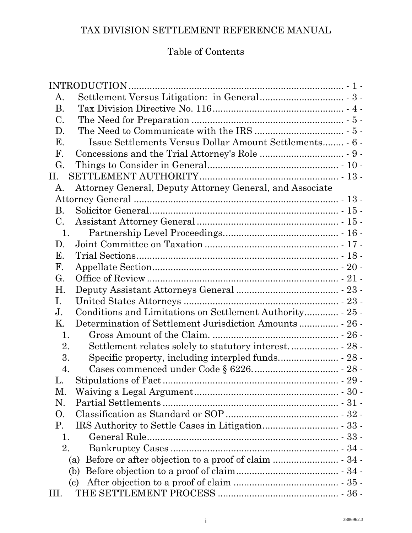# Table of Contents

|                | INTRODUCTION                                             |  |
|----------------|----------------------------------------------------------|--|
| А.             |                                                          |  |
| <b>B.</b>      |                                                          |  |
| C.             |                                                          |  |
| D.             |                                                          |  |
| Е.             |                                                          |  |
| $\mathbf{F}$ . |                                                          |  |
| G.             |                                                          |  |
| П.             |                                                          |  |
| А.             | Attorney General, Deputy Attorney General, and Associate |  |
|                |                                                          |  |
| <b>B.</b>      |                                                          |  |
| C.             |                                                          |  |
| 1.             |                                                          |  |
| D.             |                                                          |  |
| Е.             |                                                          |  |
| $\mathbf{F}$ . |                                                          |  |
| G.             |                                                          |  |
| Η.             |                                                          |  |
| Ι.             |                                                          |  |
| J.             |                                                          |  |
| Κ.             |                                                          |  |
| 1.             |                                                          |  |
| 2.             |                                                          |  |
| 3.             |                                                          |  |
| 4.             |                                                          |  |
| L.             |                                                          |  |
| М.             |                                                          |  |
| N.             |                                                          |  |
| O.             |                                                          |  |
| P.             |                                                          |  |
| 1.             |                                                          |  |
| 2.             |                                                          |  |
|                | (a)                                                      |  |
|                | (b)                                                      |  |
|                | (c)                                                      |  |
| III.           |                                                          |  |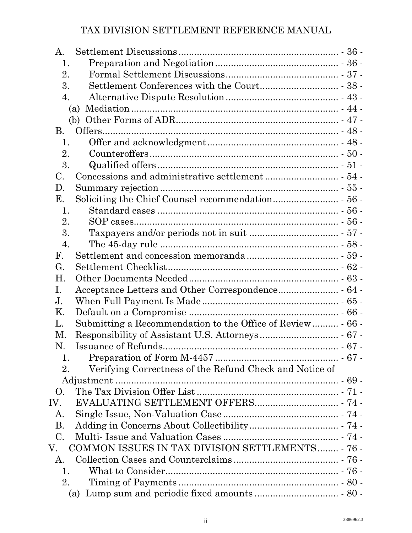| A.                                                            |  |
|---------------------------------------------------------------|--|
| 1.                                                            |  |
| 2.                                                            |  |
| 3.                                                            |  |
| 4.                                                            |  |
| (a)                                                           |  |
|                                                               |  |
| В.                                                            |  |
| 1.                                                            |  |
| 2.                                                            |  |
| 3.                                                            |  |
| $\mathcal{C}$ .                                               |  |
| D.                                                            |  |
| Е.                                                            |  |
| 1.                                                            |  |
| 2.                                                            |  |
| 3.                                                            |  |
| 4.                                                            |  |
| F.                                                            |  |
| G.                                                            |  |
| Η.                                                            |  |
| Ι.                                                            |  |
| J.                                                            |  |
| Κ.                                                            |  |
| L.                                                            |  |
| M.                                                            |  |
| N.                                                            |  |
| 1.                                                            |  |
| Verifying Correctness of the Refund Check and Notice of<br>2. |  |
|                                                               |  |
| O.                                                            |  |
| IV.                                                           |  |
| A.                                                            |  |
| <b>B.</b>                                                     |  |
| $\mathcal{C}$ .                                               |  |
| COMMON ISSUES IN TAX DIVISION SETTLEMENTS - 76 -<br>V.        |  |
| A.                                                            |  |
| 1.                                                            |  |
| 2.                                                            |  |
| (a)                                                           |  |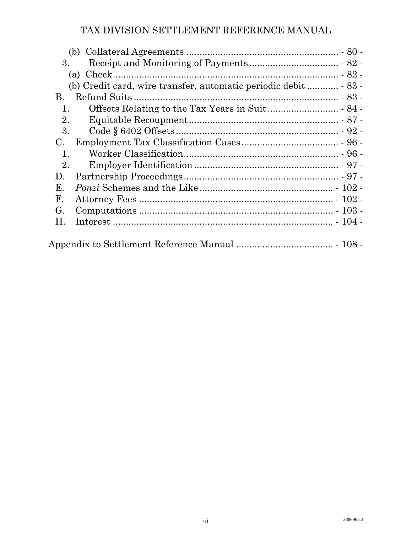| 3.             |  |
|----------------|--|
| (a)            |  |
|                |  |
| В.             |  |
| 1.             |  |
| 2.             |  |
| 3.             |  |
| $C_{\cdot}$    |  |
| 1.             |  |
| 2.             |  |
| D.             |  |
| Е.             |  |
| $\mathbf{F}$ . |  |
| G.             |  |
| Η.             |  |
|                |  |
|                |  |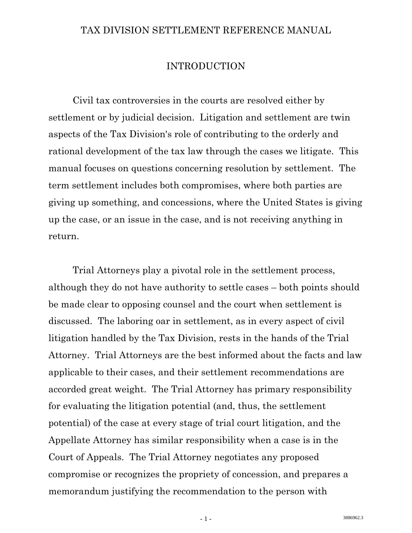#### INTRODUCTION

<span id="page-4-0"></span> Civil tax controversies in the courts are resolved either by settlement or by judicial decision. Litigation and settlement are twin aspects of the Tax Division's role of contributing to the orderly and rational development of the tax law through the cases we litigate. This manual focuses on questions concerning resolution by settlement. The term settlement includes both compromises, where both parties are giving up something, and concessions, where the United States is giving up the case, or an issue in the case, and is not receiving anything in return.

 Trial Attorneys play a pivotal role in the settlement process, although they do not have authority to settle cases – both points should be made clear to opposing counsel and the court when settlement is discussed. The laboring oar in settlement, as in every aspect of civil litigation handled by the Tax Division, rests in the hands of the Trial Attorney. Trial Attorneys are the best informed about the facts and law applicable to their cases, and their settlement recommendations are accorded great weight. The Trial Attorney has primary responsibility for evaluating the litigation potential (and, thus, the settlement potential) of the case at every stage of trial court litigation, and the Appellate Attorney has similar responsibility when a case is in the Court of Appeals. The Trial Attorney negotiates any proposed compromise or recognizes the propriety of concession, and prepares a memorandum justifying the recommendation to the person with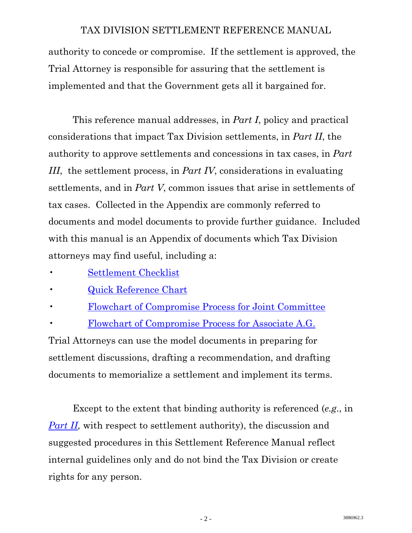authority to concede or compromise. If the settlement is approved, the Trial Attorney is responsible for assuring that the settlement is implemented and that the Government gets all it bargained for.

 This reference manual addresses, in *Part I*, policy and practical considerations that impact Tax Division settlements, in *Part II*, the authority to approve settlements and concessions in tax cases, in *Part III*, the settlement process, in *Part IV*, considerations in evaluating settlements, and in *Part V*, common issues that arise in settlements of tax cases. Collected in the Appendix are commonly referred to documents and model documents to provide further guidance. Included with this manual is an Appendix of documents which Tax Division attorneys may find useful, including a:

- Settlement Checklist
- [Quick Reference Chart](http://www.usdoj.gov/tax/readingroom/settlemn/B_Quick_Reference.pdf)
- [Flowchart of Compromise Process for Joint Committee](http://www.usdoj.gov/tax/readingroom/settlemn/C_1_Flowchart_A.pdf)
- [Flowchart of Compromise Process for Associate A.G.](http://www.usdoj.gov/tax/readingroom/settlemn/C_2_Flowchart_B.pdf)

Trial Attorneys can use the model documents in preparing for settlement discussions, drafting a recommendation, and drafting documents to memorialize a settlement and implement its terms.

 Except to the extent that binding authority is referenced (*e.g*., in *Part II*, with respect to settlement authority), the discussion and suggested procedures in this Settlement Reference Manual reflect internal guidelines only and do not bind the Tax Division or create rights for any person.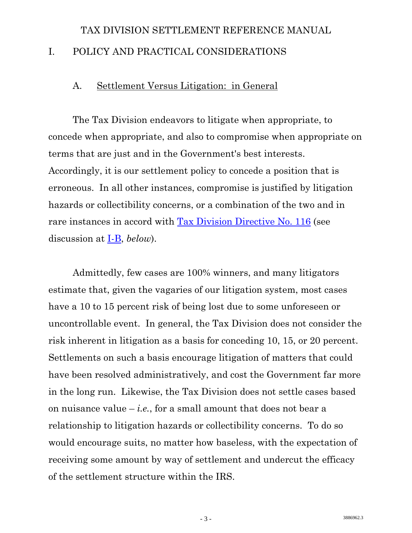# <span id="page-6-0"></span>TAX DIVISION SETTLEMENT REFERENCE MANUAL I. POLICY AND PRACTICAL CONSIDERATIONS

#### A. Settlement Versus Litigation: in General

 The Tax Division endeavors to litigate when appropriate, to concede when appropriate, and also to compromise when appropriate on terms that are just and in the Government's best interests. Accordingly, it is our settlement policy to concede a position that is erroneous. In all other instances, compromise is justified by litigation hazards or collectibility concerns, or a combination of the two and in rare instances in accord with [Tax Division Directive No. 116](http://www.usdoj.gov/tax/readingroom/settlemn/D_4_TAX_DIR_116.pdf) (see discussion at I-B, *below*).

 Admittedly, few cases are 100% winners, and many litigators estimate that, given the vagaries of our litigation system, most cases have a 10 to 15 percent risk of being lost due to some unforeseen or uncontrollable event. In general, the Tax Division does not consider the risk inherent in litigation as a basis for conceding 10, 15, or 20 percent. Settlements on such a basis encourage litigation of matters that could have been resolved administratively, and cost the Government far more in the long run. Likewise, the Tax Division does not settle cases based on nuisance value  $-i.e.,$  for a small amount that does not bear a relationship to litigation hazards or collectibility concerns. To do so would encourage suits, no matter how baseless, with the expectation of receiving some amount by way of settlement and undercut the efficacy of the settlement structure within the IRS.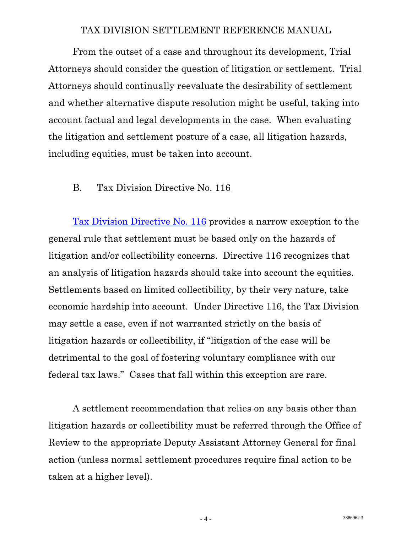<span id="page-7-0"></span> From the outset of a case and throughout its development, Trial Attorneys should consider the question of litigation or settlement. Trial Attorneys should continually reevaluate the desirability of settlement and whether alternative dispute resolution might be useful, taking into account factual and legal developments in the case. When evaluating the litigation and settlement posture of a case, all litigation hazards, including equities, must be taken into account.

#### B. Tax Division Directive No. 116

[Tax Division Directive No. 116](http://www.usdoj.gov/tax/readingroom/settlemn/D_4_TAX_DIR_116.pdf) provides a narrow exception to the general rule that settlement must be based only on the hazards of litigation and/or collectibility concerns. Directive 116 recognizes that an analysis of litigation hazards should take into account the equities. Settlements based on limited collectibility, by their very nature, take economic hardship into account. Under Directive 116, the Tax Division may settle a case, even if not warranted strictly on the basis of litigation hazards or collectibility, if "litigation of the case will be detrimental to the goal of fostering voluntary compliance with our federal tax laws." Cases that fall within this exception are rare.

 A settlement recommendation that relies on any basis other than litigation hazards or collectibility must be referred through the Office of Review to the appropriate Deputy Assistant Attorney General for final action (unless normal settlement procedures require final action to be taken at a higher level).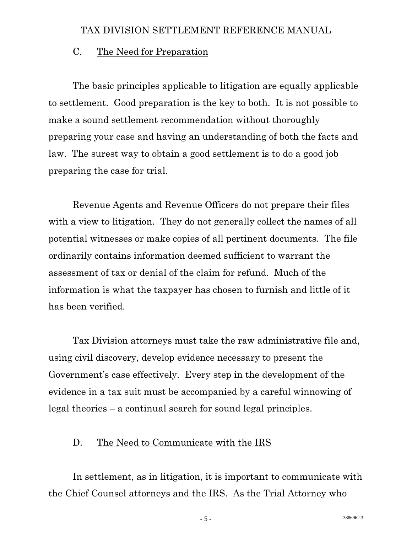#### <span id="page-8-0"></span>C. The Need for Preparation

 The basic principles applicable to litigation are equally applicable to settlement. Good preparation is the key to both. It is not possible to make a sound settlement recommendation without thoroughly preparing your case and having an understanding of both the facts and law. The surest way to obtain a good settlement is to do a good job preparing the case for trial.

 Revenue Agents and Revenue Officers do not prepare their files with a view to litigation. They do not generally collect the names of all potential witnesses or make copies of all pertinent documents. The file ordinarily contains information deemed sufficient to warrant the assessment of tax or denial of the claim for refund. Much of the information is what the taxpayer has chosen to furnish and little of it has been verified.

 Tax Division attorneys must take the raw administrative file and, using civil discovery, develop evidence necessary to present the Government's case effectively. Every step in the development of the evidence in a tax suit must be accompanied by a careful winnowing of legal theories – a continual search for sound legal principles.

#### D. The Need to Communicate with the IRS

 In settlement, as in litigation, it is important to communicate with the Chief Counsel attorneys and the IRS. As the Trial Attorney who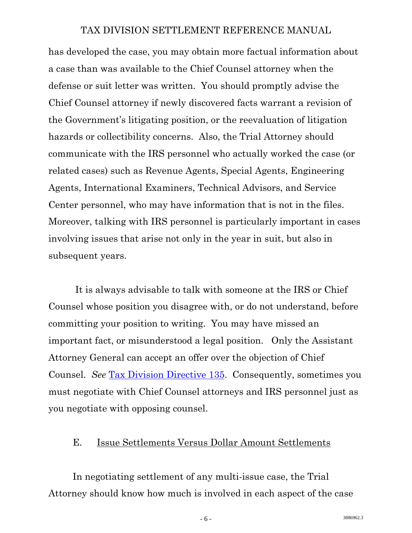<span id="page-9-0"></span>has developed the case, you may obtain more factual information about a case than was available to the Chief Counsel attorney when the defense or suit letter was written. You should promptly advise the Chief Counsel attorney if newly discovered facts warrant a revision of the Government's litigating position, or the reevaluation of litigation hazards or collectibility concerns. Also, the Trial Attorney should communicate with the IRS personnel who actually worked the case (or related cases) such as Revenue Agents, Special Agents, Engineering Agents, International Examiners, Technical Advisors, and Service Center personnel, who may have information that is not in the files. Moreover, talking with IRS personnel is particularly important in cases involving issues that arise not only in the year in suit, but also in subsequent years.

 It is always advisable to talk with someone at the IRS or Chief Counsel whose position you disagree with, or do not understand, before committing your position to writing. You may have missed an important fact, or misunderstood a legal position. Only the Assistant Attorney General can accept an offer over the objection of Chief Counsel. *See* [Tax Division Directive 135.](http://www.usdoj.gov/tax/readingroom/settlemn/D_3_TAX_DIR_135.pdf) Consequently, sometimes you must negotiate with Chief Counsel attorneys and IRS personnel just as you negotiate with opposing counsel.

#### E. Issue Settlements Versus Dollar Amount Settlements

 In negotiating settlement of any multi-issue case, the Trial Attorney should know how much is involved in each aspect of the case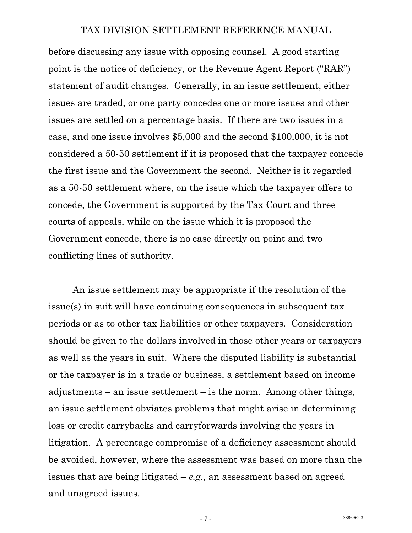before discussing any issue with opposing counsel. A good starting point is the notice of deficiency, or the Revenue Agent Report ("RAR") statement of audit changes. Generally, in an issue settlement, either issues are traded, or one party concedes one or more issues and other issues are settled on a percentage basis. If there are two issues in a case, and one issue involves \$5,000 and the second \$100,000, it is not considered a 50-50 settlement if it is proposed that the taxpayer concede the first issue and the Government the second. Neither is it regarded as a 50-50 settlement where, on the issue which the taxpayer offers to concede, the Government is supported by the Tax Court and three courts of appeals, while on the issue which it is proposed the Government concede, there is no case directly on point and two conflicting lines of authority.

 An issue settlement may be appropriate if the resolution of the issue(s) in suit will have continuing consequences in subsequent tax periods or as to other tax liabilities or other taxpayers. Consideration should be given to the dollars involved in those other years or taxpayers as well as the years in suit. Where the disputed liability is substantial or the taxpayer is in a trade or business, a settlement based on income adjustments – an issue settlement – is the norm. Among other things, an issue settlement obviates problems that might arise in determining loss or credit carrybacks and carryforwards involving the years in litigation. A percentage compromise of a deficiency assessment should be avoided, however, where the assessment was based on more than the issues that are being litigated – *e.g.*, an assessment based on agreed and unagreed issues.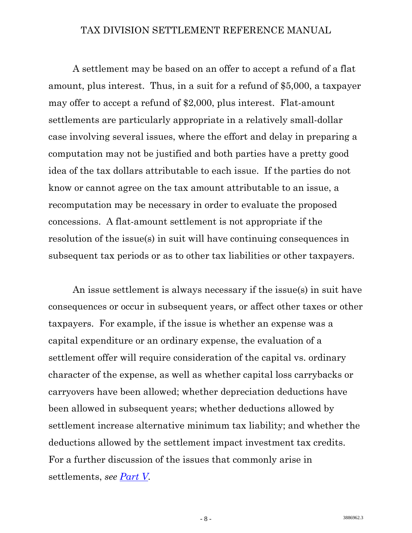A settlement may be based on an offer to accept a refund of a flat amount, plus interest. Thus, in a suit for a refund of \$5,000, a taxpayer may offer to accept a refund of \$2,000, plus interest. Flat-amount settlements are particularly appropriate in a relatively small-dollar case involving several issues, where the effort and delay in preparing a computation may not be justified and both parties have a pretty good idea of the tax dollars attributable to each issue. If the parties do not know or cannot agree on the tax amount attributable to an issue, a recomputation may be necessary in order to evaluate the proposed concessions. A flat-amount settlement is not appropriate if the resolution of the issue(s) in suit will have continuing consequences in subsequent tax periods or as to other tax liabilities or other taxpayers.

 An issue settlement is always necessary if the issue(s) in suit have consequences or occur in subsequent years, or affect other taxes or other taxpayers. For example, if the issue is whether an expense was a capital expenditure or an ordinary expense, the evaluation of a settlement offer will require consideration of the capital vs. ordinary character of the expense, as well as whether capital loss carrybacks or carryovers have been allowed; whether depreciation deductions have been allowed in subsequent years; whether deductions allowed by settlement increase alternative minimum tax liability; and whether the deductions allowed by the settlement impact investment tax credits. For a further discussion of the issues that commonly arise in settlements, *see [Part V](#page-0-0).*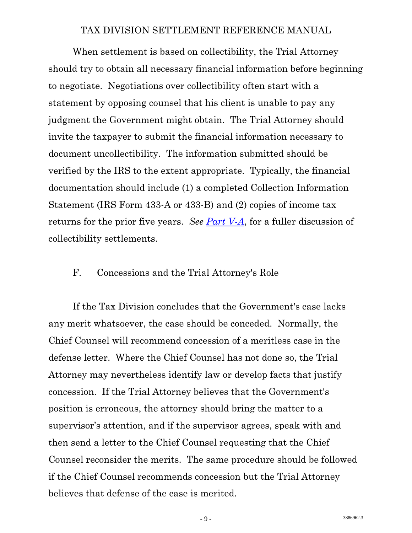<span id="page-12-0"></span> When settlement is based on collectibility, the Trial Attorney should try to obtain all necessary financial information before beginning to negotiate. Negotiations over collectibility often start with a statement by opposing counsel that his client is unable to pay any judgment the Government might obtain. The Trial Attorney should invite the taxpayer to submit the financial information necessary to document uncollectibility. The information submitted should be verified by the IRS to the extent appropriate. Typically, the financial documentation should include (1) a completed Collection Information Statement (IRS Form 433-A or 433-B) and (2) copies of income tax returns for the prior five years. *See [Part V-A](#page-79-0)*, for a fuller discussion of collectibility settlements.

#### F. Concessions and the Trial Attorney's Role

 If the Tax Division concludes that the Government's case lacks any merit whatsoever, the case should be conceded. Normally, the Chief Counsel will recommend concession of a meritless case in the defense letter. Where the Chief Counsel has not done so, the Trial Attorney may nevertheless identify law or develop facts that justify concession. If the Trial Attorney believes that the Government's position is erroneous, the attorney should bring the matter to a supervisor's attention, and if the supervisor agrees, speak with and then send a letter to the Chief Counsel requesting that the Chief Counsel reconsider the merits. The same procedure should be followed if the Chief Counsel recommends concession but the Trial Attorney believes that defense of the case is merited.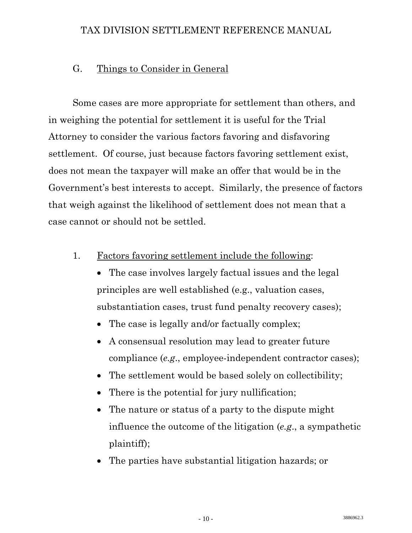#### <span id="page-13-0"></span>G. Things to Consider in General

 Some cases are more appropriate for settlement than others, and in weighing the potential for settlement it is useful for the Trial Attorney to consider the various factors favoring and disfavoring settlement. Of course, just because factors favoring settlement exist, does not mean the taxpayer will make an offer that would be in the Government's best interests to accept. Similarly, the presence of factors that weigh against the likelihood of settlement does not mean that a case cannot or should not be settled.

- 1. Factors favoring settlement include the following:
	- The case involves largely factual issues and the legal principles are well established (e.g., valuation cases, substantiation cases, trust fund penalty recovery cases);
	- The case is legally and/or factually complex;
	- A consensual resolution may lead to greater future compliance (*e.g*., employee-independent contractor cases);
	- The settlement would be based solely on collectibility;
	- There is the potential for jury nullification;
	- The nature or status of a party to the dispute might influence the outcome of the litigation (*e.g*., a sympathetic plaintiff);
	- The parties have substantial litigation hazards; or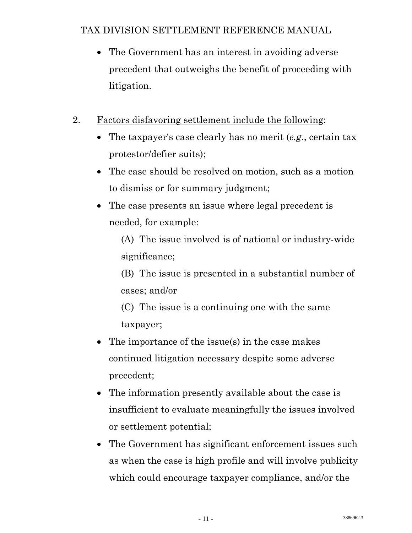- The Government has an interest in avoiding adverse precedent that outweighs the benefit of proceeding with litigation.
- 2. Factors disfavoring settlement include the following:
	- The taxpayer's case clearly has no merit (*e.g*., certain tax protestor/defier suits);
	- The case should be resolved on motion, such as a motion to dismiss or for summary judgment;
	- The case presents an issue where legal precedent is needed, for example:

(A) The issue involved is of national or industry-wide significance;

(B) The issue is presented in a substantial number of cases; and/or

(C) The issue is a continuing one with the same taxpayer;

- The importance of the issue(s) in the case makes continued litigation necessary despite some adverse precedent;
- The information presently available about the case is insufficient to evaluate meaningfully the issues involved or settlement potential;
- The Government has significant enforcement issues such as when the case is high profile and will involve publicity which could encourage taxpayer compliance, and/or the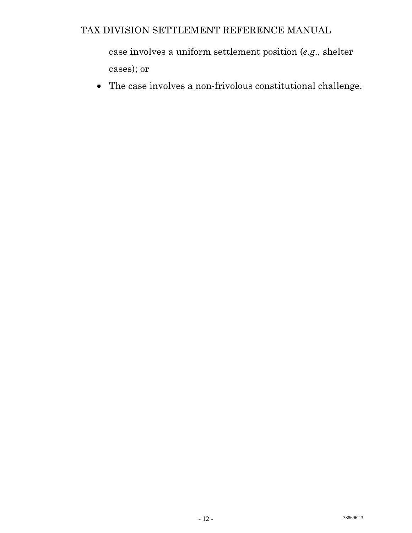case involves a uniform settlement position (*e.g*., shelter cases); or

• The case involves a non-frivolous constitutional challenge.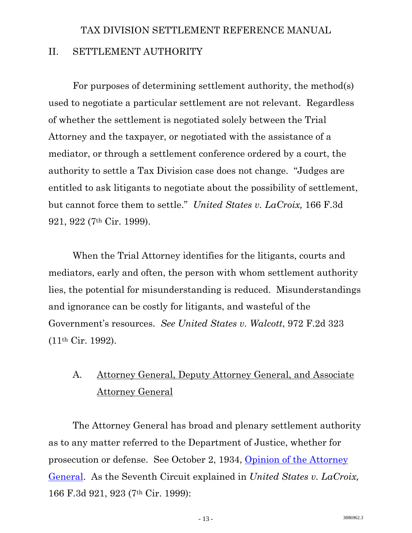# <span id="page-16-0"></span>TAX DIVISION SETTLEMENT REFERENCE MANUAL II. SETTLEMENT AUTHORITY

 For purposes of determining settlement authority, the method(s) used to negotiate a particular settlement are not relevant. Regardless of whether the settlement is negotiated solely between the Trial Attorney and the taxpayer, or negotiated with the assistance of a mediator, or through a settlement conference ordered by a court, the authority to settle a Tax Division case does not change. "Judges are entitled to ask litigants to negotiate about the possibility of settlement, but cannot force them to settle." *United States v. LaCroix,* 166 F.3d 921, 922 (7th Cir. 1999).

 When the Trial Attorney identifies for the litigants, courts and mediators, early and often, the person with whom settlement authority lies, the potential for misunderstanding is reduced. Misunderstandings and ignorance can be costly for litigants, and wasteful of the Government's resources. *See United States v. Walcott*, 972 F.2d 323 (11th Cir. 1992).

# A. Attorney General, Deputy Attorney General, and Associate Attorney General

 The Attorney General has broad and plenary settlement authority as to any matter referred to the Department of Justice, whether for prosecution or defense. See October 2, 1934, [Opinion of the Attorney](http://www.usdoj.gov/tax/readingroom/settlemn/D_1_AG_OP_38OP98.doc.pdf)  [General.](http://www.usdoj.gov/tax/readingroom/settlemn/D_1_AG_OP_38OP98.doc.pdf) As the Seventh Circuit explained in *United States v. LaCroix,* 166 F.3d 921, 923 (7th Cir. 1999):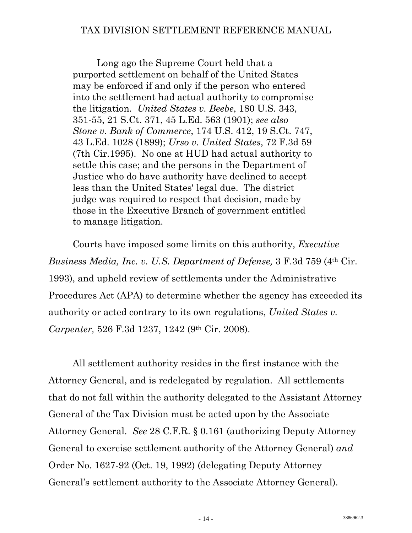Long ago the Supreme Court held that a purported settlement on behalf of the United States may be enforced if and only if the person who entered into the settlement had actual authority to compromise the litigation. *United States v. Beebe*, 180 U.S. 343, 351-55, 21 S.Ct. 371, 45 L.Ed. 563 (1901); *see also Stone v. Bank of Commerce*, 174 U.S. 412, 19 S.Ct. 747, 43 L.Ed. 1028 (1899); *Urso v. United States*, 72 F.3d 59 (7th Cir.1995). No one at HUD had actual authority to settle this case; and the persons in the Department of Justice who do have authority have declined to accept less than the United States' legal due. The district judge was required to respect that decision, made by those in the Executive Branch of government entitled to manage litigation.

 Courts have imposed some limits on this authority, *Executive Business Media, Inc. v. U.S. Department of Defense,* 3 F.3d 759 (4th Cir. 1993), and upheld review of settlements under the Administrative Procedures Act (APA) to determine whether the agency has exceeded its authority or acted contrary to its own regulations, *United States v. Carpenter,* 526 F.3d 1237, 1242 (9th Cir. 2008).

 All settlement authority resides in the first instance with the Attorney General, and is redelegated by regulation. All settlements that do not fall within the authority delegated to the Assistant Attorney General of the Tax Division must be acted upon by the Associate Attorney General. *See* 28 C.F.R. § 0.161 (authorizing Deputy Attorney General to exercise settlement authority of the Attorney General) *and* Order No. 1627-92 (Oct. 19, 1992) (delegating Deputy Attorney General's settlement authority to the Associate Attorney General).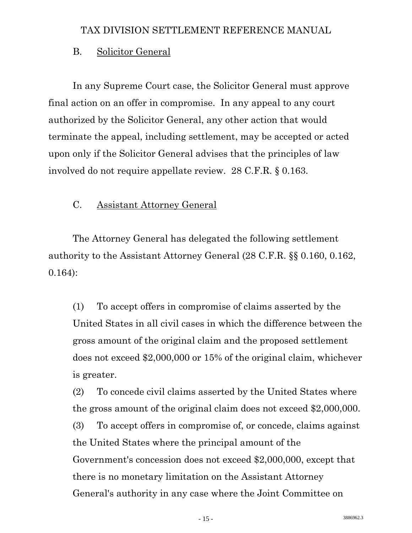#### <span id="page-18-0"></span>B. Solicitor General

 In any Supreme Court case, the Solicitor General must approve final action on an offer in compromise. In any appeal to any court authorized by the Solicitor General, any other action that would terminate the appeal, including settlement, may be accepted or acted upon only if the Solicitor General advises that the principles of law involved do not require appellate review. 28 C.F.R. § 0.163.

#### C. Assistant Attorney General

 The Attorney General has delegated the following settlement authority to the Assistant Attorney General (28 C.F.R. §§ 0.160, 0.162, 0.164):

(1) To accept offers in compromise of claims asserted by the United States in all civil cases in which the difference between the gross amount of the original claim and the proposed settlement does not exceed \$2,000,000 or 15% of the original claim, whichever is greater.

(2) To concede civil claims asserted by the United States where the gross amount of the original claim does not exceed \$2,000,000. (3) To accept offers in compromise of, or concede, claims against the United States where the principal amount of the Government's concession does not exceed \$2,000,000, except that there is no monetary limitation on the Assistant Attorney General's authority in any case where the Joint Committee on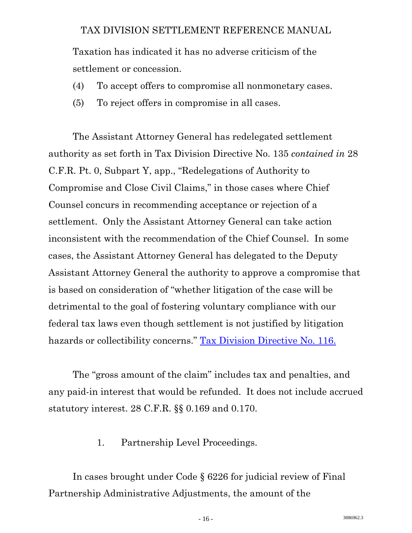<span id="page-19-0"></span>Taxation has indicated it has no adverse criticism of the settlement or concession.

- (4) To accept offers to compromise all nonmonetary cases.
- (5) To reject offers in compromise in all cases.

 The Assistant Attorney General has redelegated settlement authority as set forth in Tax Division Directive No. 135 *contained in* 28 C.F.R. Pt. 0, Subpart Y, app., "Redelegations of Authority to Compromise and Close Civil Claims," in those cases where Chief Counsel concurs in recommending acceptance or rejection of a settlement. Only the Assistant Attorney General can take action inconsistent with the recommendation of the Chief Counsel. In some cases, the Assistant Attorney General has delegated to the Deputy Assistant Attorney General the authority to approve a compromise that is based on consideration of "whether litigation of the case will be detrimental to the goal of fostering voluntary compliance with our federal tax laws even though settlement is not justified by litigation hazards or collectibility concerns." [Tax Division Directive No. 116.](http://www.usdoj.gov/tax/readingroom/settlemn/D_4_TAX_DIR_116.pdf)

 The "gross amount of the claim" includes tax and penalties, and any paid-in interest that would be refunded. It does not include accrued statutory interest. 28 C.F.R. §§ 0.169 and 0.170.

1. Partnership Level Proceedings.

 In cases brought under Code § 6226 for judicial review of Final Partnership Administrative Adjustments, the amount of the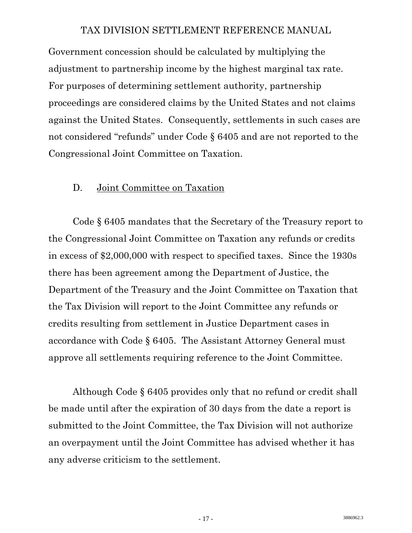<span id="page-20-0"></span>Government concession should be calculated by multiplying the adjustment to partnership income by the highest marginal tax rate. For purposes of determining settlement authority, partnership proceedings are considered claims by the United States and not claims against the United States. Consequently, settlements in such cases are not considered "refunds" under Code § 6405 and are not reported to the Congressional Joint Committee on Taxation.

#### D. Joint Committee on Taxation

 Code § 6405 mandates that the Secretary of the Treasury report to the Congressional Joint Committee on Taxation any refunds or credits in excess of \$2,000,000 with respect to specified taxes. Since the 1930s there has been agreement among the Department of Justice, the Department of the Treasury and the Joint Committee on Taxation that the Tax Division will report to the Joint Committee any refunds or credits resulting from settlement in Justice Department cases in accordance with Code § 6405. The Assistant Attorney General must approve all settlements requiring reference to the Joint Committee.

 Although Code § 6405 provides only that no refund or credit shall be made until after the expiration of 30 days from the date a report is submitted to the Joint Committee, the Tax Division will not authorize an overpayment until the Joint Committee has advised whether it has any adverse criticism to the settlement.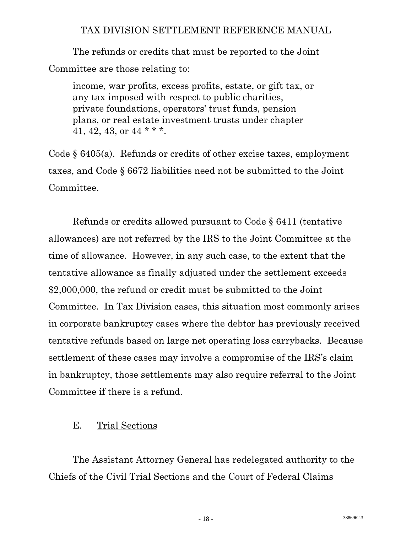<span id="page-21-0"></span> The refunds or credits that must be reported to the Joint Committee are those relating to:

income, war profits, excess profits, estate, or gift tax, or any tax imposed with respect to public charities, private foundations, operators' trust funds, pension plans, or real estate investment trusts under chapter 41, 42, 43, or  $44$  \* \* \*.

Code § 6405(a). Refunds or credits of other excise taxes, employment taxes, and Code § 6672 liabilities need not be submitted to the Joint Committee.

 Refunds or credits allowed pursuant to Code § 6411 (tentative allowances) are not referred by the IRS to the Joint Committee at the time of allowance. However, in any such case, to the extent that the tentative allowance as finally adjusted under the settlement exceeds \$2,000,000, the refund or credit must be submitted to the Joint Committee. In Tax Division cases, this situation most commonly arises in corporate bankruptcy cases where the debtor has previously received tentative refunds based on large net operating loss carrybacks. Because settlement of these cases may involve a compromise of the IRS's claim in bankruptcy, those settlements may also require referral to the Joint Committee if there is a refund.

#### E. Trial Sections

 The Assistant Attorney General has redelegated authority to the Chiefs of the Civil Trial Sections and the Court of Federal Claims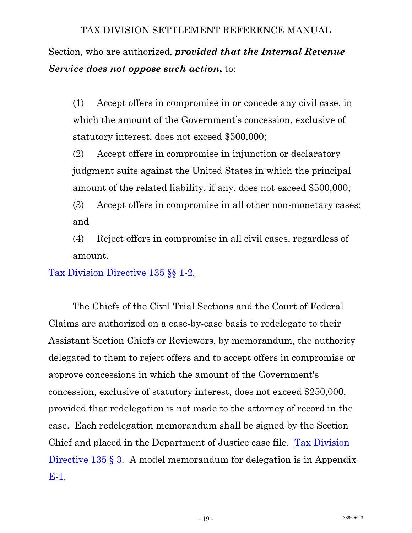Section, who are authorized, *provided that the Internal Revenue Service does not oppose such action***,** to:

(1) Accept offers in compromise in or concede any civil case, in which the amount of the Government's concession, exclusive of statutory interest, does not exceed \$500,000;

(2) Accept offers in compromise in injunction or declaratory judgment suits against the United States in which the principal amount of the related liability, if any, does not exceed \$500,000;

(3) Accept offers in compromise in all other non-monetary cases; and

(4) Reject offers in compromise in all civil cases, regardless of amount.

[Tax Division Directive 135 §§ 1-2](http://www.usdoj.gov/tax/readingroom/settlemn/D_3_TAX_DIR_135.pdf)*.*

 The Chiefs of the Civil Trial Sections and the Court of Federal Claims are authorized on a case-by-case basis to redelegate to their Assistant Section Chiefs or Reviewers, by memorandum, the authority delegated to them to reject offers and to accept offers in compromise or approve concessions in which the amount of the Government's concession, exclusive of statutory interest, does not exceed \$250,000, provided that redelegation is not made to the attorney of record in the case. Each redelegation memorandum shall be signed by the Section Chief and placed in the Department of Justice case file. [Tax Division](http://www.usdoj.gov/tax/readingroom/settlemn/D_3_TAX_DIR_135.pdf)  [Directive 135 § 3.](http://www.usdoj.gov/tax/readingroom/settlemn/D_3_TAX_DIR_135.pdf) A model memorandum for delegation is in Appendix [E-1.](http://www.usdoj.gov/tax/readingroom/settlemn/E_1_Delegation.DOC)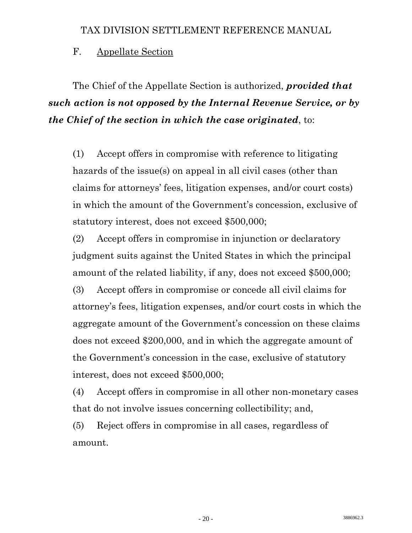#### <span id="page-23-0"></span>F. Appellate Section

 The Chief of the Appellate Section is authorized, *provided that such action is not opposed by the Internal Revenue Service, or by the Chief of the section in which the case originated*, to:

(1) Accept offers in compromise with reference to litigating hazards of the issue(s) on appeal in all civil cases (other than claims for attorneys' fees, litigation expenses, and/or court costs) in which the amount of the Government's concession, exclusive of statutory interest, does not exceed \$500,000;

(2) Accept offers in compromise in injunction or declaratory judgment suits against the United States in which the principal amount of the related liability, if any, does not exceed \$500,000;

(3) Accept offers in compromise or concede all civil claims for attorney's fees, litigation expenses, and/or court costs in which the aggregate amount of the Government's concession on these claims does not exceed \$200,000, and in which the aggregate amount of the Government's concession in the case, exclusive of statutory interest, does not exceed \$500,000;

(4) Accept offers in compromise in all other non-monetary cases that do not involve issues concerning collectibility; and,

(5) Reject offers in compromise in all cases, regardless of amount.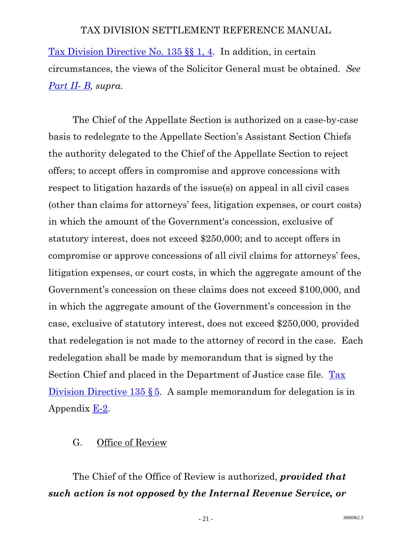<span id="page-24-0"></span>[Tax Division Directive No. 135 §§ 1, 4.](http://www.usdoj.gov/tax/readingroom/settlemn/D_3_TAX_DIR_135.pdf) In addition, in certain circumstances, the views of the Solicitor General must be obtained. *See Part II- B, supra.* 

 The Chief of the Appellate Section is authorized on a case-by-case basis to redelegate to the Appellate Section's Assistant Section Chiefs the authority delegated to the Chief of the Appellate Section to reject offers; to accept offers in compromise and approve concessions with respect to litigation hazards of the issue(s) on appeal in all civil cases (other than claims for attorneys' fees, litigation expenses, or court costs) in which the amount of the Government's concession, exclusive of statutory interest, does not exceed \$250,000; and to accept offers in compromise or approve concessions of all civil claims for attorneys' fees, litigation expenses, or court costs, in which the aggregate amount of the Government's concession on these claims does not exceed \$100,000, and in which the aggregate amount of the Government's concession in the case, exclusive of statutory interest, does not exceed \$250,000, provided that redelegation is not made to the attorney of record in the case. Each redelegation shall be made by memorandum that is signed by the Section Chief and placed in the Department of Justice case file. [Tax](http://www.usdoj.gov/tax/readingroom/settlemn/D_3_TAX_DIR_135.pdf)  [Division Directive 135 §](http://www.usdoj.gov/tax/readingroom/settlemn/D_3_TAX_DIR_135.pdf) 5. A sample memorandum for delegation is in Appendix  $E-2$ .

#### G. Office of Review

 The Chief of the Office of Review is authorized, *provided that such action is not opposed by the Internal Revenue Service, or*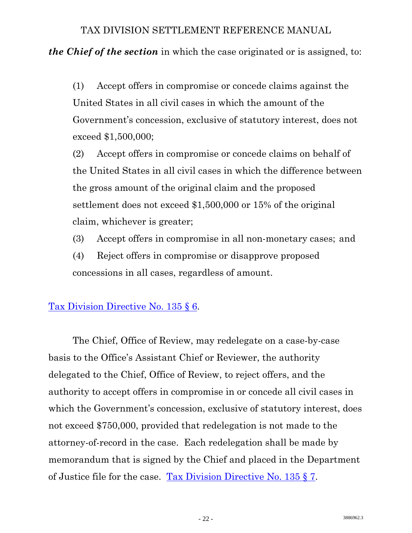*the Chief of the section* in which the case originated or is assigned, to:

(1) Accept offers in compromise or concede claims against the United States in all civil cases in which the amount of the Government's concession, exclusive of statutory interest, does not exceed \$1,500,000;

(2) Accept offers in compromise or concede claims on behalf of the United States in all civil cases in which the difference between the gross amount of the original claim and the proposed settlement does not exceed \$1,500,000 or 15% of the original claim, whichever is greater;

- (3) Accept offers in compromise in all non-monetary cases; and
- (4) Reject offers in compromise or disapprove proposed concessions in all cases, regardless of amount.

#### [Tax Division Directive No. 135 § 6.](http://www.usdoj.gov/tax/readingroom/settlemn/D_3_TAX_DIR_135.pdf)

 The Chief, Office of Review, may redelegate on a case-by-case basis to the Office's Assistant Chief or Reviewer, the authority delegated to the Chief, Office of Review, to reject offers, and the authority to accept offers in compromise in or concede all civil cases in which the Government's concession, exclusive of statutory interest, does not exceed \$750,000, provided that redelegation is not made to the attorney-of-record in the case. Each redelegation shall be made by memorandum that is signed by the Chief and placed in the Department of Justice file for the case. [Tax Division Directive No. 135 § 7.](http://www.usdoj.gov/tax/readingroom/settlemn/D_3_TAX_DIR_135.pdf)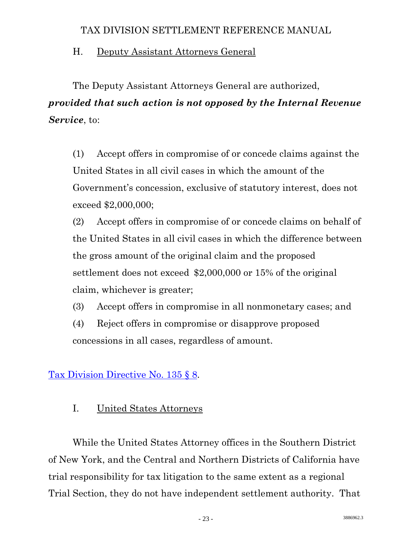## <span id="page-26-0"></span>H. Deputy Assistant Attorneys General

 The Deputy Assistant Attorneys General are authorized, *provided that such action is not opposed by the Internal Revenue Service*, to:

 (1) Accept offers in compromise of or concede claims against the United States in all civil cases in which the amount of the Government's concession, exclusive of statutory interest, does not exceed \$2,000,000;

 (2) Accept offers in compromise of or concede claims on behalf of the United States in all civil cases in which the difference between the gross amount of the original claim and the proposed settlement does not exceed \$2,000,000 or 15% of the original claim, whichever is greater;

(3) Accept offers in compromise in all nonmonetary cases; and

(4) Reject offers in compromise or disapprove proposed concessions in all cases, regardless of amount.

# [Tax Division Directive No. 135 § 8.](http://www.usdoj.gov/tax/readingroom/settlemn/D_3_TAX_DIR_135.pdf)

# I. United States Attorneys

 While the United States Attorney offices in the Southern District of New York, and the Central and Northern Districts of California have trial responsibility for tax litigation to the same extent as a regional Trial Section, they do not have independent settlement authority. That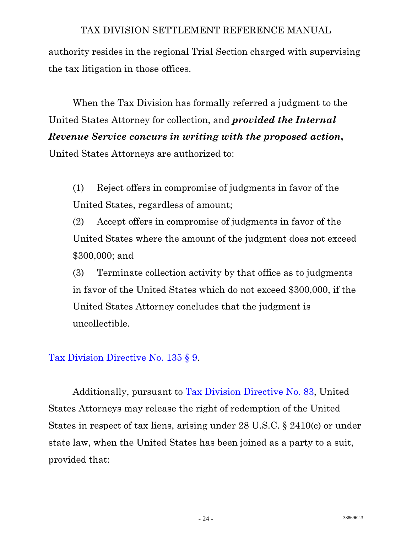authority resides in the regional Trial Section charged with supervising the tax litigation in those offices.

 When the Tax Division has formally referred a judgment to the United States Attorney for collection, and *provided the Internal Revenue Service concurs in writing with the proposed action***,** 

United States Attorneys are authorized to:

(1) Reject offers in compromise of judgments in favor of the United States, regardless of amount;

(2) Accept offers in compromise of judgments in favor of the United States where the amount of the judgment does not exceed \$300,000; and

(3) Terminate collection activity by that office as to judgments in favor of the United States which do not exceed \$300,000, if the United States Attorney concludes that the judgment is uncollectible.

#### [Tax Division Directive No. 135 § 9.](http://www.usdoj.gov/tax/readingroom/settlemn/D_3_TAX_DIR_135.pdf)

 Additionally, pursuant to [Tax Division Directive No. 83,](http://www.usdoj.gov/tax/readingroom/settlemn/D_6_TAX_DIR_83.pdf) United States Attorneys may release the right of redemption of the United States in respect of tax liens, arising under 28 U.S.C. § 2410(c) or under state law, when the United States has been joined as a party to a suit, provided that: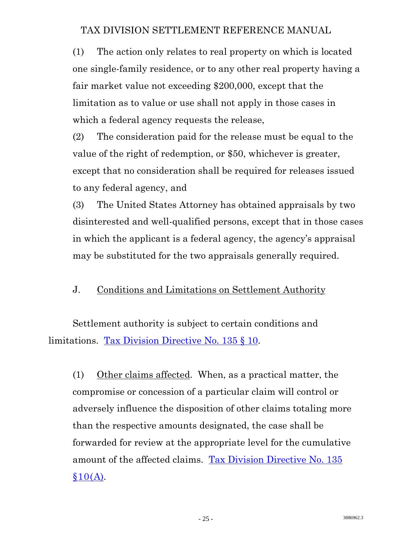<span id="page-28-0"></span>(1) The action only relates to real property on which is located one single-family residence, or to any other real property having a fair market value not exceeding \$200,000, except that the limitation as to value or use shall not apply in those cases in which a federal agency requests the release,

(2) The consideration paid for the release must be equal to the value of the right of redemption, or \$50, whichever is greater, except that no consideration shall be required for releases issued to any federal agency, and

(3) The United States Attorney has obtained appraisals by two disinterested and well-qualified persons, except that in those cases in which the applicant is a federal agency, the agency's appraisal may be substituted for the two appraisals generally required.

#### J. Conditions and Limitations on Settlement Authority

 Settlement authority is subject to certain conditions and limitations. [Tax Division Directive No. 135 § 10](http://www.usdoj.gov/tax/readingroom/settlemn/D_3_TAX_DIR_135.pdf).

(1) Other claims affected. When, as a practical matter, the compromise or concession of a particular claim will control or adversely influence the disposition of other claims totaling more than the respective amounts designated, the case shall be forwarded for review at the appropriate level for the cumulative amount of the affected claims. [Tax Division Directive No. 135](http://www.usdoj.gov/tax/readingroom/settlemn/D_3_TAX_DIR_135.pdf)  $§10(A).$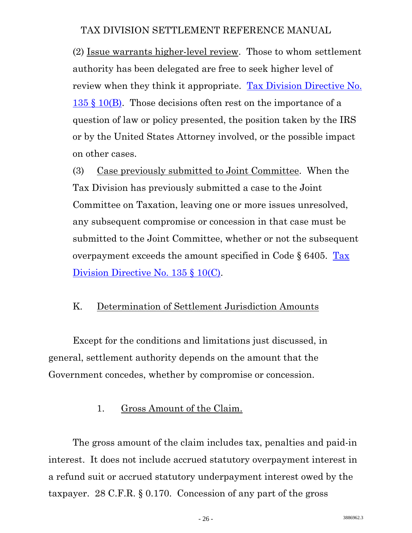<span id="page-29-0"></span>(2) Issue warrants higher-level review. Those to whom settlement authority has been delegated are free to seek higher level of review when they think it appropriate. [Tax Division Directive No.](http://www.usdoj.gov/tax/readingroom/settlemn/D_3_TAX_DIR_135.pdf)   $135 \text{ }\frac{1}{2}$  10(B). Those decisions often rest on the importance of a question of law or policy presented, the position taken by the IRS or by the United States Attorney involved, or the possible impact on other cases.

(3) Case previously submitted to Joint Committee. When the Tax Division has previously submitted a case to the Joint Committee on Taxation, leaving one or more issues unresolved, any subsequent compromise or concession in that case must be submitted to the Joint Committee, whether or not the subsequent overpayment exceeds the amount specified in Code § 6405. [Tax](http://www.usdoj.gov/tax/readingroom/settlemn/D_3_TAX_DIR_135.pdf)  [Division Directive No. 135 § 10\(C\).](http://www.usdoj.gov/tax/readingroom/settlemn/D_3_TAX_DIR_135.pdf)

#### K. Determination of Settlement Jurisdiction Amounts

 Except for the conditions and limitations just discussed, in general, settlement authority depends on the amount that the Government concedes, whether by compromise or concession.

#### 1. Gross Amount of the Claim.

 The gross amount of the claim includes tax, penalties and paid-in interest. It does not include accrued statutory overpayment interest in a refund suit or accrued statutory underpayment interest owed by the taxpayer. 28 C.F.R. § 0.170. Concession of any part of the gross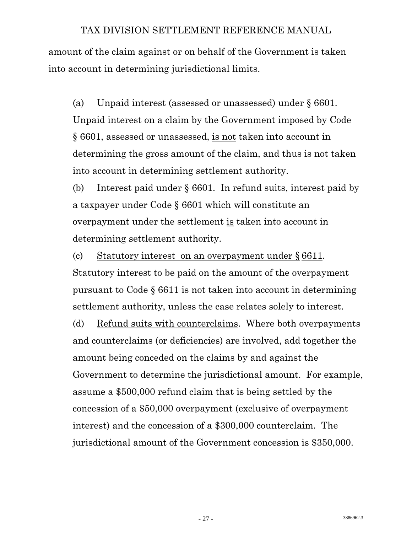amount of the claim against or on behalf of the Government is taken into account in determining jurisdictional limits.

(a) Unpaid interest (assessed or unassessed) under § 6601. Unpaid interest on a claim by the Government imposed by Code § 6601, assessed or unassessed, is not taken into account in determining the gross amount of the claim, and thus is not taken into account in determining settlement authority.

(b) Interest paid under § 6601. In refund suits, interest paid by a taxpayer under Code § 6601 which will constitute an overpayment under the settlement is taken into account in determining settlement authority.

(c) Statutory interest on an overpayment under § 6611. Statutory interest to be paid on the amount of the overpayment pursuant to Code § 6611 is not taken into account in determining settlement authority, unless the case relates solely to interest.

(d) Refund suits with counterclaims. Where both overpayments and counterclaims (or deficiencies) are involved, add together the amount being conceded on the claims by and against the Government to determine the jurisdictional amount. For example, assume a \$500,000 refund claim that is being settled by the concession of a \$50,000 overpayment (exclusive of overpayment interest) and the concession of a \$300,000 counterclaim. The jurisdictional amount of the Government concession is \$350,000.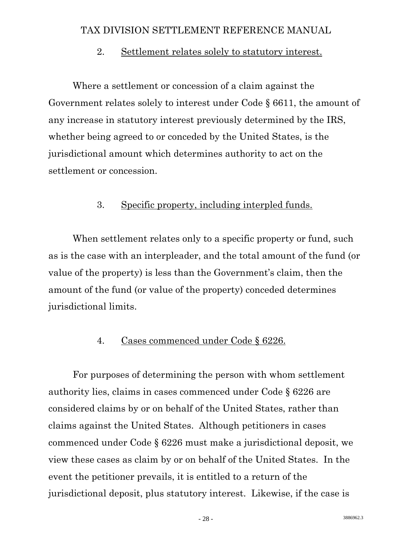#### 2. Settlement relates solely to statutory interest.

<span id="page-31-0"></span> Where a settlement or concession of a claim against the Government relates solely to interest under Code § 6611, the amount of any increase in statutory interest previously determined by the IRS, whether being agreed to or conceded by the United States, is the jurisdictional amount which determines authority to act on the settlement or concession.

#### 3. Specific property, including interpled funds.

 When settlement relates only to a specific property or fund, such as is the case with an interpleader, and the total amount of the fund (or value of the property) is less than the Government's claim, then the amount of the fund (or value of the property) conceded determines jurisdictional limits.

#### 4. Cases commenced under Code § 6226.

 For purposes of determining the person with whom settlement authority lies, claims in cases commenced under Code § 6226 are considered claims by or on behalf of the United States, rather than claims against the United States. Although petitioners in cases commenced under Code § 6226 must make a jurisdictional deposit, we view these cases as claim by or on behalf of the United States. In the event the petitioner prevails, it is entitled to a return of the jurisdictional deposit, plus statutory interest. Likewise, if the case is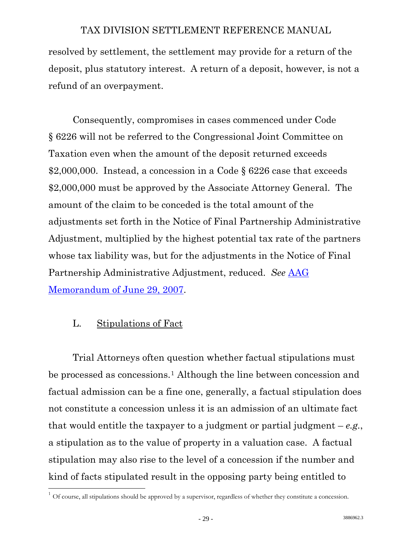<span id="page-32-0"></span>resolved by settlement, the settlement may provide for a return of the deposit, plus statutory interest. A return of a deposit, however, is not a refund of an overpayment.

 Consequently, compromises in cases commenced under Code § 6226 will not be referred to the Congressional Joint Committee on Taxation even when the amount of the deposit returned exceeds \$2,000,000. Instead, a concession in a Code § 6226 case that exceeds \$2,000,000 must be approved by the Associate Attorney General. The amount of the claim to be conceded is the total amount of the adjustments set forth in the Notice of Final Partnership Administrative Adjustment, multiplied by the highest potential tax rate of the partners whose tax liability was, but for the adjustments in the Notice of Final Partnership Administrative Adjustment, reduced. *See* [AAG](http://www.usdoj.gov/tax/readingroom/settlemn/D_7_AAG_Memo_6_29_07.PDF)  [Memorandum of June 29, 2007.](http://www.usdoj.gov/tax/readingroom/settlemn/D_7_AAG_Memo_6_29_07.PDF)

#### L. Stipulations of Fact

l

 Trial Attorneys often question whether factual stipulations must be processed as concessions.[1](#page-32-1) Although the line between concession and factual admission can be a fine one, generally, a factual stipulation does not constitute a concession unless it is an admission of an ultimate fact that would entitle the taxpayer to a judgment or partial judgment  $-e.g.,$ a stipulation as to the value of property in a valuation case. A factual stipulation may also rise to the level of a concession if the number and kind of facts stipulated result in the opposing party being entitled to

<span id="page-32-1"></span> $1$  Of course, all stipulations should be approved by a supervisor, regardless of whether they constitute a concession.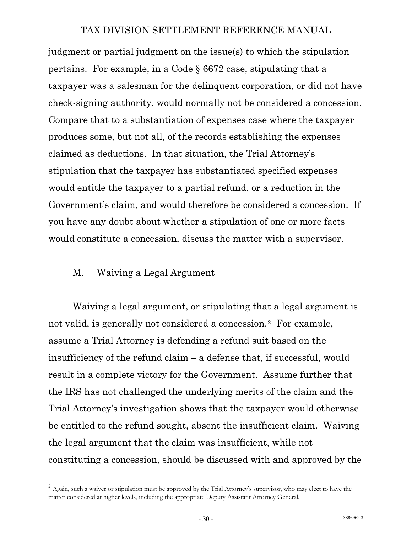<span id="page-33-0"></span>judgment or partial judgment on the issue(s) to which the stipulation pertains. For example, in a Code § 6672 case, stipulating that a taxpayer was a salesman for the delinquent corporation, or did not have check-signing authority, would normally not be considered a concession. Compare that to a substantiation of expenses case where the taxpayer produces some, but not all, of the records establishing the expenses claimed as deductions. In that situation, the Trial Attorney's stipulation that the taxpayer has substantiated specified expenses would entitle the taxpayer to a partial refund, or a reduction in the Government's claim, and would therefore be considered a concession. If you have any doubt about whether a stipulation of one or more facts would constitute a concession, discuss the matter with a supervisor.

#### M. Waiving a Legal Argument

 $\overline{a}$ 

 Waiving a legal argument, or stipulating that a legal argument is not valid, is generally not considered a concession.[2](#page-33-1) For example, assume a Trial Attorney is defending a refund suit based on the insufficiency of the refund claim – a defense that, if successful, would result in a complete victory for the Government. Assume further that the IRS has not challenged the underlying merits of the claim and the Trial Attorney's investigation shows that the taxpayer would otherwise be entitled to the refund sought, absent the insufficient claim. Waiving the legal argument that the claim was insufficient, while not constituting a concession, should be discussed with and approved by the

<span id="page-33-1"></span> $2$  Again, such a waiver or stipulation must be approved by the Trial Attorney's supervisor, who may elect to have the matter considered at higher levels, including the appropriate Deputy Assistant Attorney General.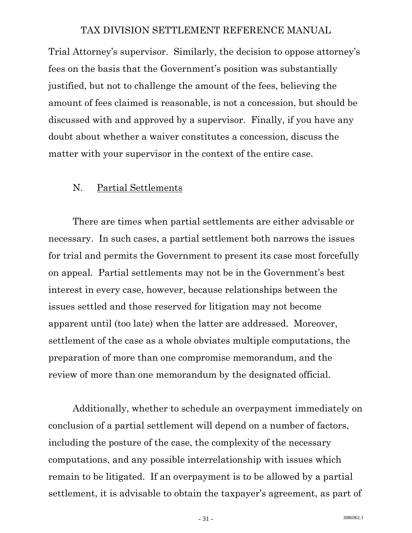<span id="page-34-0"></span>Trial Attorney's supervisor. Similarly, the decision to oppose attorney's fees on the basis that the Government's position was substantially justified, but not to challenge the amount of the fees, believing the amount of fees claimed is reasonable, is not a concession, but should be discussed with and approved by a supervisor. Finally, if you have any doubt about whether a waiver constitutes a concession, discuss the matter with your supervisor in the context of the entire case.

#### N. Partial Settlements

 There are times when partial settlements are either advisable or necessary. In such cases, a partial settlement both narrows the issues for trial and permits the Government to present its case most forcefully on appeal. Partial settlements may not be in the Government's best interest in every case, however, because relationships between the issues settled and those reserved for litigation may not become apparent until (too late) when the latter are addressed. Moreover, settlement of the case as a whole obviates multiple computations, the preparation of more than one compromise memorandum, and the review of more than one memorandum by the designated official.

 Additionally, whether to schedule an overpayment immediately on conclusion of a partial settlement will depend on a number of factors, including the posture of the case, the complexity of the necessary computations, and any possible interrelationship with issues which remain to be litigated. If an overpayment is to be allowed by a partial settlement, it is advisable to obtain the taxpayer's agreement, as part of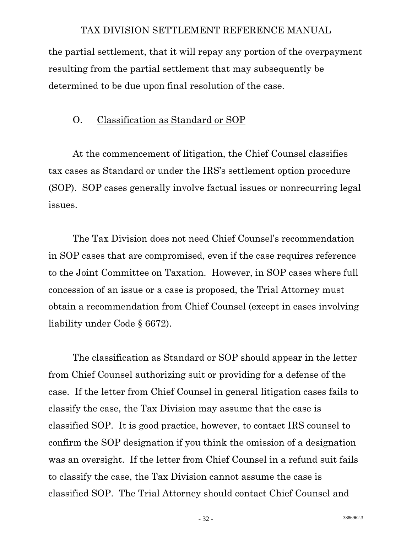<span id="page-35-0"></span>the partial settlement, that it will repay any portion of the overpayment resulting from the partial settlement that may subsequently be determined to be due upon final resolution of the case.

#### O. Classification as Standard or SOP

 At the commencement of litigation, the Chief Counsel classifies tax cases as Standard or under the IRS's settlement option procedure (SOP). SOP cases generally involve factual issues or nonrecurring legal issues.

 The Tax Division does not need Chief Counsel's recommendation in SOP cases that are compromised, even if the case requires reference to the Joint Committee on Taxation. However, in SOP cases where full concession of an issue or a case is proposed, the Trial Attorney must obtain a recommendation from Chief Counsel (except in cases involving liability under Code § 6672).

 The classification as Standard or SOP should appear in the letter from Chief Counsel authorizing suit or providing for a defense of the case. If the letter from Chief Counsel in general litigation cases fails to classify the case, the Tax Division may assume that the case is classified SOP. It is good practice, however, to contact IRS counsel to confirm the SOP designation if you think the omission of a designation was an oversight. If the letter from Chief Counsel in a refund suit fails to classify the case, the Tax Division cannot assume the case is classified SOP. The Trial Attorney should contact Chief Counsel and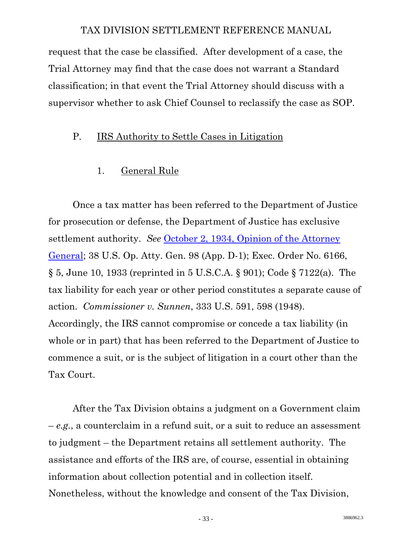request that the case be classified. After development of a case, the Trial Attorney may find that the case does not warrant a Standard classification; in that event the Trial Attorney should discuss with a supervisor whether to ask Chief Counsel to reclassify the case as SOP.

## P. IRS Authority to Settle Cases in Litigation

#### 1. General Rule

 Once a tax matter has been referred to the Department of Justice for prosecution or defense, the Department of Justice has exclusive settlement authority. *See* [October 2, 1934, Opinion of the Attorney](http://www.usdoj.gov/tax/readingroom/settlemn/D_1_AG_OP_38OP98.doc.pdf)  [General;](http://www.usdoj.gov/tax/readingroom/settlemn/D_1_AG_OP_38OP98.doc.pdf) 38 U.S. Op. Atty. Gen. 98 (App. D-1); Exec. Order No. 6166, § 5, June 10, 1933 (reprinted in 5 U.S.C.A. § 901); Code § 7122(a). The tax liability for each year or other period constitutes a separate cause of action. *Commissioner v. Sunnen*, 333 U.S. 591, 598 (1948). Accordingly, the IRS cannot compromise or concede a tax liability (in whole or in part) that has been referred to the Department of Justice to commence a suit, or is the subject of litigation in a court other than the Tax Court.

 After the Tax Division obtains a judgment on a Government claim – *e.g.*, a counterclaim in a refund suit, or a suit to reduce an assessment to judgment – the Department retains all settlement authority. The assistance and efforts of the IRS are, of course, essential in obtaining information about collection potential and in collection itself. Nonetheless, without the knowledge and consent of the Tax Division,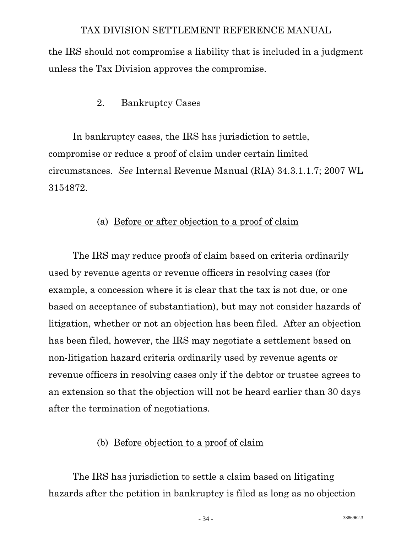the IRS should not compromise a liability that is included in a judgment unless the Tax Division approves the compromise.

# 2. Bankruptcy Cases

 In bankruptcy cases, the IRS has jurisdiction to settle, compromise or reduce a proof of claim under certain limited circumstances. *See* Internal Revenue Manual (RIA) 34.3.1.1.7; 2007 WL 3154872.

## (a) Before or after objection to a proof of claim

 The IRS may reduce proofs of claim based on criteria ordinarily used by revenue agents or revenue officers in resolving cases (for example, a concession where it is clear that the tax is not due, or one based on acceptance of substantiation), but may not consider hazards of litigation, whether or not an objection has been filed. After an objection has been filed, however, the IRS may negotiate a settlement based on non-litigation hazard criteria ordinarily used by revenue agents or revenue officers in resolving cases only if the debtor or trustee agrees to an extension so that the objection will not be heard earlier than 30 days after the termination of negotiations.

# (b) Before objection to a proof of claim

 The IRS has jurisdiction to settle a claim based on litigating hazards after the petition in bankruptcy is filed as long as no objection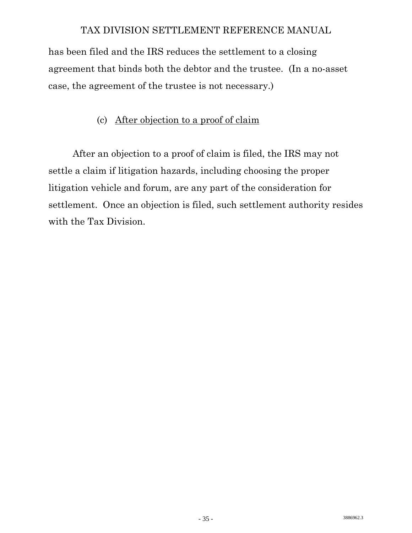has been filed and the IRS reduces the settlement to a closing agreement that binds both the debtor and the trustee. (In a no-asset case, the agreement of the trustee is not necessary.)

# (c) After objection to a proof of claim

 After an objection to a proof of claim is filed, the IRS may not settle a claim if litigation hazards, including choosing the proper litigation vehicle and forum, are any part of the consideration for settlement. Once an objection is filed, such settlement authority resides with the Tax Division.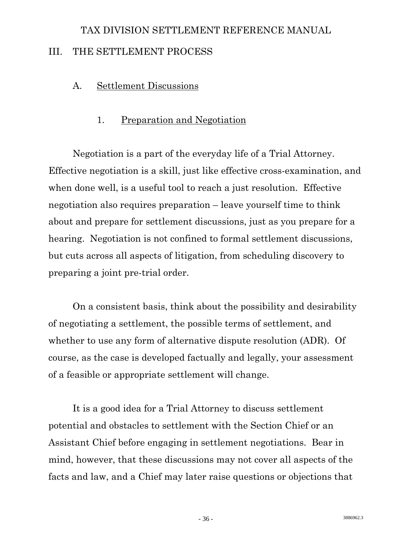# TAX DIVISION SETTLEMENT REFERENCE MANUAL III. THE SETTLEMENT PROCESS

# A. Settlement Discussions

# 1. Preparation and Negotiation

 Negotiation is a part of the everyday life of a Trial Attorney. Effective negotiation is a skill, just like effective cross-examination, and when done well, is a useful tool to reach a just resolution. Effective negotiation also requires preparation – leave yourself time to think about and prepare for settlement discussions, just as you prepare for a hearing. Negotiation is not confined to formal settlement discussions, but cuts across all aspects of litigation, from scheduling discovery to preparing a joint pre-trial order.

 On a consistent basis, think about the possibility and desirability of negotiating a settlement, the possible terms of settlement, and whether to use any form of alternative dispute resolution (ADR). Of course, as the case is developed factually and legally, your assessment of a feasible or appropriate settlement will change.

 It is a good idea for a Trial Attorney to discuss settlement potential and obstacles to settlement with the Section Chief or an Assistant Chief before engaging in settlement negotiations. Bear in mind, however, that these discussions may not cover all aspects of the facts and law, and a Chief may later raise questions or objections that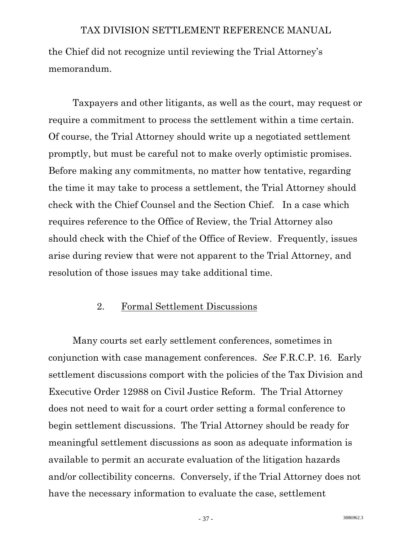the Chief did not recognize until reviewing the Trial Attorney's memorandum.

 Taxpayers and other litigants, as well as the court, may request or require a commitment to process the settlement within a time certain. Of course, the Trial Attorney should write up a negotiated settlement promptly, but must be careful not to make overly optimistic promises. Before making any commitments, no matter how tentative, regarding the time it may take to process a settlement, the Trial Attorney should check with the Chief Counsel and the Section Chief. In a case which requires reference to the Office of Review, the Trial Attorney also should check with the Chief of the Office of Review. Frequently, issues arise during review that were not apparent to the Trial Attorney, and resolution of those issues may take additional time.

#### 2. Formal Settlement Discussions

 Many courts set early settlement conferences, sometimes in conjunction with case management conferences. *See* F.R.C.P. 16. Early settlement discussions comport with the policies of the Tax Division and Executive Order 12988 on Civil Justice Reform. The Trial Attorney does not need to wait for a court order setting a formal conference to begin settlement discussions. The Trial Attorney should be ready for meaningful settlement discussions as soon as adequate information is available to permit an accurate evaluation of the litigation hazards and/or collectibility concerns. Conversely, if the Trial Attorney does not have the necessary information to evaluate the case, settlement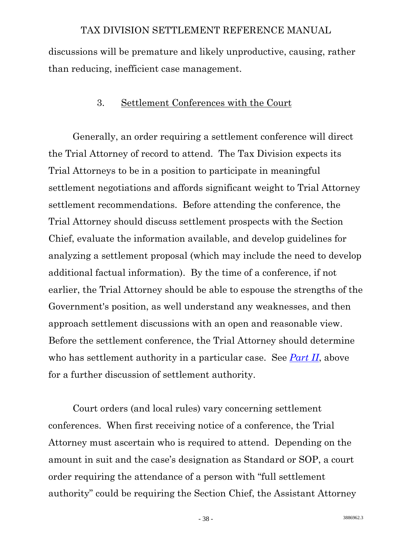discussions will be premature and likely unproductive, causing, rather than reducing, inefficient case management.

#### 3. Settlement Conferences with the Court

 Generally, an order requiring a settlement conference will direct the Trial Attorney of record to attend. The Tax Division expects its Trial Attorneys to be in a position to participate in meaningful settlement negotiations and affords significant weight to Trial Attorney settlement recommendations. Before attending the conference, the Trial Attorney should discuss settlement prospects with the Section Chief, evaluate the information available, and develop guidelines for analyzing a settlement proposal (which may include the need to develop additional factual information). By the time of a conference, if not earlier, the Trial Attorney should be able to espouse the strengths of the Government's position, as well understand any weaknesses, and then approach settlement discussions with an open and reasonable view. Before the settlement conference, the Trial Attorney should determine who has settlement authority in a particular case. See *[Part II](#page-16-0)*, above for a further discussion of settlement authority.

 Court orders (and local rules) vary concerning settlement conferences. When first receiving notice of a conference, the Trial Attorney must ascertain who is required to attend. Depending on the amount in suit and the case's designation as Standard or SOP, a court order requiring the attendance of a person with "full settlement authority" could be requiring the Section Chief, the Assistant Attorney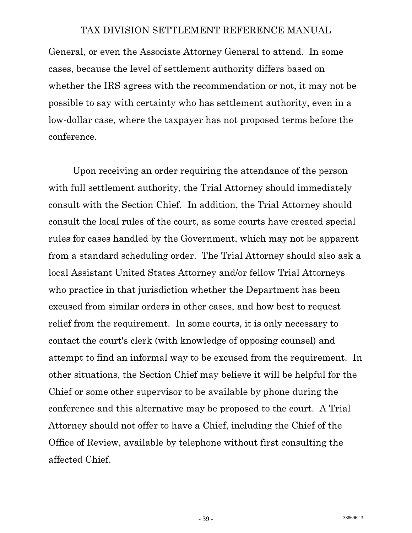General, or even the Associate Attorney General to attend. In some cases, because the level of settlement authority differs based on whether the IRS agrees with the recommendation or not, it may not be possible to say with certainty who has settlement authority, even in a low-dollar case, where the taxpayer has not proposed terms before the conference.

 Upon receiving an order requiring the attendance of the person with full settlement authority, the Trial Attorney should immediately consult with the Section Chief. In addition, the Trial Attorney should consult the local rules of the court, as some courts have created special rules for cases handled by the Government, which may not be apparent from a standard scheduling order. The Trial Attorney should also ask a local Assistant United States Attorney and/or fellow Trial Attorneys who practice in that jurisdiction whether the Department has been excused from similar orders in other cases, and how best to request relief from the requirement. In some courts, it is only necessary to contact the court's clerk (with knowledge of opposing counsel) and attempt to find an informal way to be excused from the requirement. In other situations, the Section Chief may believe it will be helpful for the Chief or some other supervisor to be available by phone during the conference and this alternative may be proposed to the court. A Trial Attorney should not offer to have a Chief, including the Chief of the Office of Review, available by telephone without first consulting the affected Chief.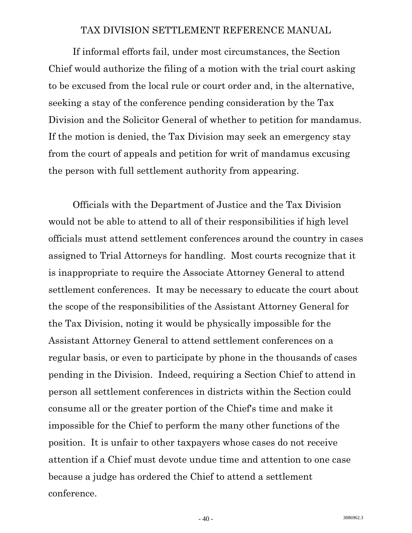If informal efforts fail, under most circumstances, the Section Chief would authorize the filing of a motion with the trial court asking to be excused from the local rule or court order and, in the alternative, seeking a stay of the conference pending consideration by the Tax Division and the Solicitor General of whether to petition for mandamus. If the motion is denied, the Tax Division may seek an emergency stay from the court of appeals and petition for writ of mandamus excusing the person with full settlement authority from appearing.

 Officials with the Department of Justice and the Tax Division would not be able to attend to all of their responsibilities if high level officials must attend settlement conferences around the country in cases assigned to Trial Attorneys for handling. Most courts recognize that it is inappropriate to require the Associate Attorney General to attend settlement conferences. It may be necessary to educate the court about the scope of the responsibilities of the Assistant Attorney General for the Tax Division, noting it would be physically impossible for the Assistant Attorney General to attend settlement conferences on a regular basis, or even to participate by phone in the thousands of cases pending in the Division. Indeed, requiring a Section Chief to attend in person all settlement conferences in districts within the Section could consume all or the greater portion of the Chief's time and make it impossible for the Chief to perform the many other functions of the position. It is unfair to other taxpayers whose cases do not receive attention if a Chief must devote undue time and attention to one case because a judge has ordered the Chief to attend a settlement conference.

 $-40$  - 3886962.3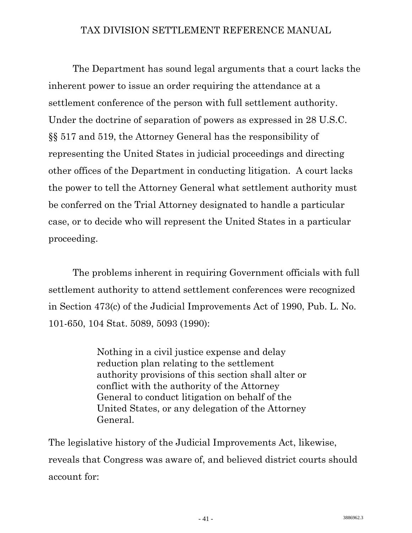The Department has sound legal arguments that a court lacks the inherent power to issue an order requiring the attendance at a settlement conference of the person with full settlement authority. Under the doctrine of separation of powers as expressed in 28 U.S.C. §§ 517 and 519, the Attorney General has the responsibility of representing the United States in judicial proceedings and directing other offices of the Department in conducting litigation. A court lacks the power to tell the Attorney General what settlement authority must be conferred on the Trial Attorney designated to handle a particular case, or to decide who will represent the United States in a particular proceeding.

 The problems inherent in requiring Government officials with full settlement authority to attend settlement conferences were recognized in Section 473(c) of the Judicial Improvements Act of 1990, Pub. L. No. 101-650, 104 Stat. 5089, 5093 (1990):

> Nothing in a civil justice expense and delay reduction plan relating to the settlement authority provisions of this section shall alter or conflict with the authority of the Attorney General to conduct litigation on behalf of the United States, or any delegation of the Attorney General.

The legislative history of the Judicial Improvements Act, likewise, reveals that Congress was aware of, and believed district courts should account for: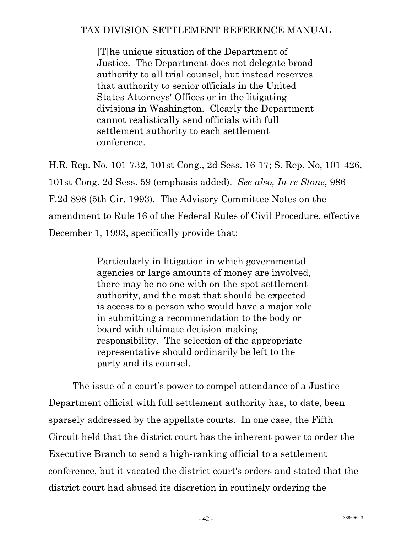[T]he unique situation of the Department of Justice. The Department does not delegate broad authority to all trial counsel, but instead reserves that authority to senior officials in the United States Attorneys' Offices or in the litigating divisions in Washington. Clearly the Department cannot realistically send officials with full settlement authority to each settlement conference.

H.R. Rep. No. 101-732, 101st Cong., 2d Sess. 16-17; S. Rep. No, 101-426, 101st Cong. 2d Sess. 59 (emphasis added). *See also, In re Stone*, 986 F.2d 898 (5th Cir. 1993). The Advisory Committee Notes on the amendment to Rule 16 of the Federal Rules of Civil Procedure, effective December 1, 1993, specifically provide that:

> Particularly in litigation in which governmental agencies or large amounts of money are involved, there may be no one with on-the-spot settlement authority, and the most that should be expected is access to a person who would have a major role in submitting a recommendation to the body or board with ultimate decision-making responsibility. The selection of the appropriate representative should ordinarily be left to the party and its counsel.

 The issue of a court's power to compel attendance of a Justice Department official with full settlement authority has, to date, been sparsely addressed by the appellate courts. In one case, the Fifth Circuit held that the district court has the inherent power to order the Executive Branch to send a high-ranking official to a settlement conference, but it vacated the district court's orders and stated that the district court had abused its discretion in routinely ordering the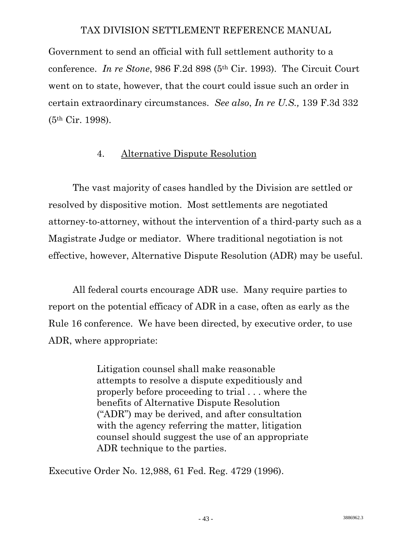Government to send an official with full settlement authority to a conference. *In re Stone*, 986 F.2d 898 (5th Cir. 1993). The Circuit Court went on to state, however, that the court could issue such an order in certain extraordinary circumstances. *See also*, *In re U.S.,* 139 F.3d 332 (5th Cir. 1998).

## 4. Alternative Dispute Resolution

 The vast majority of cases handled by the Division are settled or resolved by dispositive motion. Most settlements are negotiated attorney-to-attorney, without the intervention of a third-party such as a Magistrate Judge or mediator. Where traditional negotiation is not effective, however, Alternative Dispute Resolution (ADR) may be useful.

 All federal courts encourage ADR use. Many require parties to report on the potential efficacy of ADR in a case, often as early as the Rule 16 conference. We have been directed, by executive order, to use ADR, where appropriate:

> Litigation counsel shall make reasonable attempts to resolve a dispute expeditiously and properly before proceeding to trial . . . where the benefits of Alternative Dispute Resolution ("ADR") may be derived, and after consultation with the agency referring the matter, litigation counsel should suggest the use of an appropriate ADR technique to the parties.

Executive Order No. 12,988, 61 Fed. Reg. 4729 (1996).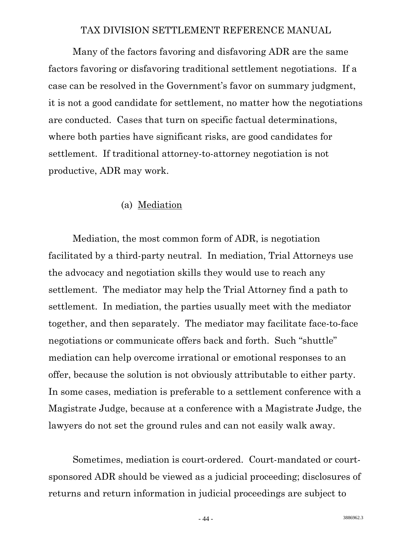Many of the factors favoring and disfavoring ADR are the same factors favoring or disfavoring traditional settlement negotiations. If a case can be resolved in the Government's favor on summary judgment, it is not a good candidate for settlement, no matter how the negotiations are conducted. Cases that turn on specific factual determinations, where both parties have significant risks, are good candidates for settlement. If traditional attorney-to-attorney negotiation is not productive, ADR may work.

## (a) Mediation

 Mediation, the most common form of ADR, is negotiation facilitated by a third-party neutral. In mediation, Trial Attorneys use the advocacy and negotiation skills they would use to reach any settlement. The mediator may help the Trial Attorney find a path to settlement. In mediation, the parties usually meet with the mediator together, and then separately. The mediator may facilitate face-to-face negotiations or communicate offers back and forth. Such "shuttle" mediation can help overcome irrational or emotional responses to an offer, because the solution is not obviously attributable to either party. In some cases, mediation is preferable to a settlement conference with a Magistrate Judge, because at a conference with a Magistrate Judge, the lawyers do not set the ground rules and can not easily walk away.

 Sometimes, mediation is court-ordered. Court-mandated or courtsponsored ADR should be viewed as a judicial proceeding; disclosures of returns and return information in judicial proceedings are subject to

 $-44$  - 3886962.3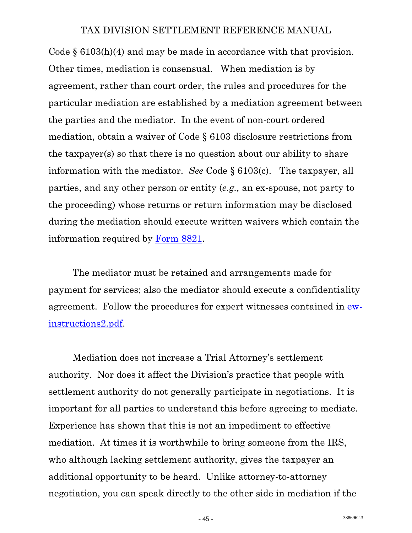Code § 6103(h)(4) and may be made in accordance with that provision. Other times, mediation is consensual. When mediation is by agreement, rather than court order, the rules and procedures for the particular mediation are established by a mediation agreement between the parties and the mediator. In the event of non-court ordered mediation, obtain a waiver of Code § 6103 disclosure restrictions from the taxpayer(s) so that there is no question about our ability to share information with the mediator. *See* Code § 6103(c). The taxpayer, all parties, and any other person or entity (*e.g.,* an ex-spouse, not party to the proceeding) whose returns or return information may be disclosed during the mediation should execute written waivers which contain the information required by [Form 8821.](http://www.usdoj.gov/tax/readingroom/settlemn/X_IRS_form_8821_Tax_Info_Authorization.PDF)

 The mediator must be retained and arrangements made for payment for services; also the mediator should execute a confidentiality agreement. Follow the procedures for expert witnesses contained in [ew](http://www.usdoj.gov/tax/readingroom/settlemn/ew-instructions2.pdf)[instructions2.pdf](http://www.usdoj.gov/tax/readingroom/settlemn/ew-instructions2.pdf).

 Mediation does not increase a Trial Attorney's settlement authority. Nor does it affect the Division's practice that people with settlement authority do not generally participate in negotiations. It is important for all parties to understand this before agreeing to mediate. Experience has shown that this is not an impediment to effective mediation. At times it is worthwhile to bring someone from the IRS, who although lacking settlement authority, gives the taxpayer an additional opportunity to be heard. Unlike attorney-to-attorney negotiation, you can speak directly to the other side in mediation if the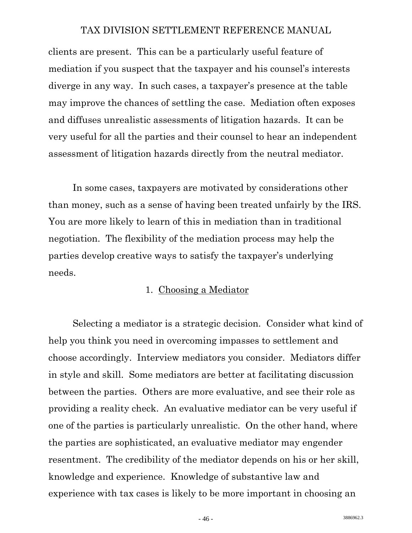clients are present. This can be a particularly useful feature of mediation if you suspect that the taxpayer and his counsel's interests diverge in any way. In such cases, a taxpayer's presence at the table may improve the chances of settling the case. Mediation often exposes and diffuses unrealistic assessments of litigation hazards. It can be very useful for all the parties and their counsel to hear an independent assessment of litigation hazards directly from the neutral mediator.

 In some cases, taxpayers are motivated by considerations other than money, such as a sense of having been treated unfairly by the IRS. You are more likely to learn of this in mediation than in traditional negotiation. The flexibility of the mediation process may help the parties develop creative ways to satisfy the taxpayer's underlying needs.

# 1. Choosing a Mediator

 Selecting a mediator is a strategic decision. Consider what kind of help you think you need in overcoming impasses to settlement and choose accordingly. Interview mediators you consider. Mediators differ in style and skill. Some mediators are better at facilitating discussion between the parties. Others are more evaluative, and see their role as providing a reality check. An evaluative mediator can be very useful if one of the parties is particularly unrealistic. On the other hand, where the parties are sophisticated, an evaluative mediator may engender resentment. The credibility of the mediator depends on his or her skill, knowledge and experience. Knowledge of substantive law and experience with tax cases is likely to be more important in choosing an

 $-46$  - 3886962.3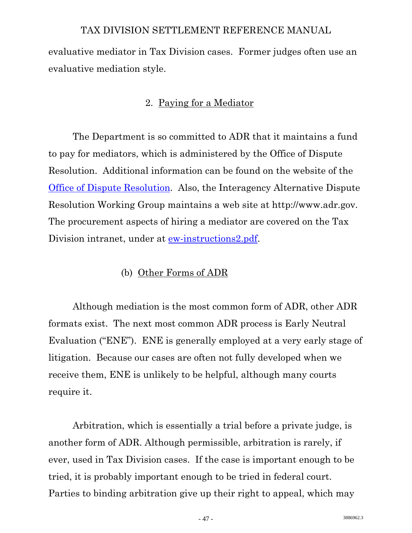evaluative mediator in Tax Division cases. Former judges often use an evaluative mediation style.

## 2. Paying for a Mediator

 The Department is so committed to ADR that it maintains a fund to pay for mediators, which is administered by the Office of Dispute Resolution. Additional information can be found on the website of the [Office of Dispute Resolution.](http://www.usdoj.gov/odr/index.html) Also, the Interagency Alternative Dispute Resolution Working Group maintains a web site at http://www.adr.gov. The procurement aspects of hiring a mediator are covered on the Tax Division intranet, under at [ew-instructions2.pdf.](http://www.usdoj.gov/tax/readingroom/settlemn/ew-instructions2.pdf)

## (b) Other Forms of ADR

 Although mediation is the most common form of ADR, other ADR formats exist. The next most common ADR process is Early Neutral Evaluation ("ENE"). ENE is generally employed at a very early stage of litigation. Because our cases are often not fully developed when we receive them, ENE is unlikely to be helpful, although many courts require it.

 Arbitration, which is essentially a trial before a private judge, is another form of ADR. Although permissible, arbitration is rarely, if ever, used in Tax Division cases. If the case is important enough to be tried, it is probably important enough to be tried in federal court. Parties to binding arbitration give up their right to appeal, which may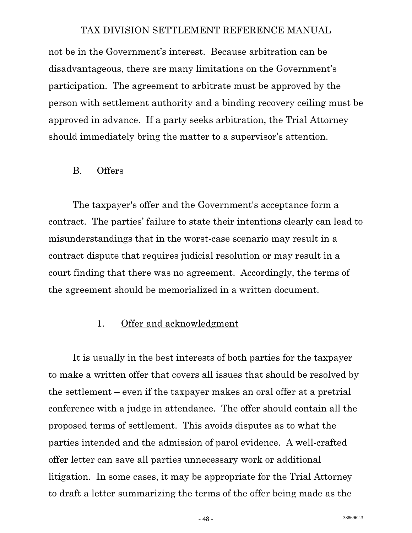not be in the Government's interest. Because arbitration can be disadvantageous, there are many limitations on the Government's participation. The agreement to arbitrate must be approved by the person with settlement authority and a binding recovery ceiling must be approved in advance. If a party seeks arbitration, the Trial Attorney should immediately bring the matter to a supervisor's attention.

#### B. Offers

 The taxpayer's offer and the Government's acceptance form a contract. The parties' failure to state their intentions clearly can lead to misunderstandings that in the worst-case scenario may result in a contract dispute that requires judicial resolution or may result in a court finding that there was no agreement. Accordingly, the terms of the agreement should be memorialized in a written document.

## 1. Offer and acknowledgment

 It is usually in the best interests of both parties for the taxpayer to make a written offer that covers all issues that should be resolved by the settlement – even if the taxpayer makes an oral offer at a pretrial conference with a judge in attendance. The offer should contain all the proposed terms of settlement. This avoids disputes as to what the parties intended and the admission of parol evidence. A well-crafted offer letter can save all parties unnecessary work or additional litigation. In some cases, it may be appropriate for the Trial Attorney to draft a letter summarizing the terms of the offer being made as the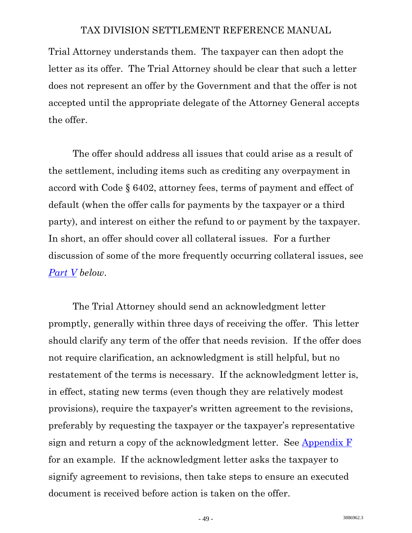Trial Attorney understands them. The taxpayer can then adopt the letter as its offer. The Trial Attorney should be clear that such a letter does not represent an offer by the Government and that the offer is not accepted until the appropriate delegate of the Attorney General accepts the offer.

 The offer should address all issues that could arise as a result of the settlement, including items such as crediting any overpayment in accord with Code § 6402, attorney fees, terms of payment and effect of default (when the offer calls for payments by the taxpayer or a third party), and interest on either the refund to or payment by the taxpayer. In short, an offer should cover all collateral issues. For a further discussion of some of the more frequently occurring collateral issues, see *[Part V](#page-79-0) below*.

 The Trial Attorney should send an acknowledgment letter promptly, generally within three days of receiving the offer. This letter should clarify any term of the offer that needs revision. If the offer does not require clarification, an acknowledgment is still helpful, but no restatement of the terms is necessary. If the acknowledgment letter is, in effect, stating new terms (even though they are relatively modest provisions), require the taxpayer's written agreement to the revisions, preferably by requesting the taxpayer or the taxpayer's representative sign and return a copy of the acknowledgment letter. See [Appendix F](http://www.usdoj.gov/tax/readingroom/settlemn/F_Acknowledgement_Letter.pdf) for an example. If the acknowledgment letter asks the taxpayer to signify agreement to revisions, then take steps to ensure an executed document is received before action is taken on the offer.

 $-49$  - 3886962.3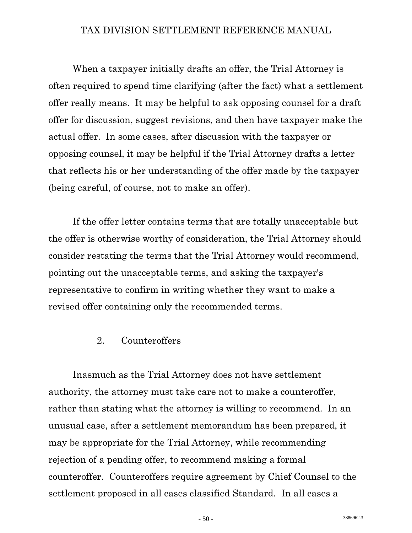When a taxpayer initially drafts an offer, the Trial Attorney is often required to spend time clarifying (after the fact) what a settlement offer really means. It may be helpful to ask opposing counsel for a draft offer for discussion, suggest revisions, and then have taxpayer make the actual offer. In some cases, after discussion with the taxpayer or opposing counsel, it may be helpful if the Trial Attorney drafts a letter that reflects his or her understanding of the offer made by the taxpayer (being careful, of course, not to make an offer).

 If the offer letter contains terms that are totally unacceptable but the offer is otherwise worthy of consideration, the Trial Attorney should consider restating the terms that the Trial Attorney would recommend, pointing out the unacceptable terms, and asking the taxpayer's representative to confirm in writing whether they want to make a revised offer containing only the recommended terms.

#### 2. Counteroffers

 Inasmuch as the Trial Attorney does not have settlement authority, the attorney must take care not to make a counteroffer, rather than stating what the attorney is willing to recommend. In an unusual case, after a settlement memorandum has been prepared, it may be appropriate for the Trial Attorney, while recommending rejection of a pending offer, to recommend making a formal counteroffer. Counteroffers require agreement by Chief Counsel to the settlement proposed in all cases classified Standard. In all cases a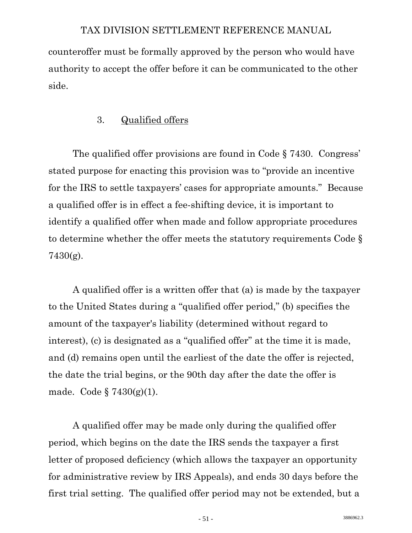counteroffer must be formally approved by the person who would have authority to accept the offer before it can be communicated to the other side.

# 3. Qualified offers

 The qualified offer provisions are found in Code § 7430. Congress' stated purpose for enacting this provision was to "provide an incentive for the IRS to settle taxpayers' cases for appropriate amounts." Because a qualified offer is in effect a fee-shifting device, it is important to identify a qualified offer when made and follow appropriate procedures to determine whether the offer meets the statutory requirements Code § 7430(g).

 A qualified offer is a written offer that (a) is made by the taxpayer to the United States during a "qualified offer period," (b) specifies the amount of the taxpayer's liability (determined without regard to interest), (c) is designated as a "qualified offer" at the time it is made, and (d) remains open until the earliest of the date the offer is rejected, the date the trial begins, or the 90th day after the date the offer is made. Code  $\S 7430(g)(1)$ .

 A qualified offer may be made only during the qualified offer period, which begins on the date the IRS sends the taxpayer a first letter of proposed deficiency (which allows the taxpayer an opportunity for administrative review by IRS Appeals), and ends 30 days before the first trial setting. The qualified offer period may not be extended, but a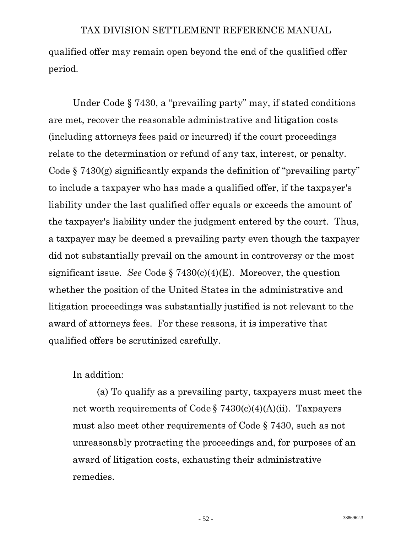qualified offer may remain open beyond the end of the qualified offer period.

 Under Code § 7430, a "prevailing party" may, if stated conditions are met, recover the reasonable administrative and litigation costs (including attorneys fees paid or incurred) if the court proceedings relate to the determination or refund of any tax, interest, or penalty. Code  $\S$  7430(g) significantly expands the definition of "prevailing party" to include a taxpayer who has made a qualified offer, if the taxpayer's liability under the last qualified offer equals or exceeds the amount of the taxpayer's liability under the judgment entered by the court. Thus, a taxpayer may be deemed a prevailing party even though the taxpayer did not substantially prevail on the amount in controversy or the most significant issue. *See* Code § 7430(c)(4)(E). Moreover, the question whether the position of the United States in the administrative and litigation proceedings was substantially justified is not relevant to the award of attorneys fees. For these reasons, it is imperative that qualified offers be scrutinized carefully.

In addition:

 (a) To qualify as a prevailing party, taxpayers must meet the net worth requirements of Code § 7430(c)(4)(A)(ii). Taxpayers must also meet other requirements of Code § 7430, such as not unreasonably protracting the proceedings and, for purposes of an award of litigation costs, exhausting their administrative remedies.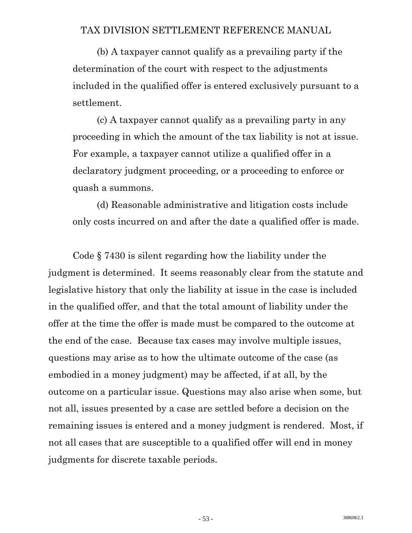(b) A taxpayer cannot qualify as a prevailing party if the determination of the court with respect to the adjustments included in the qualified offer is entered exclusively pursuant to a settlement.

 (c) A taxpayer cannot qualify as a prevailing party in any proceeding in which the amount of the tax liability is not at issue. For example, a taxpayer cannot utilize a qualified offer in a declaratory judgment proceeding, or a proceeding to enforce or quash a summons.

 (d) Reasonable administrative and litigation costs include only costs incurred on and after the date a qualified offer is made.

 Code § 7430 is silent regarding how the liability under the judgment is determined. It seems reasonably clear from the statute and legislative history that only the liability at issue in the case is included in the qualified offer, and that the total amount of liability under the offer at the time the offer is made must be compared to the outcome at the end of the case. Because tax cases may involve multiple issues, questions may arise as to how the ultimate outcome of the case (as embodied in a money judgment) may be affected, if at all, by the outcome on a particular issue. Questions may also arise when some, but not all, issues presented by a case are settled before a decision on the remaining issues is entered and a money judgment is rendered. Most, if not all cases that are susceptible to a qualified offer will end in money judgments for discrete taxable periods.

3886962.3 - 53 -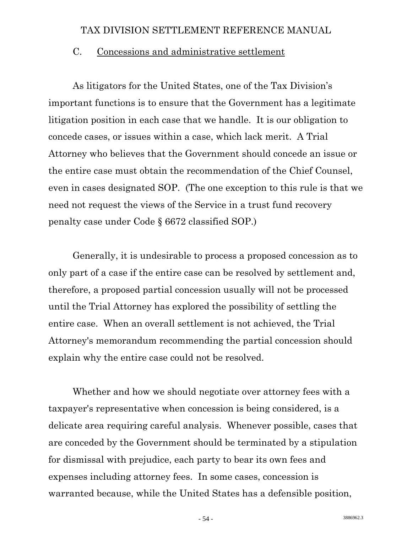#### C. Concessions and administrative settlement

 As litigators for the United States, one of the Tax Division's important functions is to ensure that the Government has a legitimate litigation position in each case that we handle. It is our obligation to concede cases, or issues within a case, which lack merit. A Trial Attorney who believes that the Government should concede an issue or the entire case must obtain the recommendation of the Chief Counsel, even in cases designated SOP. (The one exception to this rule is that we need not request the views of the Service in a trust fund recovery penalty case under Code § 6672 classified SOP.)

 Generally, it is undesirable to process a proposed concession as to only part of a case if the entire case can be resolved by settlement and, therefore, a proposed partial concession usually will not be processed until the Trial Attorney has explored the possibility of settling the entire case. When an overall settlement is not achieved, the Trial Attorney's memorandum recommending the partial concession should explain why the entire case could not be resolved.

 Whether and how we should negotiate over attorney fees with a taxpayer's representative when concession is being considered, is a delicate area requiring careful analysis. Whenever possible, cases that are conceded by the Government should be terminated by a stipulation for dismissal with prejudice, each party to bear its own fees and expenses including attorney fees. In some cases, concession is warranted because, while the United States has a defensible position,

 $-54$  - 3886962.3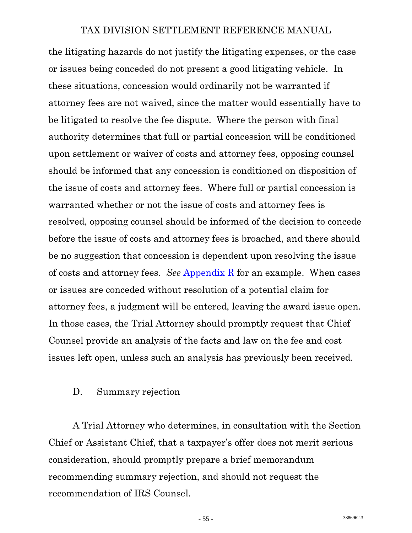the litigating hazards do not justify the litigating expenses, or the case or issues being conceded do not present a good litigating vehicle. In these situations, concession would ordinarily not be warranted if attorney fees are not waived, since the matter would essentially have to be litigated to resolve the fee dispute. Where the person with final authority determines that full or partial concession will be conditioned upon settlement or waiver of costs and attorney fees, opposing counsel should be informed that any concession is conditioned on disposition of the issue of costs and attorney fees. Where full or partial concession is warranted whether or not the issue of costs and attorney fees is resolved, opposing counsel should be informed of the decision to concede before the issue of costs and attorney fees is broached, and there should be no suggestion that concession is dependent upon resolving the issue of costs and attorney fees. *See* [Appendix R](http://www.usdoj.gov/tax/readingroom/settlemn/R_Concession_to_Opponent.pdf) for an example. When cases or issues are conceded without resolution of a potential claim for attorney fees, a judgment will be entered, leaving the award issue open. In those cases, the Trial Attorney should promptly request that Chief Counsel provide an analysis of the facts and law on the fee and cost issues left open, unless such an analysis has previously been received.

## D. Summary rejection

 A Trial Attorney who determines, in consultation with the Section Chief or Assistant Chief, that a taxpayer's offer does not merit serious consideration, should promptly prepare a brief memorandum recommending summary rejection, and should not request the recommendation of IRS Counsel.

 $-55$  - 3886962.3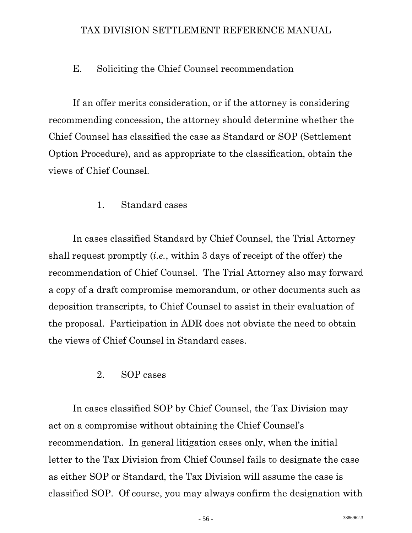## E. Soliciting the Chief Counsel recommendation

 If an offer merits consideration, or if the attorney is considering recommending concession, the attorney should determine whether the Chief Counsel has classified the case as Standard or SOP (Settlement Option Procedure), and as appropriate to the classification, obtain the views of Chief Counsel.

## 1. Standard cases

 In cases classified Standard by Chief Counsel, the Trial Attorney shall request promptly (*i.e.*, within 3 days of receipt of the offer) the recommendation of Chief Counsel. The Trial Attorney also may forward a copy of a draft compromise memorandum, or other documents such as deposition transcripts, to Chief Counsel to assist in their evaluation of the proposal. Participation in ADR does not obviate the need to obtain the views of Chief Counsel in Standard cases.

## 2. SOP cases

 In cases classified SOP by Chief Counsel, the Tax Division may act on a compromise without obtaining the Chief Counsel's recommendation. In general litigation cases only, when the initial letter to the Tax Division from Chief Counsel fails to designate the case as either SOP or Standard, the Tax Division will assume the case is classified SOP. Of course, you may always confirm the designation with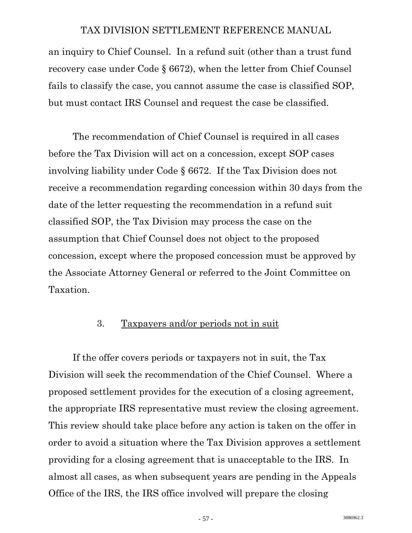<span id="page-60-0"></span>an inquiry to Chief Counsel. In a refund suit (other than a trust fund recovery case under Code § 6672), when the letter from Chief Counsel fails to classify the case, you cannot assume the case is classified SOP, but must contact IRS Counsel and request the case be classified.

 The recommendation of Chief Counsel is required in all cases before the Tax Division will act on a concession, except SOP cases involving liability under Code § 6672. If the Tax Division does not receive a recommendation regarding concession within 30 days from the date of the letter requesting the recommendation in a refund suit classified SOP, the Tax Division may process the case on the assumption that Chief Counsel does not object to the proposed concession, except where the proposed concession must be approved by the Associate Attorney General or referred to the Joint Committee on Taxation.

## 3. Taxpayers and/or periods not in suit

 If the offer covers periods or taxpayers not in suit, the Tax Division will seek the recommendation of the Chief Counsel. Where a proposed settlement provides for the execution of a closing agreement, the appropriate IRS representative must review the closing agreement. This review should take place before any action is taken on the offer in order to avoid a situation where the Tax Division approves a settlement providing for a closing agreement that is unacceptable to the IRS. In almost all cases, as when subsequent years are pending in the Appeals Office of the IRS, the IRS office involved will prepare the closing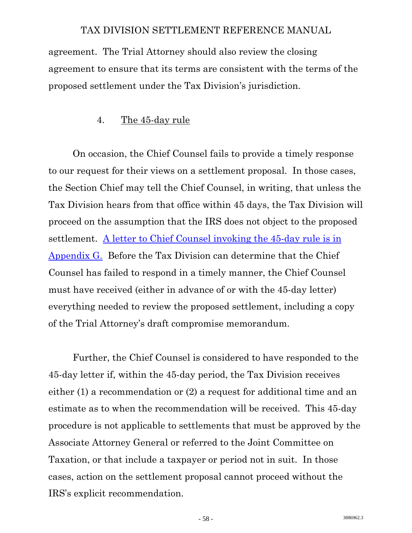agreement. The Trial Attorney should also review the closing agreement to ensure that its terms are consistent with the terms of the proposed settlement under the Tax Division's jurisdiction.

## 4. The 45-day rule

 On occasion, the Chief Counsel fails to provide a timely response to our request for their views on a settlement proposal. In those cases, the Section Chief may tell the Chief Counsel, in writing, that unless the Tax Division hears from that office within 45 days, the Tax Division will proceed on the assumption that the IRS does not object to the proposed settlement. [A letter to Chief Counsel invoking the 45-day rule is in](http://www.usdoj.gov/tax/readingroom/settlemn/G_Letter_re_45_Day_Rule.pdf)  [Appendix G.](http://www.usdoj.gov/tax/readingroom/settlemn/G_Letter_re_45_Day_Rule.pdf) Before the Tax Division can determine that the Chief Counsel has failed to respond in a timely manner, the Chief Counsel must have received (either in advance of or with the 45-day letter) everything needed to review the proposed settlement, including a copy of the Trial Attorney's draft compromise memorandum.

 Further, the Chief Counsel is considered to have responded to the 45-day letter if, within the 45-day period, the Tax Division receives either (1) a recommendation or (2) a request for additional time and an estimate as to when the recommendation will be received. This 45-day procedure is not applicable to settlements that must be approved by the Associate Attorney General or referred to the Joint Committee on Taxation, or that include a taxpayer or period not in suit. In those cases, action on the settlement proposal cannot proceed without the IRS's explicit recommendation.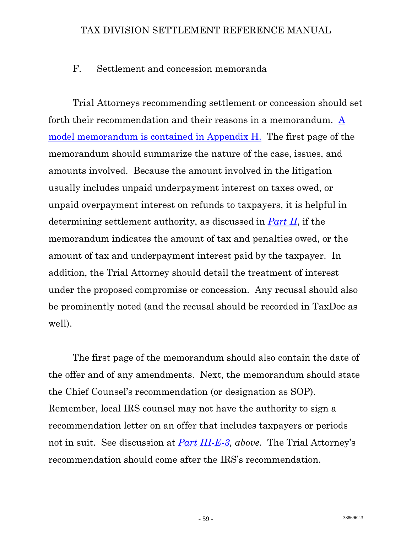#### F. Settlement and concession memoranda

 Trial Attorneys recommending settlement or concession should set forth their recommendation and their reasons in a memorandum. [A](http://www.usdoj.gov/tax/readingroom/settlemn/H_Compromise_or_Concession_Memorandum.pdf)  [model memorandum is contained in Appendix H.](http://www.usdoj.gov/tax/readingroom/settlemn/H_Compromise_or_Concession_Memorandum.pdf) The first page of the memorandum should summarize the nature of the case, issues, and amounts involved. Because the amount involved in the litigation usually includes unpaid underpayment interest on taxes owed, or unpaid overpayment interest on refunds to taxpayers, it is helpful in determining settlement authority, as discussed in *Part II*, if the memorandum indicates the amount of tax and penalties owed, or the amount of tax and underpayment interest paid by the taxpayer. In addition, the Trial Attorney should detail the treatment of interest under the proposed compromise or concession. Any recusal should also be prominently noted (and the recusal should be recorded in TaxDoc as well).

 The first page of the memorandum should also contain the date of the offer and of any amendments. Next, the memorandum should state the Chief Counsel's recommendation (or designation as SOP). Remember, local IRS counsel may not have the authority to sign a recommendation letter on an offer that includes taxpayers or periods not in suit. See discussion at *[Part III-E-3](#page-60-0), above*. The Trial Attorney's recommendation should come after the IRS's recommendation.

 $-59$  - 3886962.3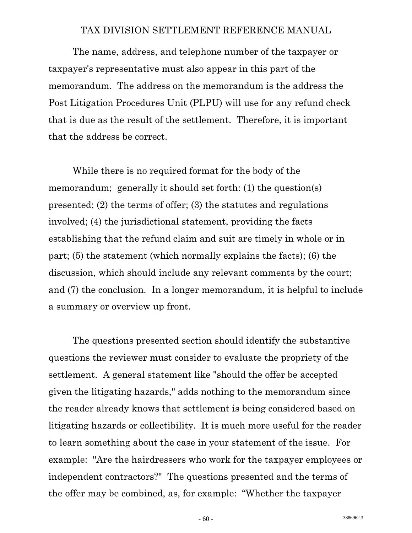The name, address, and telephone number of the taxpayer or taxpayer's representative must also appear in this part of the memorandum. The address on the memorandum is the address the Post Litigation Procedures Unit (PLPU) will use for any refund check that is due as the result of the settlement. Therefore, it is important that the address be correct.

 While there is no required format for the body of the memorandum; generally it should set forth: (1) the question(s) presented; (2) the terms of offer; (3) the statutes and regulations involved; (4) the jurisdictional statement, providing the facts establishing that the refund claim and suit are timely in whole or in part; (5) the statement (which normally explains the facts); (6) the discussion, which should include any relevant comments by the court; and (7) the conclusion. In a longer memorandum, it is helpful to include a summary or overview up front.

 The questions presented section should identify the substantive questions the reviewer must consider to evaluate the propriety of the settlement. A general statement like "should the offer be accepted given the litigating hazards," adds nothing to the memorandum since the reader already knows that settlement is being considered based on litigating hazards or collectibility. It is much more useful for the reader to learn something about the case in your statement of the issue. For example: "Are the hairdressers who work for the taxpayer employees or independent contractors?" The questions presented and the terms of the offer may be combined, as, for example: "Whether the taxpayer

 $-60$  - 3886962.3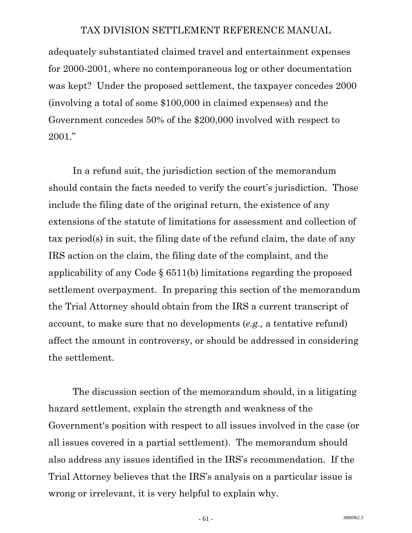adequately substantiated claimed travel and entertainment expenses for 2000-2001, where no contemporaneous log or other documentation was kept? Under the proposed settlement, the taxpayer concedes 2000 (involving a total of some \$100,000 in claimed expenses) and the Government concedes 50% of the \$200,000 involved with respect to 2001."

 In a refund suit, the jurisdiction section of the memorandum should contain the facts needed to verify the court's jurisdiction. Those include the filing date of the original return, the existence of any extensions of the statute of limitations for assessment and collection of tax period(s) in suit, the filing date of the refund claim, the date of any IRS action on the claim, the filing date of the complaint, and the applicability of any Code § 6511(b) limitations regarding the proposed settlement overpayment. In preparing this section of the memorandum the Trial Attorney should obtain from the IRS a current transcript of account, to make sure that no developments (*e.g.,* a tentative refund) affect the amount in controversy, or should be addressed in considering the settlement.

 The discussion section of the memorandum should, in a litigating hazard settlement, explain the strength and weakness of the Government's position with respect to all issues involved in the case (or all issues covered in a partial settlement). The memorandum should also address any issues identified in the IRS's recommendation. If the Trial Attorney believes that the IRS's analysis on a particular issue is wrong or irrelevant, it is very helpful to explain why.

 $-61$  - 3886962.3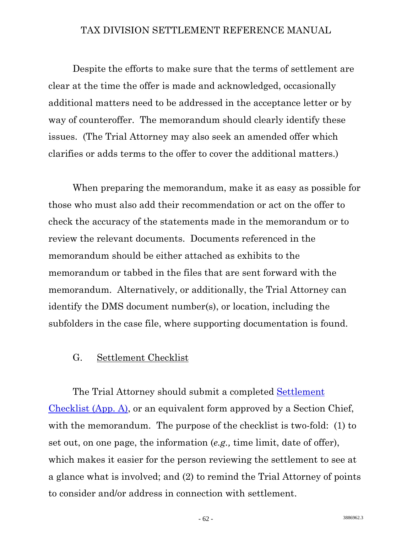Despite the efforts to make sure that the terms of settlement are clear at the time the offer is made and acknowledged, occasionally additional matters need to be addressed in the acceptance letter or by way of counteroffer. The memorandum should clearly identify these issues. (The Trial Attorney may also seek an amended offer which clarifies or adds terms to the offer to cover the additional matters.)

 When preparing the memorandum, make it as easy as possible for those who must also add their recommendation or act on the offer to check the accuracy of the statements made in the memorandum or to review the relevant documents. Documents referenced in the memorandum should be either attached as exhibits to the memorandum or tabbed in the files that are sent forward with the memorandum. Alternatively, or additionally, the Trial Attorney can identify the DMS document number(s), or location, including the subfolders in the case file, where supporting documentation is found.

# G. Settlement Checklist

 The Trial Attorney should submit a completed [Settlement](http://www.usdoj.gov/tax/readingroom/settlemn/A_SETTLEMENT%20CHECKLIST.pdf)  [Checklist \(App. A\)](http://www.usdoj.gov/tax/readingroom/settlemn/A_SETTLEMENT%20CHECKLIST.pdf), or an equivalent form approved by a Section Chief, with the memorandum. The purpose of the checklist is two-fold: (1) to set out, on one page, the information (*e.g.,* time limit, date of offer), which makes it easier for the person reviewing the settlement to see at a glance what is involved; and (2) to remind the Trial Attorney of points to consider and/or address in connection with settlement.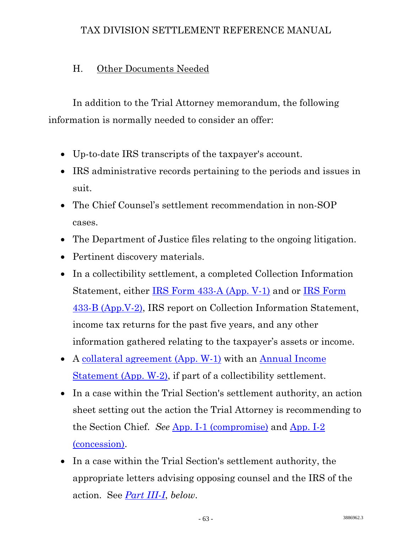# H. Other Documents Needed

 In addition to the Trial Attorney memorandum, the following information is normally needed to consider an offer:

- Up-to-date IRS transcripts of the taxpayer's account.
- IRS administrative records pertaining to the periods and issues in suit.
- The Chief Counsel's settlement recommendation in non-SOP cases.
- The Department of Justice files relating to the ongoing litigation.
- Pertinent discovery materials.
- In a collectibility settlement, a completed Collection Information Statement, either [IRS Form 433-A \(App. V-1\)](http://www.usdoj.gov/tax/readingroom/settlemn/V_1_433_A_2008.PDF) and or [IRS Form](http://www.usdoj.gov/tax/readingroom/settlemn/V_2_433_B_2008.PDF)  [433-B \(App.V-2\),](http://www.usdoj.gov/tax/readingroom/settlemn/V_2_433_B_2008.PDF) IRS report on Collection Information Statement, income tax returns for the past five years, and any other information gathered relating to the taxpayer's assets or income.
- A [collateral agreement \(App. W-1\)](http://www.usdoj.gov/tax/readingroom/settlemn/W_1_Collateral_Agreement_Future_Income.PDF) with an [Annual Income](http://www.usdoj.gov/tax/readingroom/settlemn/W_2_Collateral_Agreement_Annual_Incom_Statement.PDF)  [Statement \(App. W-2\)](http://www.usdoj.gov/tax/readingroom/settlemn/W_2_Collateral_Agreement_Annual_Incom_Statement.PDF), if part of a collectibility settlement.
- In a case within the Trial Section's settlement authority, an action sheet setting out the action the Trial Attorney is recommending to the Section Chief. *See* [App. I-1 \(compromise\)](http://www.usdoj.gov./tax/readingroom/settlemn/I_1_Action_Sheet_Compromise.pdf) and [App. I-2](http://www.usdoj.gov/tax/readingroom/settlemn/I_2_Action_Sheet_Concession.pdf)  [\(concession\)](http://www.usdoj.gov/tax/readingroom/settlemn/I_2_Action_Sheet_Concession.pdf).
- In a case within the Trial Section's settlement authority, the appropriate letters advising opposing counsel and the IRS of the action. See *[Part III-I](#page-67-0)*, *below*.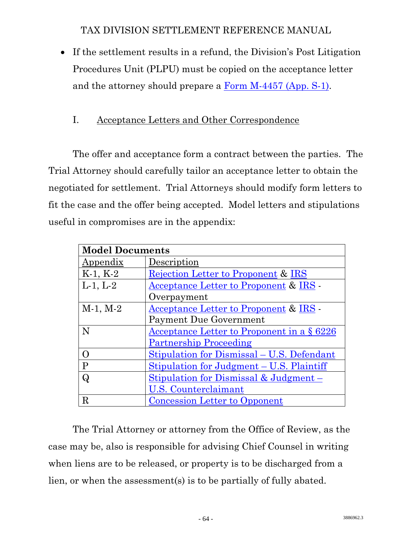<span id="page-67-0"></span>• If the settlement results in a refund, the Division's Post Litigation Procedures Unit (PLPU) must be copied on the acceptance letter and the attorney should prepare a [Form M-4457 \(App. S-1\)](http://www.usdoj.gov/tax/readingroom/settlemn/S_1_Form_M_4457.pdf).

# I. Acceptance Letters and Other Correspondence

 The offer and acceptance form a contract between the parties. The Trial Attorney should carefully tailor an acceptance letter to obtain the negotiated for settlement. Trial Attorneys should modify form letters to fit the case and the offer being accepted. Model letters and stipulations useful in compromises are in the appendix:

| <b>Model Documents</b> |                                                   |
|------------------------|---------------------------------------------------|
| Appendix               | Description                                       |
| $K-1, K-2$             | Rejection Letter to Proponent & IRS               |
| $L-1, L-2$             | <u>Acceptance Letter to Proponent</u> & IRS       |
|                        | Overpayment                                       |
| $M-1, M-2$             | Acceptance Letter to Proponent & IRS              |
|                        | <b>Payment Due Government</b>                     |
| N                      | Acceptance Letter to Proponent in a $\S 6226$     |
|                        | <b>Partnership Proceeding</b>                     |
| $\Omega$               | Stipulation for Dismissal - U.S. Defendant        |
| $\mathbf{P}$           | Stipulation for Judgment – U.S. Plaintiff         |
| Q                      | <u>Stipulation for Dismissal &amp; Judgment –</u> |
|                        | <u>U.S. Counterclaimant</u>                       |
| R                      | <b>Concession Letter to Opponent</b>              |

 The Trial Attorney or attorney from the Office of Review, as the case may be, also is responsible for advising Chief Counsel in writing when liens are to be released, or property is to be discharged from a lien, or when the assessment(s) is to be partially of fully abated.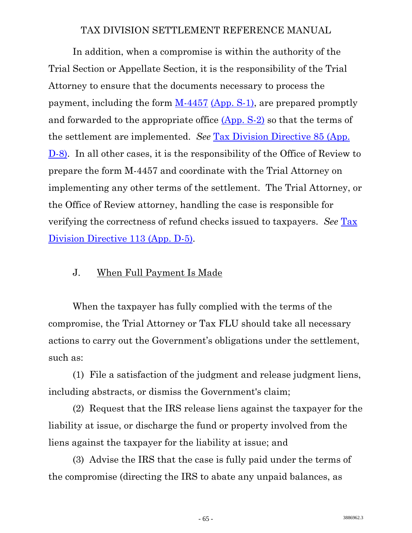In addition, when a compromise is within the authority of the Trial Section or Appellate Section, it is the responsibility of the Trial Attorney to ensure that the documents necessary to process the payment, including the form  $M-4457$  [\(App. S-1\),](http://www.usdoj.gov/tax/readingroom/settlemn/S_1_Form_M_4457.pdf) are prepared promptly and forwarded to the appropriate office [\(App. S-2\)](http://www.usdoj.gov/tax/readingroom/settlemn/S_2_IRS_Addresses_for_M_4457.pdf) so that the terms of the settlement are implemented. *See* [Tax Division Directive 85 \(App.](http://www.usdoj.gov/tax/readingroom/settlemn/D_8_TAX_DIR_85.PDF)  [D-8\)](http://www.usdoj.gov/tax/readingroom/settlemn/D_8_TAX_DIR_85.PDF). In all other cases, it is the responsibility of the Office of Review to prepare the form M-4457 and coordinate with the Trial Attorney on implementing any other terms of the settlement. The Trial Attorney, or the Office of Review attorney, handling the case is responsible for verifying the correctness of refund checks issued to taxpayers. *See* [Tax](http://www.usdoj.gov/tax/readingroom/settlemn/D_5_TAX_DIR_113.PDF)  [Division Directive 113 \(App. D-5\).](http://www.usdoj.gov/tax/readingroom/settlemn/D_5_TAX_DIR_113.PDF)

# J. When Full Payment Is Made

 When the taxpayer has fully complied with the terms of the compromise, the Trial Attorney or Tax FLU should take all necessary actions to carry out the Government's obligations under the settlement, such as:

 (1) File a satisfaction of the judgment and release judgment liens, including abstracts, or dismiss the Government's claim;

 (2) Request that the IRS release liens against the taxpayer for the liability at issue, or discharge the fund or property involved from the liens against the taxpayer for the liability at issue; and

 (3) Advise the IRS that the case is fully paid under the terms of the compromise (directing the IRS to abate any unpaid balances, as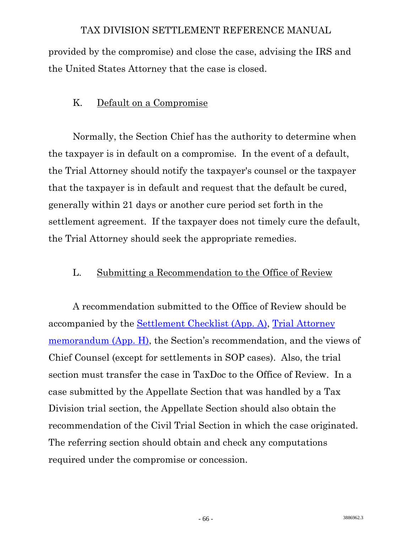provided by the compromise) and close the case, advising the IRS and the United States Attorney that the case is closed.

# K. Default on a Compromise

 Normally, the Section Chief has the authority to determine when the taxpayer is in default on a compromise. In the event of a default, the Trial Attorney should notify the taxpayer's counsel or the taxpayer that the taxpayer is in default and request that the default be cured, generally within 21 days or another cure period set forth in the settlement agreement. If the taxpayer does not timely cure the default, the Trial Attorney should seek the appropriate remedies.

## L. Submitting a Recommendation to the Office of Review

 A recommendation submitted to the Office of Review should be accompanied by the [Settlement Checklist \(App. A\)](http://www.usdoj.gov/tax/readingroom/settlemn/A_SETTLEMENT%20CHECKLIST.pdf), [Trial Attorney](http://www.usdoj.gov/tax/readingroom/settlemn/H_Compromise_or_Concession_Memorandum.pdf)  [memorandum \(App. H\)](http://www.usdoj.gov/tax/readingroom/settlemn/H_Compromise_or_Concession_Memorandum.pdf), the Section's recommendation, and the views of Chief Counsel (except for settlements in SOP cases). Also, the trial section must transfer the case in TaxDoc to the Office of Review. In a case submitted by the Appellate Section that was handled by a Tax Division trial section, the Appellate Section should also obtain the recommendation of the Civil Trial Section in which the case originated. The referring section should obtain and check any computations required under the compromise or concession.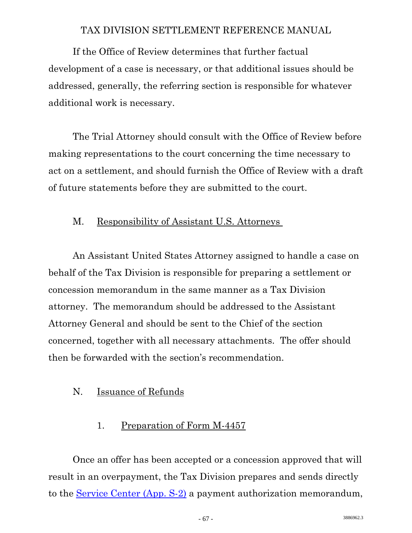If the Office of Review determines that further factual development of a case is necessary, or that additional issues should be addressed, generally, the referring section is responsible for whatever additional work is necessary.

 The Trial Attorney should consult with the Office of Review before making representations to the court concerning the time necessary to act on a settlement, and should furnish the Office of Review with a draft of future statements before they are submitted to the court.

## M. Responsibility of Assistant U.S. Attorneys

 An Assistant United States Attorney assigned to handle a case on behalf of the Tax Division is responsible for preparing a settlement or concession memorandum in the same manner as a Tax Division attorney. The memorandum should be addressed to the Assistant Attorney General and should be sent to the Chief of the section concerned, together with all necessary attachments. The offer should then be forwarded with the section's recommendation.

## N. Issuance of Refunds

# 1. Preparation of Form M-4457

 Once an offer has been accepted or a concession approved that will result in an overpayment, the Tax Division prepares and sends directly to the [Service Center \(App. S-2\)](http://www.usdoj.gov/tax/readingroom/settlemn/S_2_IRS_Addresses_for_M_4457.pdf) a payment authorization memorandum,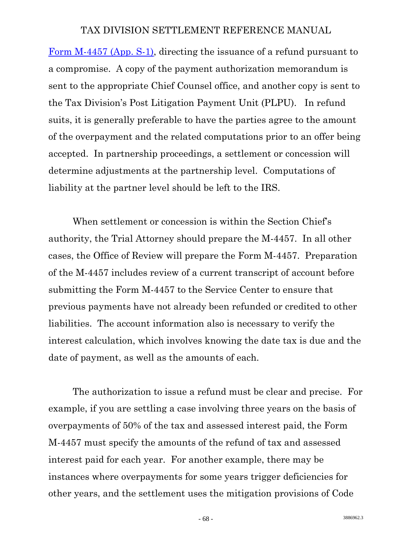[Form M-4457 \(App. S-1\)](http://www.usdoj.gov/tax/readingroom/settlemn/S_1_Form_M_4457.DOC), directing the issuance of a refund pursuant to a compromise. A copy of the payment authorization memorandum is sent to the appropriate Chief Counsel office, and another copy is sent to the Tax Division's Post Litigation Payment Unit (PLPU). In refund suits, it is generally preferable to have the parties agree to the amount of the overpayment and the related computations prior to an offer being accepted. In partnership proceedings, a settlement or concession will determine adjustments at the partnership level. Computations of liability at the partner level should be left to the IRS.

 When settlement or concession is within the Section Chief's authority, the Trial Attorney should prepare the M-4457. In all other cases, the Office of Review will prepare the Form M-4457. Preparation of the M-4457 includes review of a current transcript of account before submitting the Form M-4457 to the Service Center to ensure that previous payments have not already been refunded or credited to other liabilities. The account information also is necessary to verify the interest calculation, which involves knowing the date tax is due and the date of payment, as well as the amounts of each.

 The authorization to issue a refund must be clear and precise. For example, if you are settling a case involving three years on the basis of overpayments of 50% of the tax and assessed interest paid, the Form M-4457 must specify the amounts of the refund of tax and assessed interest paid for each year. For another example, there may be instances where overpayments for some years trigger deficiencies for other years, and the settlement uses the mitigation provisions of Code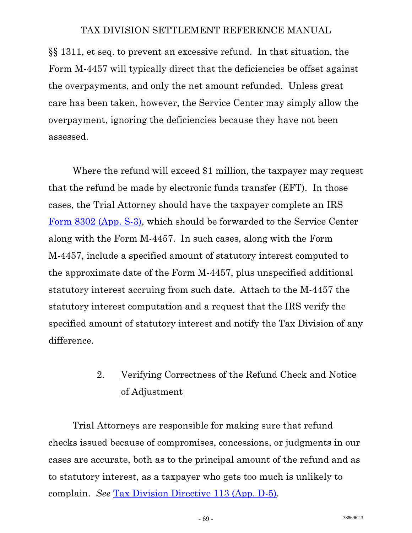§§ 1311, et seq. to prevent an excessive refund. In that situation, the Form M-4457 will typically direct that the deficiencies be offset against the overpayments, and only the net amount refunded. Unless great care has been taken, however, the Service Center may simply allow the overpayment, ignoring the deficiencies because they have not been assessed.

 Where the refund will exceed \$1 million, the taxpayer may request that the refund be made by electronic funds transfer (EFT). In those cases, the Trial Attorney should have the taxpayer complete an IRS [Form 8302 \(App. S-3\),](http://www.usdoj.gov/tax/readingroom/settlemn/S_3_IRS_Form_8302_.PDF) which should be forwarded to the Service Center along with the Form M-4457. In such cases, along with the Form M-4457, include a specified amount of statutory interest computed to the approximate date of the Form M-4457, plus unspecified additional statutory interest accruing from such date. Attach to the M-4457 the statutory interest computation and a request that the IRS verify the specified amount of statutory interest and notify the Tax Division of any difference.

# 2. Verifying Correctness of the Refund Check and Notice of Adjustment

 Trial Attorneys are responsible for making sure that refund checks issued because of compromises, concessions, or judgments in our cases are accurate, both as to the principal amount of the refund and as to statutory interest, as a taxpayer who gets too much is unlikely to complain. *See* [Tax Division Directive 113 \(App. D-5\)](http://www.usdoj.gov/tax/readingroom/settlemn/D_5_TAX_DIR_113.PDF).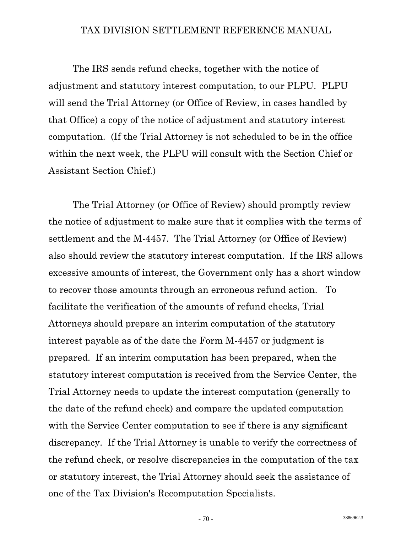The IRS sends refund checks, together with the notice of adjustment and statutory interest computation, to our PLPU. PLPU will send the Trial Attorney (or Office of Review, in cases handled by that Office) a copy of the notice of adjustment and statutory interest computation. (If the Trial Attorney is not scheduled to be in the office within the next week, the PLPU will consult with the Section Chief or Assistant Section Chief.)

 The Trial Attorney (or Office of Review) should promptly review the notice of adjustment to make sure that it complies with the terms of settlement and the M-4457. The Trial Attorney (or Office of Review) also should review the statutory interest computation. If the IRS allows excessive amounts of interest, the Government only has a short window to recover those amounts through an erroneous refund action. To facilitate the verification of the amounts of refund checks, Trial Attorneys should prepare an interim computation of the statutory interest payable as of the date the Form M-4457 or judgment is prepared. If an interim computation has been prepared, when the statutory interest computation is received from the Service Center, the Trial Attorney needs to update the interest computation (generally to the date of the refund check) and compare the updated computation with the Service Center computation to see if there is any significant discrepancy. If the Trial Attorney is unable to verify the correctness of the refund check, or resolve discrepancies in the computation of the tax or statutory interest, the Trial Attorney should seek the assistance of one of the Tax Division's Recomputation Specialists.

 $-70$  - 3886962.3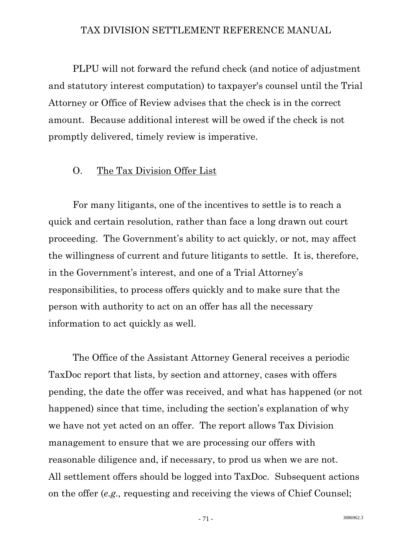PLPU will not forward the refund check (and notice of adjustment and statutory interest computation) to taxpayer's counsel until the Trial Attorney or Office of Review advises that the check is in the correct amount. Because additional interest will be owed if the check is not promptly delivered, timely review is imperative.

# O. The Tax Division Offer List

 For many litigants, one of the incentives to settle is to reach a quick and certain resolution, rather than face a long drawn out court proceeding. The Government's ability to act quickly, or not, may affect the willingness of current and future litigants to settle. It is, therefore, in the Government's interest, and one of a Trial Attorney's responsibilities, to process offers quickly and to make sure that the person with authority to act on an offer has all the necessary information to act quickly as well.

 The Office of the Assistant Attorney General receives a periodic TaxDoc report that lists, by section and attorney, cases with offers pending, the date the offer was received, and what has happened (or not happened) since that time, including the section's explanation of why we have not yet acted on an offer. The report allows Tax Division management to ensure that we are processing our offers with reasonable diligence and, if necessary, to prod us when we are not. All settlement offers should be logged into TaxDoc. Subsequent actions on the offer (*e.g.,* requesting and receiving the views of Chief Counsel;

 $-71$  - 3886962.3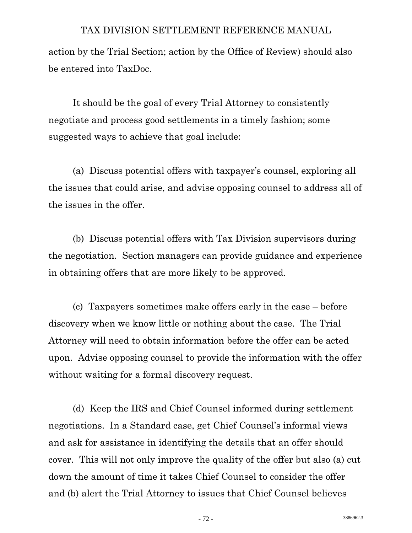action by the Trial Section; action by the Office of Review) should also be entered into TaxDoc.

 It should be the goal of every Trial Attorney to consistently negotiate and process good settlements in a timely fashion; some suggested ways to achieve that goal include:

 (a) Discuss potential offers with taxpayer's counsel, exploring all the issues that could arise, and advise opposing counsel to address all of the issues in the offer.

 (b) Discuss potential offers with Tax Division supervisors during the negotiation. Section managers can provide guidance and experience in obtaining offers that are more likely to be approved.

 (c) Taxpayers sometimes make offers early in the case – before discovery when we know little or nothing about the case. The Trial Attorney will need to obtain information before the offer can be acted upon. Advise opposing counsel to provide the information with the offer without waiting for a formal discovery request.

 (d) Keep the IRS and Chief Counsel informed during settlement negotiations. In a Standard case, get Chief Counsel's informal views and ask for assistance in identifying the details that an offer should cover. This will not only improve the quality of the offer but also (a) cut down the amount of time it takes Chief Counsel to consider the offer and (b) alert the Trial Attorney to issues that Chief Counsel believes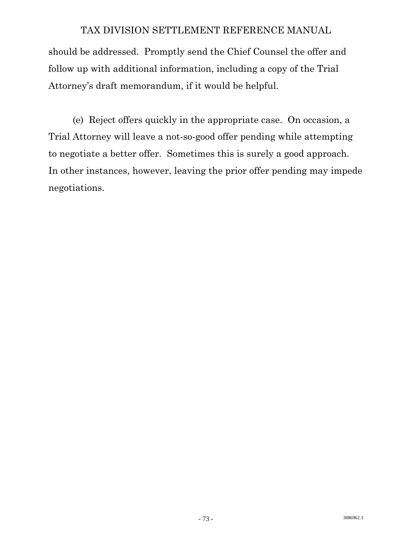should be addressed. Promptly send the Chief Counsel the offer and follow up with additional information, including a copy of the Trial Attorney's draft memorandum, if it would be helpful.

 (e) Reject offers quickly in the appropriate case. On occasion, a Trial Attorney will leave a not-so-good offer pending while attempting to negotiate a better offer. Sometimes this is surely a good approach. In other instances, however, leaving the prior offer pending may impede negotiations.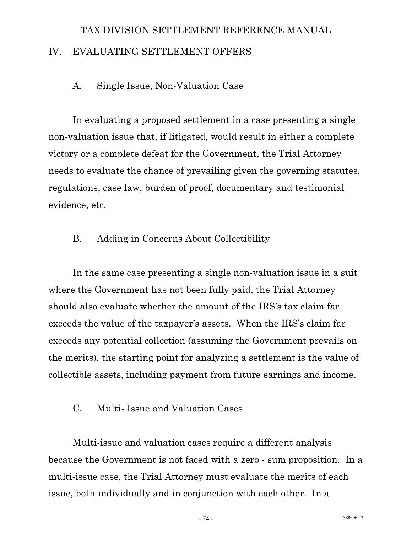# TAX DIVISION SETTLEMENT REFERENCE MANUAL IV. EVALUATING SETTLEMENT OFFERS

# A. Single Issue, Non-Valuation Case

 In evaluating a proposed settlement in a case presenting a single non-valuation issue that, if litigated, would result in either a complete victory or a complete defeat for the Government, the Trial Attorney needs to evaluate the chance of prevailing given the governing statutes, regulations, case law, burden of proof, documentary and testimonial evidence, etc.

# B. Adding in Concerns About Collectibility

 In the same case presenting a single non-valuation issue in a suit where the Government has not been fully paid, the Trial Attorney should also evaluate whether the amount of the IRS's tax claim far exceeds the value of the taxpayer's assets. When the IRS's claim far exceeds any potential collection (assuming the Government prevails on the merits), the starting point for analyzing a settlement is the value of collectible assets, including payment from future earnings and income.

# C. Multi- Issue and Valuation Cases

 Multi-issue and valuation cases require a different analysis because the Government is not faced with a zero - sum proposition. In a multi-issue case, the Trial Attorney must evaluate the merits of each issue, both individually and in conjunction with each other. In a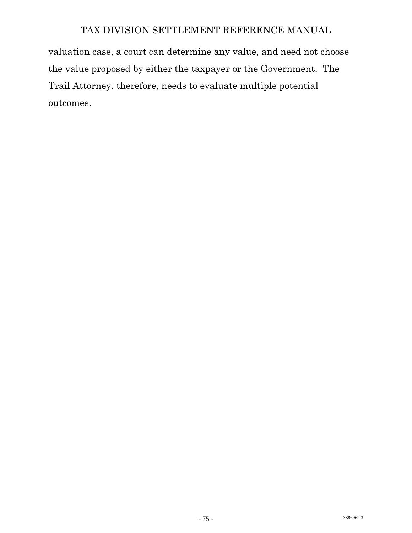valuation case, a court can determine any value, and need not choose the value proposed by either the taxpayer or the Government. The Trail Attorney, therefore, needs to evaluate multiple potential outcomes.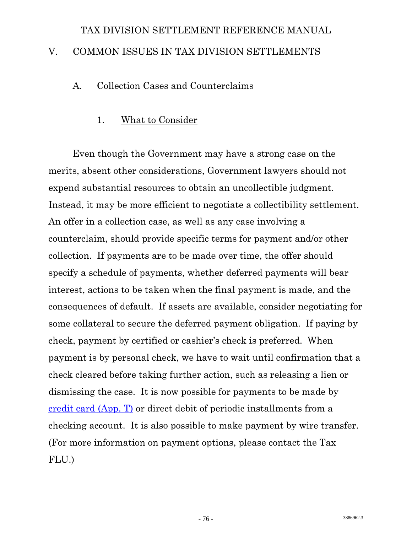# TAX DIVISION SETTLEMENT REFERENCE MANUAL V. COMMON ISSUES IN TAX DIVISION SETTLEMENTS

# A. Collection Cases and Counterclaims

# 1. What to Consider

 Even though the Government may have a strong case on the merits, absent other considerations, Government lawyers should not expend substantial resources to obtain an uncollectible judgment. Instead, it may be more efficient to negotiate a collectibility settlement. An offer in a collection case, as well as any case involving a counterclaim, should provide specific terms for payment and/or other collection. If payments are to be made over time, the offer should specify a schedule of payments, whether deferred payments will bear interest, actions to be taken when the final payment is made, and the consequences of default. If assets are available, consider negotiating for some collateral to secure the deferred payment obligation. If paying by check, payment by certified or cashier's check is preferred. When payment is by personal check, we have to wait until confirmation that a check cleared before taking further action, such as releasing a lien or dismissing the case. It is now possible for payments to be made by [credit card \(App. T\)](http://www.usdoj.gov/tax/readingroom/settlemn/T_Credit_Card_payment_form.PDF) or direct debit of periodic installments from a checking account. It is also possible to make payment by wire transfer. (For more information on payment options, please contact the Tax FLU.)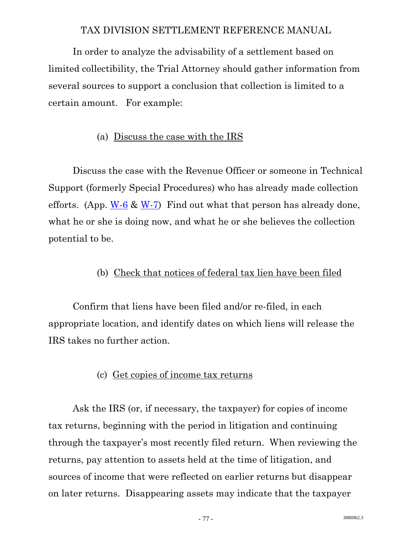In order to analyze the advisability of a settlement based on limited collectibility, the Trial Attorney should gather information from several sources to support a conclusion that collection is limited to a certain amount. For example:

# (a) Discuss the case with the IRS

 Discuss the case with the Revenue Officer or someone in Technical Support (formerly Special Procedures) who has already made collection efforts. (App.  $W-6$  &  $W-7$ ) Find out what that person has already done, what he or she is doing now, and what he or she believes the collection potential to be.

# (b) Check that notices of federal tax lien have been filed

 Confirm that liens have been filed and/or re-filed, in each appropriate location, and identify dates on which liens will release the IRS takes no further action.

# (c) Get copies of income tax returns

 Ask the IRS (or, if necessary, the taxpayer) for copies of income tax returns, beginning with the period in litigation and continuing through the taxpayer's most recently filed return. When reviewing the returns, pay attention to assets held at the time of litigation, and sources of income that were reflected on earlier returns but disappear on later returns. Disappearing assets may indicate that the taxpayer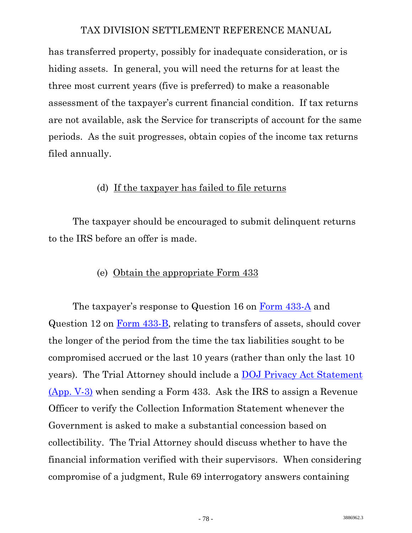has transferred property, possibly for inadequate consideration, or is hiding assets. In general, you will need the returns for at least the three most current years (five is preferred) to make a reasonable assessment of the taxpayer's current financial condition. If tax returns are not available, ask the Service for transcripts of account for the same periods. As the suit progresses, obtain copies of the income tax returns filed annually.

#### (d) If the taxpayer has failed to file returns

 The taxpayer should be encouraged to submit delinquent returns to the IRS before an offer is made.

#### (e) Obtain the appropriate Form 433

The taxpayer's response to Question 16 on [Form 433-A](http://www.usdoj.gov/tax/readingroom/settlemn/V_1_433_A_2008.PDF) and Question 12 on [Form 433-B](http://www.usdoj.gov/tax/readingroom/settlemn/V_2_433_B_2008.PDF), relating to transfers of assets, should cover the longer of the period from the time the tax liabilities sought to be compromised accrued or the last 10 years (rather than only the last 10 years). The Trial Attorney should include a [DOJ Privacy Act Statement](http://www.usdoj.gov/tax/readingroom/settlemn/V_3_DOJ_Privacy_Act_Statement.PDF)  [\(App. V-3\)](http://www.usdoj.gov/tax/readingroom/settlemn/V_3_DOJ_Privacy_Act_Statement.PDF) when sending a Form 433. Ask the IRS to assign a Revenue Officer to verify the Collection Information Statement whenever the Government is asked to make a substantial concession based on collectibility. The Trial Attorney should discuss whether to have the financial information verified with their supervisors. When considering compromise of a judgment, Rule 69 interrogatory answers containing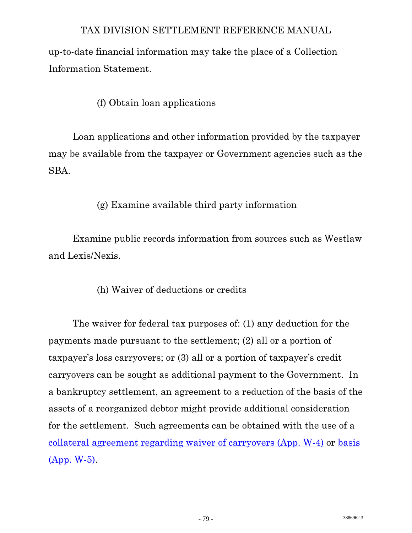up-to-date financial information may take the place of a Collection Information Statement.

# (f) Obtain loan applications

 Loan applications and other information provided by the taxpayer may be available from the taxpayer or Government agencies such as the SBA.

# (g) Examine available third party information

 Examine public records information from sources such as Westlaw and Lexis/Nexis.

# (h) Waiver of deductions or credits

 The waiver for federal tax purposes of: (1) any deduction for the payments made pursuant to the settlement; (2) all or a portion of taxpayer's loss carryovers; or (3) all or a portion of taxpayer's credit carryovers can be sought as additional payment to the Government. In a bankruptcy settlement, an agreement to a reduction of the basis of the assets of a reorganized debtor might provide additional consideration for the settlement. Such agreements can be obtained with the use of a [collateral agreement regarding waiver of carryovers \(App. W-4\)](http://www.usdoj.gov/tax/readingroom/settlemn/W_4_Collateral_Agreement_Waiver_of_Carryovers.PDF) or [basis](http://www.usdoj.gov/tax/readingroom/settlemn/W_5_Collateral_Agreement_re_Basis.DOC)  [\(App. W-5\)](http://www.usdoj.gov/tax/readingroom/settlemn/W_5_Collateral_Agreement_re_Basis.DOC).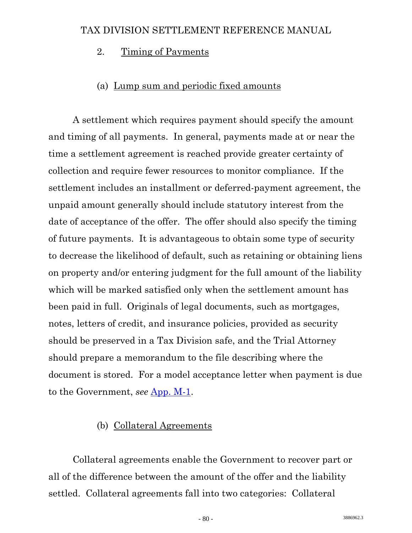# 2. Timing of Payments

# (a) Lump sum and periodic fixed amounts

 A settlement which requires payment should specify the amount and timing of all payments. In general, payments made at or near the time a settlement agreement is reached provide greater certainty of collection and require fewer resources to monitor compliance. If the settlement includes an installment or deferred-payment agreement, the unpaid amount generally should include statutory interest from the date of acceptance of the offer. The offer should also specify the timing of future payments. It is advantageous to obtain some type of security to decrease the likelihood of default, such as retaining or obtaining liens on property and/or entering judgment for the full amount of the liability which will be marked satisfied only when the settlement amount has been paid in full. Originals of legal documents, such as mortgages, notes, letters of credit, and insurance policies, provided as security should be preserved in a Tax Division safe, and the Trial Attorney should prepare a memorandum to the file describing where the document is stored. For a model acceptance letter when payment is due to the Government, *see* [App. M-1.](http://www.usdoj.gov/tax/readingroom/settlemn/M_1_Acceptance_letter_to_Proponent_Payment_Due.DOC)

# (b) Collateral Agreements

 Collateral agreements enable the Government to recover part or all of the difference between the amount of the offer and the liability settled. Collateral agreements fall into two categories: Collateral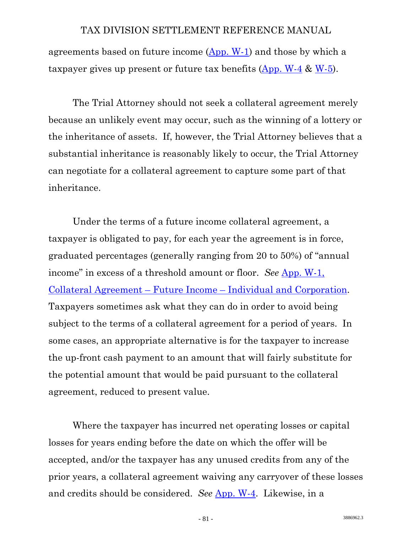agreements based on future income [\(App. W-1](http://www.usdoj.gov/tax/readingroom/settlemn/W_1_Collateral_Agreement_Future_Income.PDF)) and those by which a taxpayer gives up present or future tax benefits  $(\text{App. W-4 & W-5})$ .

 The Trial Attorney should not seek a collateral agreement merely because an unlikely event may occur, such as the winning of a lottery or the inheritance of assets. If, however, the Trial Attorney believes that a substantial inheritance is reasonably likely to occur, the Trial Attorney can negotiate for a collateral agreement to capture some part of that inheritance.

 Under the terms of a future income collateral agreement, a taxpayer is obligated to pay, for each year the agreement is in force, graduated percentages (generally ranging from 20 to 50%) of "annual income" in excess of a threshold amount or floor. *See* [App. W-1,](http://www.usdoj.gov/tax/readingroom/settlemn/W_1_Collateral_Agreement_Future_Income.PDF)  [Collateral Agreement – Future Income – Individual and Corporation](http://www.usdoj.gov/tax/readingroom/settlemn/W_1_Collateral_Agreement_Future_Income.PDF). Taxpayers sometimes ask what they can do in order to avoid being subject to the terms of a collateral agreement for a period of years. In some cases, an appropriate alternative is for the taxpayer to increase the up-front cash payment to an amount that will fairly substitute for the potential amount that would be paid pursuant to the collateral agreement, reduced to present value.

 Where the taxpayer has incurred net operating losses or capital losses for years ending before the date on which the offer will be accepted, and/or the taxpayer has any unused credits from any of the prior years, a collateral agreement waiving any carryover of these losses and credits should be considered. *See* [App. W-4.](http://www.usdoj.gov/tax/readingroom/settlemn/W_4_Collateral_Agreement_Waiver_of_Carryovers.PDF) Likewise, in a

**3886962.3** - 81 -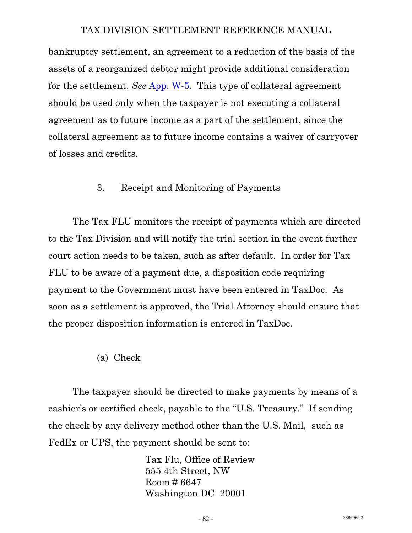bankruptcy settlement, an agreement to a reduction of the basis of the assets of a reorganized debtor might provide additional consideration for the settlement. *See* [App. W-5.](http://www.usdoj.gov/tax/readingroom/settlemn/W_5_Collateral_Agreement_re_Basis.DOC) This type of collateral agreement should be used only when the taxpayer is not executing a collateral agreement as to future income as a part of the settlement, since the collateral agreement as to future income contains a waiver of carryover of losses and credits.

#### 3. Receipt and Monitoring of Payments

 The Tax FLU monitors the receipt of payments which are directed to the Tax Division and will notify the trial section in the event further court action needs to be taken, such as after default. In order for Tax FLU to be aware of a payment due, a disposition code requiring payment to the Government must have been entered in TaxDoc. As soon as a settlement is approved, the Trial Attorney should ensure that the proper disposition information is entered in TaxDoc.

#### (a) Check

The taxpayer should be directed to make payments by means of a cashier's or certified check, payable to the "U.S. Treasury." If sending the check by any delivery method other than the U.S. Mail, such as FedEx or UPS, the payment should be sent to:

> Tax Flu, Office of Review 555 4th Street, NW Room # 6647 Washington DC 20001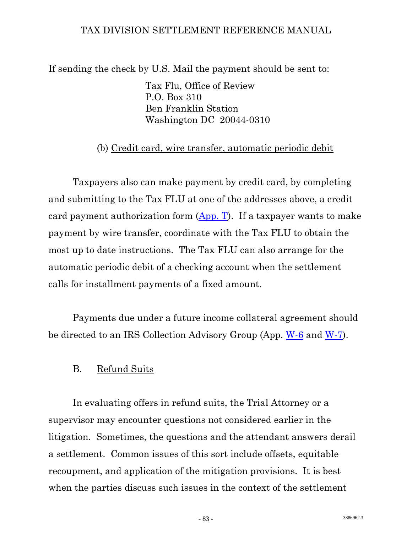If sending the check by U.S. Mail the payment should be sent to:

 Tax Flu, Office of Review P.O. Box 310 Ben Franklin Station Washington DC 20044-0310

# (b) Credit card, wire transfer, automatic periodic debit

 Taxpayers also can make payment by credit card, by completing and submitting to the Tax FLU at one of the addresses above, a credit card payment authorization form [\(App. T\)](http://www.usdoj.gov/tax/readingroom/settlemn/T_Credit_Card_payment_form.PDF). If a taxpayer wants to make payment by wire transfer, coordinate with the Tax FLU to obtain the most up to date instructions. The Tax FLU can also arrange for the automatic periodic debit of a checking account when the settlement calls for installment payments of a fixed amount.

 Payments due under a future income collateral agreement should be directed to an IRS Collection Advisory Group (App. [W-6](http://www.usdoj.gov/tax/readingroom/settlemn/W_6_Collection_Advisory_Group_Addresses.PDF) and [W-7](http://www.usdoj.gov/tax/readingroom/settlemn/W_7_Collection_Advisory_Group_contact_information.PDF)).

# B. Refund Suits

 In evaluating offers in refund suits, the Trial Attorney or a supervisor may encounter questions not considered earlier in the litigation. Sometimes, the questions and the attendant answers derail a settlement. Common issues of this sort include offsets, equitable recoupment, and application of the mitigation provisions. It is best when the parties discuss such issues in the context of the settlement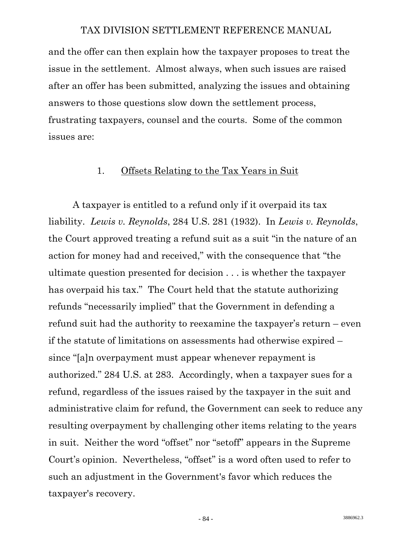and the offer can then explain how the taxpayer proposes to treat the issue in the settlement. Almost always, when such issues are raised after an offer has been submitted, analyzing the issues and obtaining answers to those questions slow down the settlement process, frustrating taxpayers, counsel and the courts. Some of the common issues are:

#### 1. Offsets Relating to the Tax Years in Suit

 A taxpayer is entitled to a refund only if it overpaid its tax liability. *Lewis v. Reynolds*, 284 U.S. 281 (1932). In *Lewis v. Reynolds*, the Court approved treating a refund suit as a suit "in the nature of an action for money had and received," with the consequence that "the ultimate question presented for decision . . . is whether the taxpayer has overpaid his tax." The Court held that the statute authorizing refunds "necessarily implied" that the Government in defending a refund suit had the authority to reexamine the taxpayer's return – even if the statute of limitations on assessments had otherwise expired – since "[a]n overpayment must appear whenever repayment is authorized." 284 U.S. at 283. Accordingly, when a taxpayer sues for a refund, regardless of the issues raised by the taxpayer in the suit and administrative claim for refund, the Government can seek to reduce any resulting overpayment by challenging other items relating to the years in suit. Neither the word "offset" nor "setoff" appears in the Supreme Court's opinion. Nevertheless, "offset" is a word often used to refer to such an adjustment in the Government's favor which reduces the taxpayer's recovery.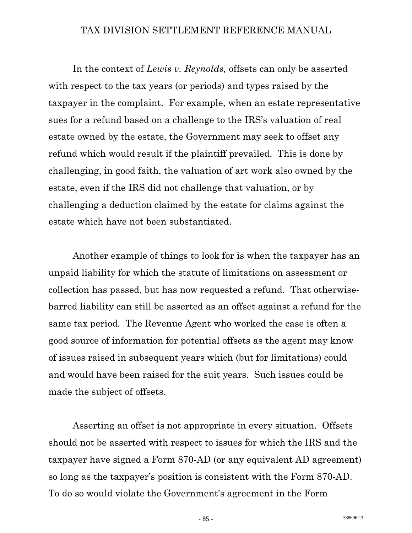In the context of *Lewis v. Reynolds,* offsets can only be asserted with respect to the tax years (or periods) and types raised by the taxpayer in the complaint. For example, when an estate representative sues for a refund based on a challenge to the IRS's valuation of real estate owned by the estate, the Government may seek to offset any refund which would result if the plaintiff prevailed. This is done by challenging, in good faith, the valuation of art work also owned by the estate, even if the IRS did not challenge that valuation, or by challenging a deduction claimed by the estate for claims against the estate which have not been substantiated.

 Another example of things to look for is when the taxpayer has an unpaid liability for which the statute of limitations on assessment or collection has passed, but has now requested a refund. That otherwisebarred liability can still be asserted as an offset against a refund for the same tax period. The Revenue Agent who worked the case is often a good source of information for potential offsets as the agent may know of issues raised in subsequent years which (but for limitations) could and would have been raised for the suit years. Such issues could be made the subject of offsets.

 Asserting an offset is not appropriate in every situation. Offsets should not be asserted with respect to issues for which the IRS and the taxpayer have signed a Form 870-AD (or any equivalent AD agreement) so long as the taxpayer's position is consistent with the Form 870-AD. To do so would violate the Government's agreement in the Form

 $-85 -$  3886962.3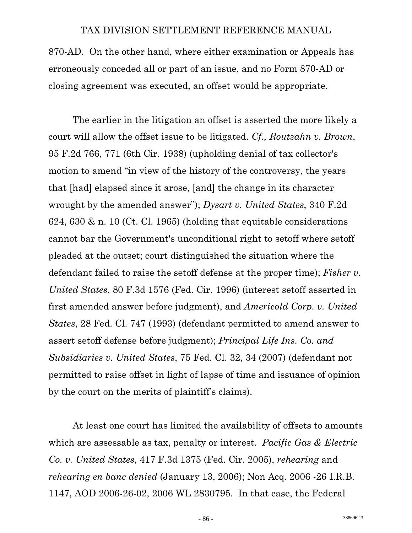870-AD. On the other hand, where either examination or Appeals has erroneously conceded all or part of an issue, and no Form 870-AD or closing agreement was executed, an offset would be appropriate.

 The earlier in the litigation an offset is asserted the more likely a court will allow the offset issue to be litigated. *Cf., Routzahn v. Brown*, 95 F.2d 766, 771 (6th Cir. 1938) (upholding denial of tax collector's motion to amend "in view of the history of the controversy, the years that [had] elapsed since it arose, [and] the change in its character wrought by the amended answer"); *Dysart v. United States*, 340 F.2d 624, 630 & n. 10 (Ct. Cl. 1965) (holding that equitable considerations cannot bar the Government's unconditional right to setoff where setoff pleaded at the outset; court distinguished the situation where the defendant failed to raise the setoff defense at the proper time); *Fisher v. United States*, 80 F.3d 1576 (Fed. Cir. 1996) (interest setoff asserted in first amended answer before judgment), and *Americold Corp. v. United States*, 28 Fed. Cl. 747 (1993) (defendant permitted to amend answer to assert setoff defense before judgment); *Principal Life Ins. Co. and Subsidiaries v. United States*, 75 Fed. Cl. 32, 34 (2007) (defendant not permitted to raise offset in light of lapse of time and issuance of opinion by the court on the merits of plaintiff's claims).

 At least one court has limited the availability of offsets to amounts which are assessable as tax, penalty or interest. *Pacific Gas & Electric Co. v. United States*, 417 F.3d 1375 (Fed. Cir. 2005), *rehearing* and *rehearing en banc denied* (January 13, 2006); Non Acq. 2006 -26 I.R.B. 1147, AOD 2006-26-02, 2006 WL 2830795. In that case, the Federal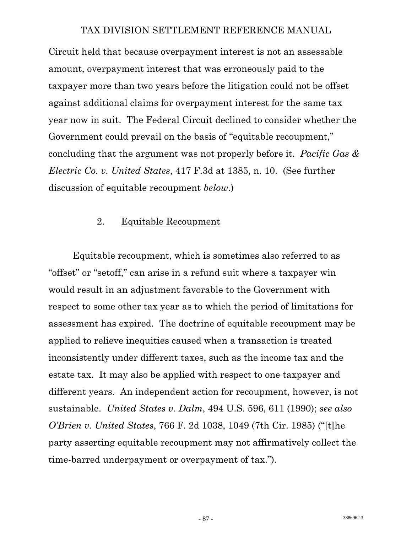Circuit held that because overpayment interest is not an assessable amount, overpayment interest that was erroneously paid to the taxpayer more than two years before the litigation could not be offset against additional claims for overpayment interest for the same tax year now in suit. The Federal Circuit declined to consider whether the Government could prevail on the basis of "equitable recoupment," concluding that the argument was not properly before it. *Pacific Gas & Electric Co. v. United States*, 417 F.3d at 1385, n. 10. (See further discussion of equitable recoupment *below*.)

#### 2. Equitable Recoupment

 Equitable recoupment, which is sometimes also referred to as "offset" or "setoff," can arise in a refund suit where a taxpayer win would result in an adjustment favorable to the Government with respect to some other tax year as to which the period of limitations for assessment has expired. The doctrine of equitable recoupment may be applied to relieve inequities caused when a transaction is treated inconsistently under different taxes, such as the income tax and the estate tax. It may also be applied with respect to one taxpayer and different years. An independent action for recoupment, however, is not sustainable. *United States v. Dalm*, 494 U.S. 596, 611 (1990); *see also O'Brien v. United States*, 766 F. 2d 1038, 1049 (7th Cir. 1985) ("[t]he party asserting equitable recoupment may not affirmatively collect the time-barred underpayment or overpayment of tax.").

3886962.3 - 87 -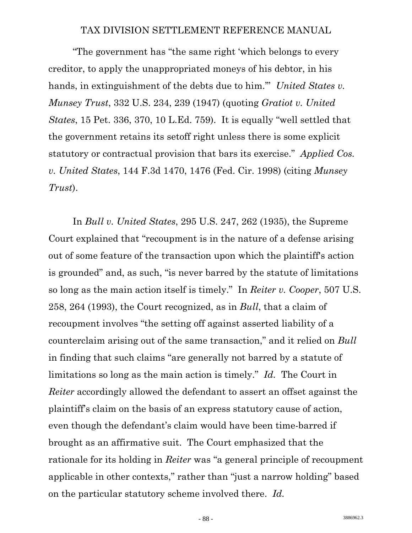"The government has "the same right 'which belongs to every creditor, to apply the unappropriated moneys of his debtor, in his hands, in extinguishment of the debts due to him.'" *United States v. Munsey Trust*, 332 U.S. 234, 239 (1947) (quoting *Gratiot v. United States*, 15 Pet. 336, 370, 10 L.Ed. 759). It is equally "well settled that the government retains its setoff right unless there is some explicit statutory or contractual provision that bars its exercise." *Applied Cos. v. United States*, 144 F.3d 1470, 1476 (Fed. Cir. 1998) (citing *Munsey Trust*).

 In *Bull v. United States*, 295 U.S. 247, 262 (1935), the Supreme Court explained that "recoupment is in the nature of a defense arising out of some feature of the transaction upon which the plaintiff's action is grounded" and, as such, "is never barred by the statute of limitations so long as the main action itself is timely." In *Reiter v. Cooper*, 507 U.S. 258, 264 (1993), the Court recognized, as in *Bull*, that a claim of recoupment involves "the setting off against asserted liability of a counterclaim arising out of the same transaction," and it relied on *Bull*  in finding that such claims "are generally not barred by a statute of limitations so long as the main action is timely." *Id.* The Court in *Reiter* accordingly allowed the defendant to assert an offset against the plaintiff's claim on the basis of an express statutory cause of action, even though the defendant's claim would have been time-barred if brought as an affirmative suit. The Court emphasized that the rationale for its holding in *Reiter* was "a general principle of recoupment applicable in other contexts," rather than "just a narrow holding" based on the particular statutory scheme involved there. *Id.*

**3886962.3** - 88 -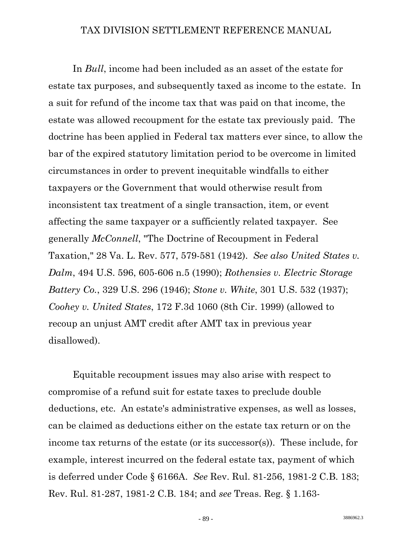In *Bull*, income had been included as an asset of the estate for estate tax purposes, and subsequently taxed as income to the estate. In a suit for refund of the income tax that was paid on that income, the estate was allowed recoupment for the estate tax previously paid. The doctrine has been applied in Federal tax matters ever since, to allow the bar of the expired statutory limitation period to be overcome in limited circumstances in order to prevent inequitable windfalls to either taxpayers or the Government that would otherwise result from inconsistent tax treatment of a single transaction, item, or event affecting the same taxpayer or a sufficiently related taxpayer. See generally *McConnell*, "The Doctrine of Recoupment in Federal Taxation," 28 Va. L. Rev. 577, 579-581 (1942). *See also United States v. Dalm*, 494 U.S. 596, 605-606 n.5 (1990); *Rothensies v. Electric Storage Battery Co.*, 329 U.S. 296 (1946); *Stone v. White*, 301 U.S. 532 (1937); *Coohey v. United States*, 172 F.3d 1060 (8th Cir. 1999) (allowed to recoup an unjust AMT credit after AMT tax in previous year disallowed).

 Equitable recoupment issues may also arise with respect to compromise of a refund suit for estate taxes to preclude double deductions, etc. An estate's administrative expenses, as well as losses, can be claimed as deductions either on the estate tax return or on the income tax returns of the estate (or its successor(s)). These include, for example, interest incurred on the federal estate tax, payment of which is deferred under Code § 6166A. *See* Rev. Rul. 81-256, 1981-2 C.B. 183; Rev. Rul. 81-287, 1981-2 C.B. 184; and *see* Treas. Reg. § 1.163-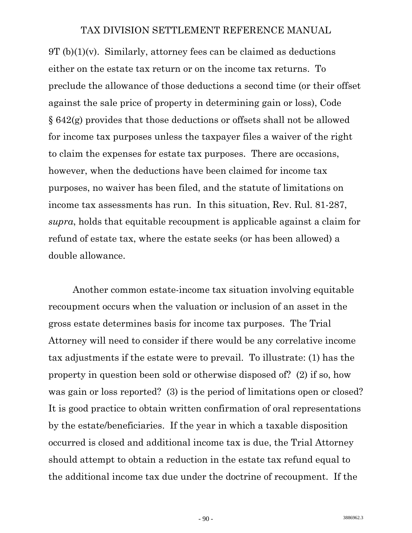$9T (b)(1)(v)$ . Similarly, attorney fees can be claimed as deductions either on the estate tax return or on the income tax returns. To preclude the allowance of those deductions a second time (or their offset against the sale price of property in determining gain or loss), Code § 642(g) provides that those deductions or offsets shall not be allowed for income tax purposes unless the taxpayer files a waiver of the right to claim the expenses for estate tax purposes. There are occasions, however, when the deductions have been claimed for income tax purposes, no waiver has been filed, and the statute of limitations on income tax assessments has run. In this situation, Rev. Rul. 81-287, *supra*, holds that equitable recoupment is applicable against a claim for refund of estate tax, where the estate seeks (or has been allowed) a double allowance.

 Another common estate-income tax situation involving equitable recoupment occurs when the valuation or inclusion of an asset in the gross estate determines basis for income tax purposes. The Trial Attorney will need to consider if there would be any correlative income tax adjustments if the estate were to prevail. To illustrate: (1) has the property in question been sold or otherwise disposed of? (2) if so, how was gain or loss reported? (3) is the period of limitations open or closed? It is good practice to obtain written confirmation of oral representations by the estate/beneficiaries. If the year in which a taxable disposition occurred is closed and additional income tax is due, the Trial Attorney should attempt to obtain a reduction in the estate tax refund equal to the additional income tax due under the doctrine of recoupment. If the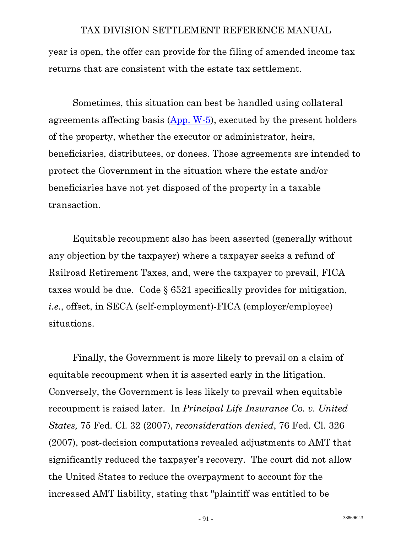year is open, the offer can provide for the filing of amended income tax returns that are consistent with the estate tax settlement.

 Sometimes, this situation can best be handled using collateral agreements affecting basis  $(App. W-5)$  $(App. W-5)$  $(App. W-5)$ , executed by the present holders of the property, whether the executor or administrator, heirs, beneficiaries, distributees, or donees. Those agreements are intended to protect the Government in the situation where the estate and/or beneficiaries have not yet disposed of the property in a taxable transaction.

 Equitable recoupment also has been asserted (generally without any objection by the taxpayer) where a taxpayer seeks a refund of Railroad Retirement Taxes, and, were the taxpayer to prevail, FICA taxes would be due. Code § 6521 specifically provides for mitigation, *i.e.*, offset, in SECA (self-employment)-FICA (employer/employee) situations.

 Finally, the Government is more likely to prevail on a claim of equitable recoupment when it is asserted early in the litigation. Conversely, the Government is less likely to prevail when equitable recoupment is raised later. In *Principal Life Insurance Co. v. United States,* 75 Fed. Cl. 32 (2007), *reconsideration denied*, 76 Fed. Cl. 326 (2007), post-decision computations revealed adjustments to AMT that significantly reduced the taxpayer's recovery. The court did not allow the United States to reduce the overpayment to account for the increased AMT liability, stating that "plaintiff was entitled to be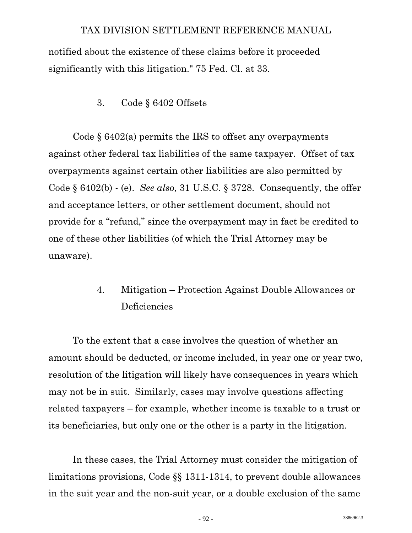notified about the existence of these claims before it proceeded significantly with this litigation." 75 Fed. Cl. at 33.

# 3. Code § 6402 Offsets

Code  $\S$  6402(a) permits the IRS to offset any overpayments against other federal tax liabilities of the same taxpayer. Offset of tax overpayments against certain other liabilities are also permitted by Code § 6402(b) - (e). *See also,* 31 U.S.C. § 3728. Consequently, the offer and acceptance letters, or other settlement document, should not provide for a "refund," since the overpayment may in fact be credited to one of these other liabilities (of which the Trial Attorney may be unaware).

# 4. Mitigation – Protection Against Double Allowances or **Deficiencies**

 To the extent that a case involves the question of whether an amount should be deducted, or income included, in year one or year two, resolution of the litigation will likely have consequences in years which may not be in suit. Similarly, cases may involve questions affecting related taxpayers – for example, whether income is taxable to a trust or its beneficiaries, but only one or the other is a party in the litigation.

 In these cases, the Trial Attorney must consider the mitigation of limitations provisions, Code §§ 1311-1314, to prevent double allowances in the suit year and the non-suit year, or a double exclusion of the same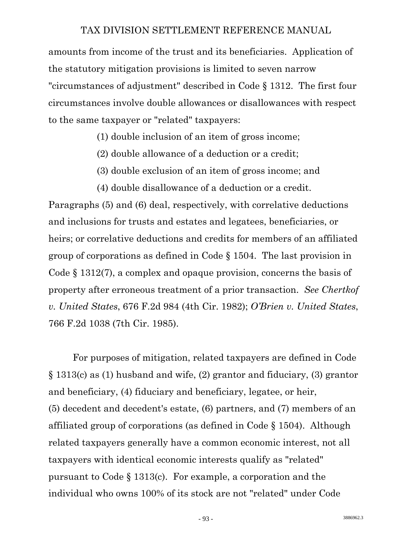amounts from income of the trust and its beneficiaries. Application of the statutory mitigation provisions is limited to seven narrow "circumstances of adjustment" described in Code § 1312. The first four circumstances involve double allowances or disallowances with respect to the same taxpayer or "related" taxpayers:

(1) double inclusion of an item of gross income;

- (2) double allowance of a deduction or a credit;
- (3) double exclusion of an item of gross income; and
- (4) double disallowance of a deduction or a credit.

Paragraphs (5) and (6) deal, respectively, with correlative deductions and inclusions for trusts and estates and legatees, beneficiaries, or heirs; or correlative deductions and credits for members of an affiliated group of corporations as defined in Code § 1504. The last provision in Code § 1312(7), a complex and opaque provision, concerns the basis of property after erroneous treatment of a prior transaction. *See Chertkof v. United States*, 676 F.2d 984 (4th Cir. 1982); *O'Brien v. United States*, 766 F.2d 1038 (7th Cir. 1985).

 For purposes of mitigation, related taxpayers are defined in Code § 1313(c) as (1) husband and wife, (2) grantor and fiduciary, (3) grantor and beneficiary, (4) fiduciary and beneficiary, legatee, or heir, (5) decedent and decedent's estate, (6) partners, and (7) members of an affiliated group of corporations (as defined in Code § 1504). Although related taxpayers generally have a common economic interest, not all taxpayers with identical economic interests qualify as "related" pursuant to Code § 1313(c). For example, a corporation and the individual who owns 100% of its stock are not "related" under Code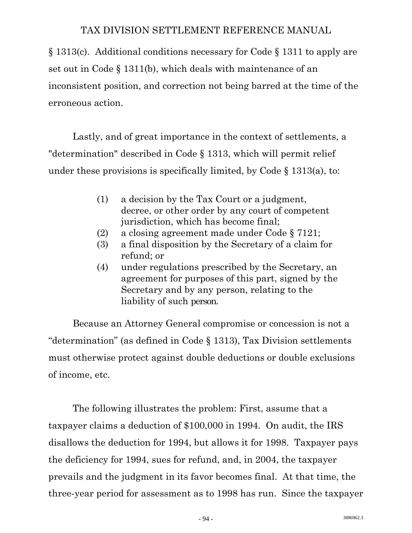§ 1313(c). Additional conditions necessary for Code § 1311 to apply are set out in Code § 1311(b), which deals with maintenance of an inconsistent position, and correction not being barred at the time of the erroneous action.

 Lastly, and of great importance in the context of settlements, a "determination" described in Code § 1313, which will permit relief under these provisions is specifically limited, by Code  $\S$  1313(a), to:

- (1) a decision by the Tax Court or a judgment, decree, or other order by any court of competent jurisdiction, which has become final;
- (2) a closing agreement made under Code § 7121;
- (3) a final disposition by the Secretary of a claim for refund; or
- (4) under regulations prescribed by the Secretary, an agreement for purposes of this part, signed by the Secretary and by any person, relating to the liability of such person.

 Because an Attorney General compromise or concession is not a "determination" (as defined in Code § 1313), Tax Division settlements must otherwise protect against double deductions or double exclusions of income, etc.

 The following illustrates the problem: First, assume that a taxpayer claims a deduction of \$100,000 in 1994. On audit, the IRS disallows the deduction for 1994, but allows it for 1998. Taxpayer pays the deficiency for 1994, sues for refund, and, in 2004, the taxpayer prevails and the judgment in its favor becomes final. At that time, the three-year period for assessment as to 1998 has run. Since the taxpayer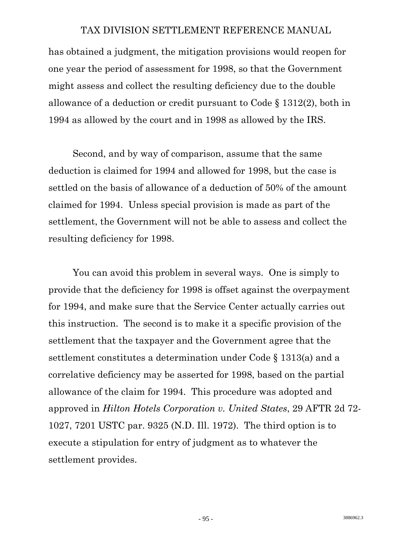has obtained a judgment, the mitigation provisions would reopen for one year the period of assessment for 1998, so that the Government might assess and collect the resulting deficiency due to the double allowance of a deduction or credit pursuant to Code § 1312(2), both in 1994 as allowed by the court and in 1998 as allowed by the IRS.

 Second, and by way of comparison, assume that the same deduction is claimed for 1994 and allowed for 1998, but the case is settled on the basis of allowance of a deduction of 50% of the amount claimed for 1994. Unless special provision is made as part of the settlement, the Government will not be able to assess and collect the resulting deficiency for 1998.

 You can avoid this problem in several ways. One is simply to provide that the deficiency for 1998 is offset against the overpayment for 1994, and make sure that the Service Center actually carries out this instruction. The second is to make it a specific provision of the settlement that the taxpayer and the Government agree that the settlement constitutes a determination under Code § 1313(a) and a correlative deficiency may be asserted for 1998, based on the partial allowance of the claim for 1994. This procedure was adopted and approved in *Hilton Hotels Corporation v. United States*, 29 AFTR 2d 72- 1027, 7201 USTC par. 9325 (N.D. Ill. 1972). The third option is to execute a stipulation for entry of judgment as to whatever the settlement provides.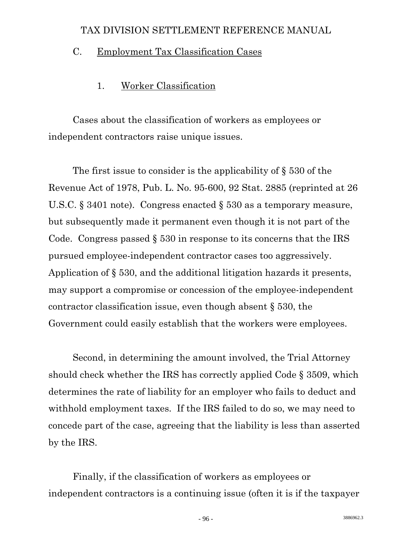# C. Employment Tax Classification Cases

# 1. Worker Classification

 Cases about the classification of workers as employees or independent contractors raise unique issues.

 The first issue to consider is the applicability of § 530 of the Revenue Act of 1978, Pub. L. No. 95-600, 92 Stat. 2885 (reprinted at 26 U.S.C. § 3401 note). Congress enacted § 530 as a temporary measure, but subsequently made it permanent even though it is not part of the Code. Congress passed § 530 in response to its concerns that the IRS pursued employee-independent contractor cases too aggressively. Application of § 530, and the additional litigation hazards it presents, may support a compromise or concession of the employee-independent contractor classification issue, even though absent § 530, the Government could easily establish that the workers were employees.

 Second, in determining the amount involved, the Trial Attorney should check whether the IRS has correctly applied Code § 3509, which determines the rate of liability for an employer who fails to deduct and withhold employment taxes. If the IRS failed to do so, we may need to concede part of the case, agreeing that the liability is less than asserted by the IRS.

 Finally, if the classification of workers as employees or independent contractors is a continuing issue (often it is if the taxpayer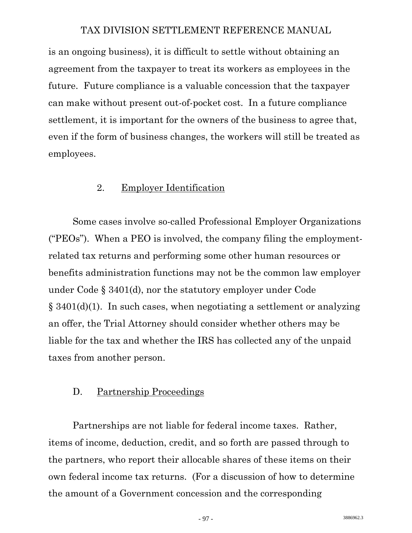is an ongoing business), it is difficult to settle without obtaining an agreement from the taxpayer to treat its workers as employees in the future. Future compliance is a valuable concession that the taxpayer can make without present out-of-pocket cost. In a future compliance settlement, it is important for the owners of the business to agree that, even if the form of business changes, the workers will still be treated as employees.

#### 2. Employer Identification

 Some cases involve so-called Professional Employer Organizations ("PEOs"). When a PEO is involved, the company filing the employmentrelated tax returns and performing some other human resources or benefits administration functions may not be the common law employer under Code § 3401(d), nor the statutory employer under Code § 3401(d)(1). In such cases, when negotiating a settlement or analyzing an offer, the Trial Attorney should consider whether others may be liable for the tax and whether the IRS has collected any of the unpaid taxes from another person.

#### D. Partnership Proceedings

 Partnerships are not liable for federal income taxes. Rather, items of income, deduction, credit, and so forth are passed through to the partners, who report their allocable shares of these items on their own federal income tax returns. (For a discussion of how to determine the amount of a Government concession and the corresponding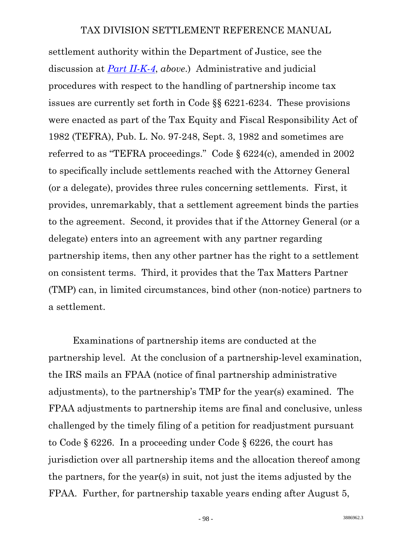settlement authority within the Department of Justice, see the discussion at *[Part II-K-4](#page-31-0)*, *above*.) Administrative and judicial procedures with respect to the handling of partnership income tax issues are currently set forth in Code §§ 6221-6234. These provisions were enacted as part of the Tax Equity and Fiscal Responsibility Act of 1982 (TEFRA), Pub. L. No. 97-248, Sept. 3, 1982 and sometimes are referred to as "TEFRA proceedings." Code § 6224(c), amended in 2002 to specifically include settlements reached with the Attorney General (or a delegate), provides three rules concerning settlements. First, it provides, unremarkably, that a settlement agreement binds the parties to the agreement. Second, it provides that if the Attorney General (or a delegate) enters into an agreement with any partner regarding partnership items, then any other partner has the right to a settlement on consistent terms. Third, it provides that the Tax Matters Partner (TMP) can, in limited circumstances, bind other (non-notice) partners to a settlement.

 Examinations of partnership items are conducted at the partnership level. At the conclusion of a partnership-level examination, the IRS mails an FPAA (notice of final partnership administrative adjustments), to the partnership's TMP for the year(s) examined. The FPAA adjustments to partnership items are final and conclusive, unless challenged by the timely filing of a petition for readjustment pursuant to Code § 6226. In a proceeding under Code § 6226, the court has jurisdiction over all partnership items and the allocation thereof among the partners, for the year(s) in suit, not just the items adjusted by the FPAA. Further, for partnership taxable years ending after August 5,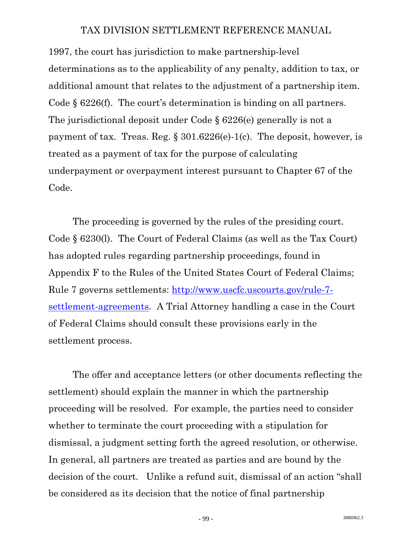1997, the court has jurisdiction to make partnership-level determinations as to the applicability of any penalty, addition to tax, or additional amount that relates to the adjustment of a partnership item. Code § 6226(f). The court's determination is binding on all partners. The jurisdictional deposit under Code § 6226(e) generally is not a payment of tax. Treas. Reg.  $\S 301.6226(e)$ -1(c). The deposit, however, is treated as a payment of tax for the purpose of calculating underpayment or overpayment interest pursuant to Chapter 67 of the Code.

 The proceeding is governed by the rules of the presiding court. Code § 6230(l). The Court of Federal Claims (as well as the Tax Court) has adopted rules regarding partnership proceedings, found in Appendix F to the Rules of the United States Court of Federal Claims; Rule 7 governs settlements: [http://www.uscfc.uscourts.gov/rule-7](http://www.uscfc.uscourts.gov/rule-7-settlement-agreements) [settlement-agreements](http://www.uscfc.uscourts.gov/rule-7-settlement-agreements). A Trial Attorney handling a case in the Court of Federal Claims should consult these provisions early in the settlement process.

 The offer and acceptance letters (or other documents reflecting the settlement) should explain the manner in which the partnership proceeding will be resolved. For example, the parties need to consider whether to terminate the court proceeding with a stipulation for dismissal, a judgment setting forth the agreed resolution, or otherwise. In general, all partners are treated as parties and are bound by the decision of the court. Unlike a refund suit, dismissal of an action "shall be considered as its decision that the notice of final partnership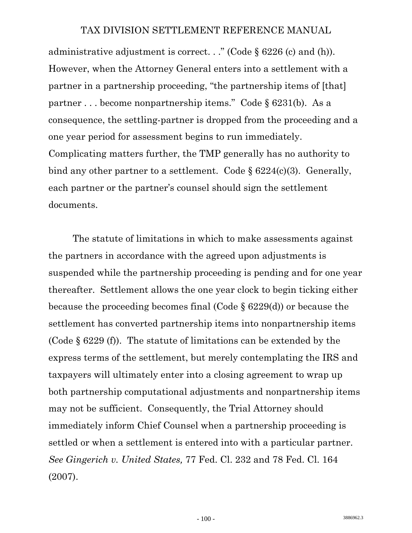administrative adjustment is correct. . ." (Code § 6226 (c) and (h)). However, when the Attorney General enters into a settlement with a partner in a partnership proceeding, "the partnership items of [that] partner . . . become nonpartnership items." Code § 6231(b). As a consequence, the settling-partner is dropped from the proceeding and a one year period for assessment begins to run immediately. Complicating matters further, the TMP generally has no authority to bind any other partner to a settlement. Code  $\S 6224(c)(3)$ . Generally, each partner or the partner's counsel should sign the settlement documents.

 The statute of limitations in which to make assessments against the partners in accordance with the agreed upon adjustments is suspended while the partnership proceeding is pending and for one year thereafter. Settlement allows the one year clock to begin ticking either because the proceeding becomes final (Code § 6229(d)) or because the settlement has converted partnership items into nonpartnership items (Code § 6229 (f)). The statute of limitations can be extended by the express terms of the settlement, but merely contemplating the IRS and taxpayers will ultimately enter into a closing agreement to wrap up both partnership computational adjustments and nonpartnership items may not be sufficient. Consequently, the Trial Attorney should immediately inform Chief Counsel when a partnership proceeding is settled or when a settlement is entered into with a particular partner. *See Gingerich v. United States,* 77 Fed. Cl. 232 and 78 Fed. Cl. 164 (2007).

 $-100 -$  3886962.3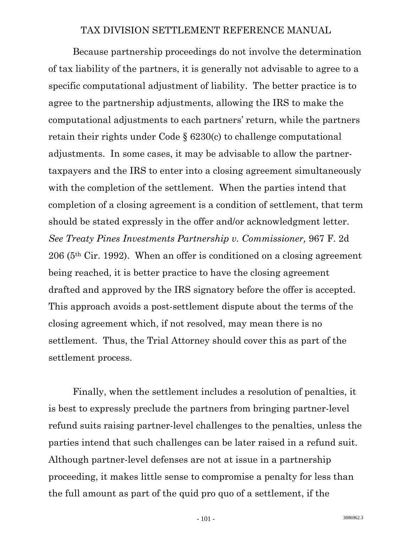Because partnership proceedings do not involve the determination of tax liability of the partners, it is generally not advisable to agree to a specific computational adjustment of liability. The better practice is to agree to the partnership adjustments, allowing the IRS to make the computational adjustments to each partners' return, while the partners retain their rights under Code § 6230(c) to challenge computational adjustments. In some cases, it may be advisable to allow the partnertaxpayers and the IRS to enter into a closing agreement simultaneously with the completion of the settlement. When the parties intend that completion of a closing agreement is a condition of settlement, that term should be stated expressly in the offer and/or acknowledgment letter. *See Treaty Pines Investments Partnership v. Commissioner,* 967 F. 2d 206 (5th Cir. 1992). When an offer is conditioned on a closing agreement being reached, it is better practice to have the closing agreement drafted and approved by the IRS signatory before the offer is accepted. This approach avoids a post-settlement dispute about the terms of the closing agreement which, if not resolved, may mean there is no settlement. Thus, the Trial Attorney should cover this as part of the settlement process.

 Finally, when the settlement includes a resolution of penalties, it is best to expressly preclude the partners from bringing partner-level refund suits raising partner-level challenges to the penalties, unless the parties intend that such challenges can be later raised in a refund suit. Although partner-level defenses are not at issue in a partnership proceeding, it makes little sense to compromise a penalty for less than the full amount as part of the quid pro quo of a settlement, if the

 $-101$  - 3886962.3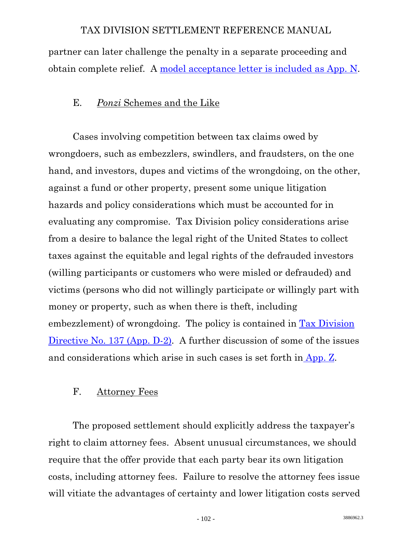partner can later challenge the penalty in a separate proceeding and obtain complete relief. A [model acceptance letter is included as App. N](http://www.usdoj.gov/tax/readingroom/settlemn/N_Acceptance_letter_6226_Partnership_Proceeding.DOC).

# E. *Ponzi* Schemes and the Like

 Cases involving competition between tax claims owed by wrongdoers, such as embezzlers, swindlers, and fraudsters, on the one hand, and investors, dupes and victims of the wrongdoing, on the other, against a fund or other property, present some unique litigation hazards and policy considerations which must be accounted for in evaluating any compromise. Tax Division policy considerations arise from a desire to balance the legal right of the United States to collect taxes against the equitable and legal rights of the defrauded investors (willing participants or customers who were misled or defrauded) and victims (persons who did not willingly participate or willingly part with money or property, such as when there is theft, including embezzlement) of wrongdoing. The policy is contained in [Tax Division](http://www.usdoj.gov/tax/readingroom/settlemn/D_2_TAX_DIR_137.DOC)  [Directive No. 137 \(App. D-2\)](http://www.usdoj.gov/tax/readingroom/settlemn/D_2_TAX_DIR_137.DOC). A further discussion of some of the issues and considerations which arise in such cases is set forth in [App. Z](http://www.usdoj.gov/tax/readingroom/settlemn/Z_Ponzi_schemes.DOC).

# F. Attorney Fees

 The proposed settlement should explicitly address the taxpayer's right to claim attorney fees. Absent unusual circumstances, we should require that the offer provide that each party bear its own litigation costs, including attorney fees. Failure to resolve the attorney fees issue will vitiate the advantages of certainty and lower litigation costs served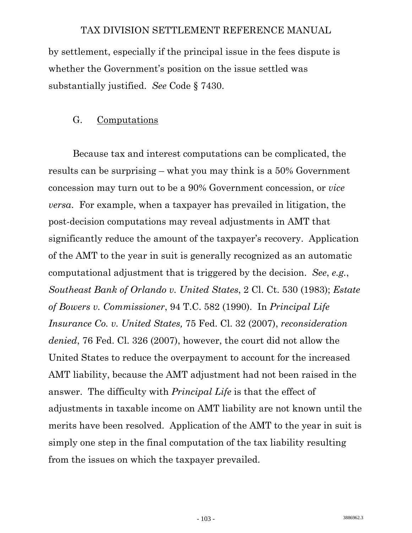by settlement, especially if the principal issue in the fees dispute is whether the Government's position on the issue settled was substantially justified. *See* Code § 7430.

#### G. Computations

 Because tax and interest computations can be complicated, the results can be surprising – what you may think is a 50% Government concession may turn out to be a 90% Government concession, or *vice versa*. For example, when a taxpayer has prevailed in litigation, the post-decision computations may reveal adjustments in AMT that significantly reduce the amount of the taxpayer's recovery. Application of the AMT to the year in suit is generally recognized as an automatic computational adjustment that is triggered by the decision. *See*, *e.g.*, *Southeast Bank of Orlando v. United States*, 2 Cl. Ct. 530 (1983); *Estate of Bowers v. Commissioner*, 94 T.C. 582 (1990). In *Principal Life Insurance Co. v. United States,* 75 Fed. Cl. 32 (2007), *reconsideration denied*, 76 Fed. Cl. 326 (2007), however, the court did not allow the United States to reduce the overpayment to account for the increased AMT liability, because the AMT adjustment had not been raised in the answer. The difficulty with *Principal Life* is that the effect of adjustments in taxable income on AMT liability are not known until the merits have been resolved. Application of the AMT to the year in suit is simply one step in the final computation of the tax liability resulting from the issues on which the taxpayer prevailed.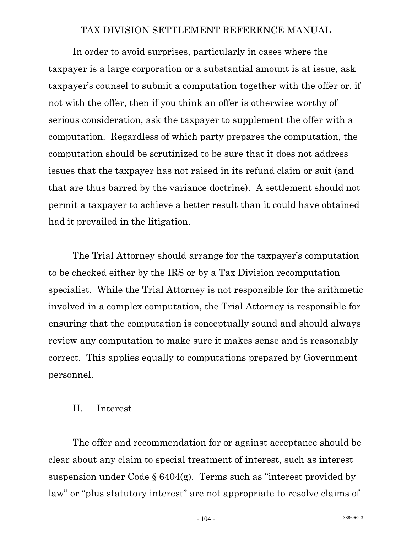In order to avoid surprises, particularly in cases where the taxpayer is a large corporation or a substantial amount is at issue, ask taxpayer's counsel to submit a computation together with the offer or, if not with the offer, then if you think an offer is otherwise worthy of serious consideration, ask the taxpayer to supplement the offer with a computation. Regardless of which party prepares the computation, the computation should be scrutinized to be sure that it does not address issues that the taxpayer has not raised in its refund claim or suit (and that are thus barred by the variance doctrine). A settlement should not permit a taxpayer to achieve a better result than it could have obtained had it prevailed in the litigation.

 The Trial Attorney should arrange for the taxpayer's computation to be checked either by the IRS or by a Tax Division recomputation specialist. While the Trial Attorney is not responsible for the arithmetic involved in a complex computation, the Trial Attorney is responsible for ensuring that the computation is conceptually sound and should always review any computation to make sure it makes sense and is reasonably correct. This applies equally to computations prepared by Government personnel.

#### H. Interest

 The offer and recommendation for or against acceptance should be clear about any claim to special treatment of interest, such as interest suspension under Code  $\S 6404(g)$ . Terms such as "interest provided by law" or "plus statutory interest" are not appropriate to resolve claims of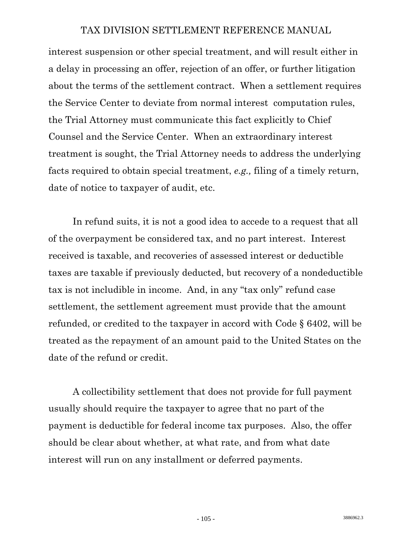interest suspension or other special treatment, and will result either in a delay in processing an offer, rejection of an offer, or further litigation about the terms of the settlement contract. When a settlement requires the Service Center to deviate from normal interest computation rules, the Trial Attorney must communicate this fact explicitly to Chief Counsel and the Service Center. When an extraordinary interest treatment is sought, the Trial Attorney needs to address the underlying facts required to obtain special treatment, *e.g.,* filing of a timely return, date of notice to taxpayer of audit, etc.

 In refund suits, it is not a good idea to accede to a request that all of the overpayment be considered tax, and no part interest. Interest received is taxable, and recoveries of assessed interest or deductible taxes are taxable if previously deducted, but recovery of a nondeductible tax is not includible in income. And, in any "tax only" refund case settlement, the settlement agreement must provide that the amount refunded, or credited to the taxpayer in accord with Code § 6402, will be treated as the repayment of an amount paid to the United States on the date of the refund or credit.

 A collectibility settlement that does not provide for full payment usually should require the taxpayer to agree that no part of the payment is deductible for federal income tax purposes. Also, the offer should be clear about whether, at what rate, and from what date interest will run on any installment or deferred payments.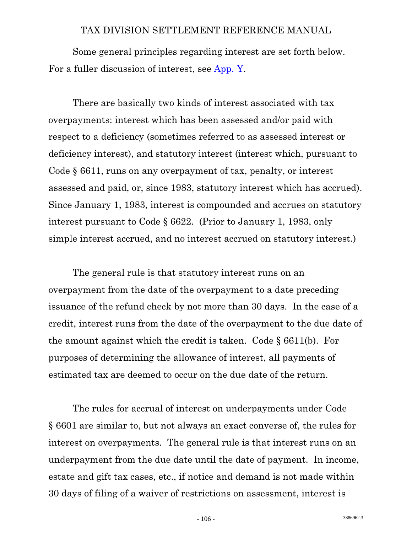Some general principles regarding interest are set forth below. For a fuller discussion of interest, see [App. Y.](http://www.usdoj.gov/tax/readingroom/settlemn/Y_Interest.DOC)

 There are basically two kinds of interest associated with tax overpayments: interest which has been assessed and/or paid with respect to a deficiency (sometimes referred to as assessed interest or deficiency interest), and statutory interest (interest which, pursuant to Code § 6611, runs on any overpayment of tax, penalty, or interest assessed and paid, or, since 1983, statutory interest which has accrued). Since January 1, 1983, interest is compounded and accrues on statutory interest pursuant to Code § 6622. (Prior to January 1, 1983, only simple interest accrued, and no interest accrued on statutory interest.)

 The general rule is that statutory interest runs on an overpayment from the date of the overpayment to a date preceding issuance of the refund check by not more than 30 days. In the case of a credit, interest runs from the date of the overpayment to the due date of the amount against which the credit is taken. Code § 6611(b). For purposes of determining the allowance of interest, all payments of estimated tax are deemed to occur on the due date of the return.

 The rules for accrual of interest on underpayments under Code § 6601 are similar to, but not always an exact converse of, the rules for interest on overpayments. The general rule is that interest runs on an underpayment from the due date until the date of payment. In income, estate and gift tax cases, etc., if notice and demand is not made within 30 days of filing of a waiver of restrictions on assessment, interest is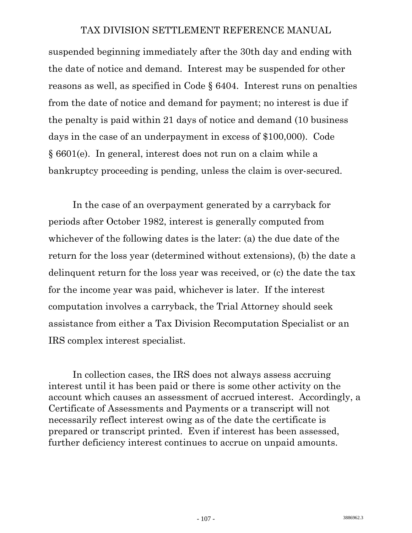suspended beginning immediately after the 30th day and ending with the date of notice and demand. Interest may be suspended for other reasons as well, as specified in Code § 6404. Interest runs on penalties from the date of notice and demand for payment; no interest is due if the penalty is paid within 21 days of notice and demand (10 business days in the case of an underpayment in excess of \$100,000). Code § 6601(e). In general, interest does not run on a claim while a bankruptcy proceeding is pending, unless the claim is over-secured.

 In the case of an overpayment generated by a carryback for periods after October 1982, interest is generally computed from whichever of the following dates is the later: (a) the due date of the return for the loss year (determined without extensions), (b) the date a delinquent return for the loss year was received, or (c) the date the tax for the income year was paid, whichever is later. If the interest computation involves a carryback, the Trial Attorney should seek assistance from either a Tax Division Recomputation Specialist or an IRS complex interest specialist.

 In collection cases, the IRS does not always assess accruing interest until it has been paid or there is some other activity on the account which causes an assessment of accrued interest. Accordingly, a Certificate of Assessments and Payments or a transcript will not necessarily reflect interest owing as of the date the certificate is prepared or transcript printed. Even if interest has been assessed, further deficiency interest continues to accrue on unpaid amounts.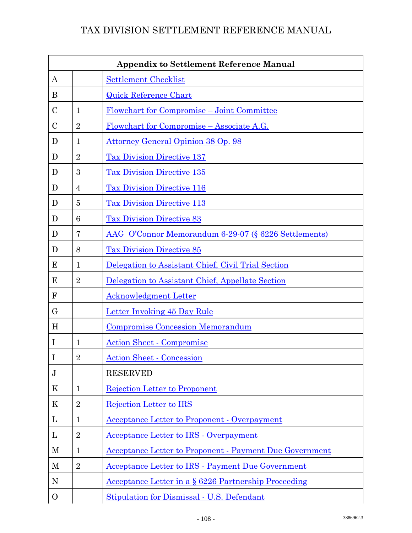| <b>Appendix to Settlement Reference Manual</b> |                |                                                             |  |
|------------------------------------------------|----------------|-------------------------------------------------------------|--|
| A                                              |                | <b>Settlement Checklist</b>                                 |  |
| B                                              |                | <b>Quick Reference Chart</b>                                |  |
| $\mathcal{C}$                                  | $\mathbf 1$    | Flowchart for Compromise – Joint Committee                  |  |
| $\mathcal{C}$                                  | $\overline{2}$ | <u>Flowchart for Compromise – Associate A.G.</u>            |  |
| D                                              | $\mathbf{1}$   | Attorney General Opinion 38 Op. 98                          |  |
| D                                              | $\overline{2}$ | <b>Tax Division Directive 137</b>                           |  |
| D                                              | 3              | <b>Tax Division Directive 135</b>                           |  |
| D                                              | 4              | <b>Tax Division Directive 116</b>                           |  |
| D                                              | 5              | <b>Tax Division Directive 113</b>                           |  |
| D                                              | 6              | <b>Tax Division Directive 83</b>                            |  |
| D                                              | 7              | AAG O'Connor Memorandum 6-29-07 (§ 6226 Settlements)        |  |
| D                                              | 8              | <b>Tax Division Directive 85</b>                            |  |
| E                                              | $\mathbf{1}$   | Delegation to Assistant Chief, Civil Trial Section          |  |
| E                                              | $\overline{2}$ | Delegation to Assistant Chief, Appellate Section            |  |
| $\mathbf F$                                    |                | <b>Acknowledgment Letter</b>                                |  |
| $\rm G$                                        |                | <b>Letter Invoking 45 Day Rule</b>                          |  |
| H                                              |                | <b>Compromise Concession Memorandum</b>                     |  |
| I                                              | $\mathbf{1}$   | <b>Action Sheet - Compromise</b>                            |  |
| $\mathbf I$                                    | $\overline{2}$ | <b>Action Sheet - Concession</b>                            |  |
| $\bf J$                                        |                | <b>RESERVED</b>                                             |  |
| K                                              | $\mathbf{1}$   | Rejection Letter to Proponent                               |  |
| K                                              | $\overline{2}$ | <b>Rejection Letter to IRS</b>                              |  |
| L                                              | $\mathbf{1}$   | <b>Acceptance Letter to Proponent - Overpayment</b>         |  |
| L                                              | $\overline{2}$ | <b>Acceptance Letter to IRS - Overpayment</b>               |  |
| М                                              | $\mathbf{1}$   | Acceptance Letter to Proponent - Payment Due Government     |  |
| M                                              | $\overline{2}$ | <b>Acceptance Letter to IRS - Payment Due Government</b>    |  |
| $\mathbf N$                                    |                | <u>Acceptance Letter in a § 6226 Partnership Proceeding</u> |  |
| $\mathbf{O}$                                   |                | Stipulation for Dismissal - U.S. Defendant                  |  |